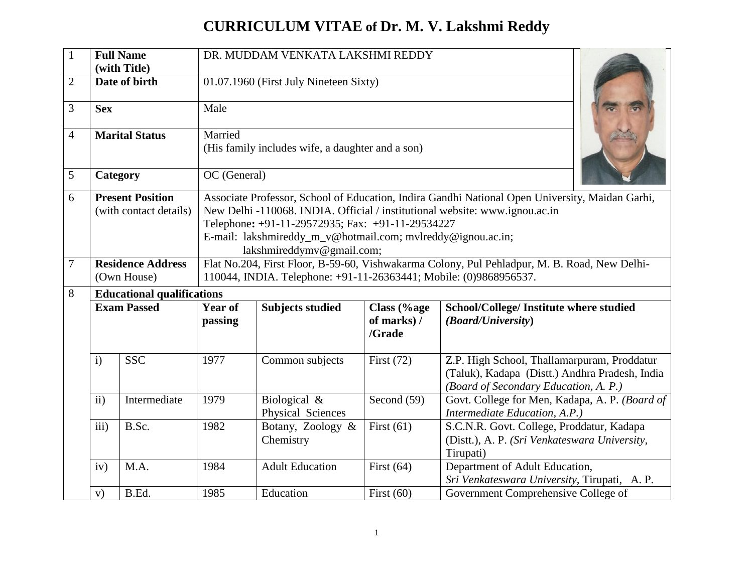## **CURRICULUM VITAE of Dr. M. V. Lakshmi Reddy**

| $\mathbf{1}$   |                                                                                                                   | <b>Full Name</b><br>(with Title)                  | DR. MUDDAM VENKATA LAKSHMI REDDY |                                                                                                                                                                                                                                                                                                                                |                                      |                                                                                                                                        |  |  |  |  |  |  |
|----------------|-------------------------------------------------------------------------------------------------------------------|---------------------------------------------------|----------------------------------|--------------------------------------------------------------------------------------------------------------------------------------------------------------------------------------------------------------------------------------------------------------------------------------------------------------------------------|--------------------------------------|----------------------------------------------------------------------------------------------------------------------------------------|--|--|--|--|--|--|
| $\overline{2}$ |                                                                                                                   | Date of birth                                     |                                  | 01.07.1960 (First July Nineteen Sixty)                                                                                                                                                                                                                                                                                         |                                      |                                                                                                                                        |  |  |  |  |  |  |
| 3              | <b>Sex</b>                                                                                                        |                                                   | Male                             |                                                                                                                                                                                                                                                                                                                                |                                      |                                                                                                                                        |  |  |  |  |  |  |
| $\overline{4}$ |                                                                                                                   | <b>Marital Status</b>                             | Married                          | (His family includes wife, a daughter and a son)                                                                                                                                                                                                                                                                               |                                      |                                                                                                                                        |  |  |  |  |  |  |
| 5              |                                                                                                                   | Category                                          |                                  | OC (General)                                                                                                                                                                                                                                                                                                                   |                                      |                                                                                                                                        |  |  |  |  |  |  |
| 6              |                                                                                                                   | <b>Present Position</b><br>(with contact details) |                                  | Associate Professor, School of Education, Indira Gandhi National Open University, Maidan Garhi,<br>New Delhi -110068. INDIA. Official / institutional website: www.ignou.ac.in<br>Telephone: +91-11-29572935; Fax: +91-11-29534227<br>E-mail: lakshmireddy_m_v@hotmail.com; mvlreddy@ignou.ac.in;<br>lakshmireddymv@gmail.com; |                                      |                                                                                                                                        |  |  |  |  |  |  |
| $\overline{7}$ |                                                                                                                   | <b>Residence Address</b><br>(Own House)           |                                  | Flat No.204, First Floor, B-59-60, Vishwakarma Colony, Pul Pehladpur, M. B. Road, New Delhi-<br>110044, INDIA. Telephone: +91-11-26363441; Mobile: (0)9868956537.                                                                                                                                                              |                                      |                                                                                                                                        |  |  |  |  |  |  |
| 8              |                                                                                                                   | <b>Educational qualifications</b>                 |                                  |                                                                                                                                                                                                                                                                                                                                |                                      |                                                                                                                                        |  |  |  |  |  |  |
|                | <b>Exam Passed</b><br>$\mathbf{i}$<br><b>SSC</b><br>$\mathbf{ii}$<br>Intermediate<br>iii)<br>B.Sc.<br>M.A.<br>iv) |                                                   | <b>Year of</b><br>passing        | <b>Subjects studied</b>                                                                                                                                                                                                                                                                                                        | Class (%age<br>of marks) /<br>/Grade | School/College/ Institute where studied<br>(Board/University)                                                                          |  |  |  |  |  |  |
|                |                                                                                                                   |                                                   | 1977                             | Common subjects                                                                                                                                                                                                                                                                                                                | First $(72)$                         | Z.P. High School, Thallamarpuram, Proddatur<br>(Taluk), Kadapa (Distt.) Andhra Pradesh, India<br>(Board of Secondary Education, A. P.) |  |  |  |  |  |  |
|                |                                                                                                                   |                                                   | 1979                             | Biological &<br>Physical Sciences                                                                                                                                                                                                                                                                                              | Second $(59)$                        | Govt. College for Men, Kadapa, A. P. (Board of<br>Intermediate Education, A.P.)                                                        |  |  |  |  |  |  |
|                |                                                                                                                   |                                                   | 1982                             | Botany, Zoology &<br>Chemistry                                                                                                                                                                                                                                                                                                 | First $(61)$                         | S.C.N.R. Govt. College, Proddatur, Kadapa<br>(Distt.), A. P. (Sri Venkateswara University,<br>Tirupati)                                |  |  |  |  |  |  |
|                |                                                                                                                   |                                                   | 1984                             | <b>Adult Education</b>                                                                                                                                                                                                                                                                                                         | First $(64)$                         | Department of Adult Education,<br>Sri Venkateswara University, Tirupati, A.P.                                                          |  |  |  |  |  |  |
|                | V)                                                                                                                | B.Ed.                                             | 1985                             | Education                                                                                                                                                                                                                                                                                                                      | First $(60)$                         | Government Comprehensive College of                                                                                                    |  |  |  |  |  |  |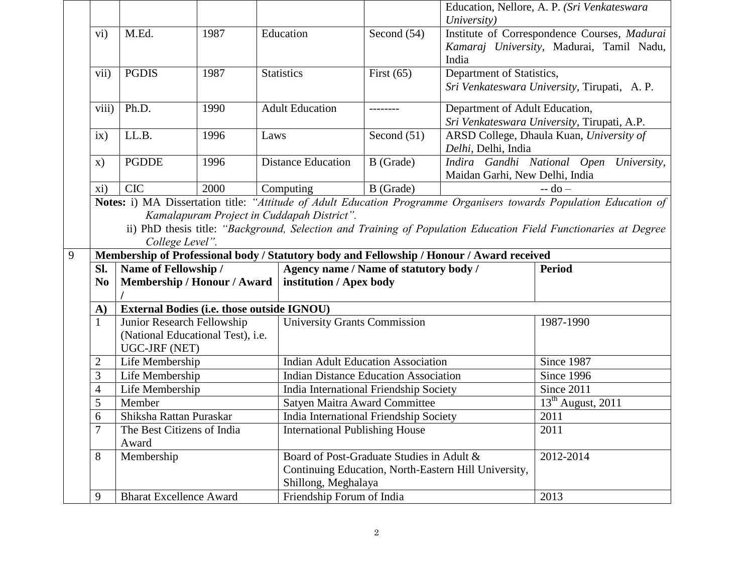|   |                                                                                                                                                                                                                                                                                                        |                                             |                                                   |                                       |                                                                                                   | University)                                                                               | Education, Nellore, A. P. (Sri Venkateswara                                              |  |  |  |  |
|---|--------------------------------------------------------------------------------------------------------------------------------------------------------------------------------------------------------------------------------------------------------------------------------------------------------|---------------------------------------------|---------------------------------------------------|---------------------------------------|---------------------------------------------------------------------------------------------------|-------------------------------------------------------------------------------------------|------------------------------------------------------------------------------------------|--|--|--|--|
|   | $\rm vi)$                                                                                                                                                                                                                                                                                              | M.Ed.<br>1987                               |                                                   | Education                             | Second $(54)$                                                                                     | India                                                                                     | Institute of Correspondence Courses, Madurai<br>Kamaraj University, Madurai, Tamil Nadu, |  |  |  |  |
|   | vii)                                                                                                                                                                                                                                                                                                   | <b>PGDIS</b>                                | 1987                                              | <b>Statistics</b>                     | First $(65)$                                                                                      | Department of Statistics,                                                                 | Sri Venkateswara University, Tirupati, A.P.                                              |  |  |  |  |
|   | viii)                                                                                                                                                                                                                                                                                                  | Ph.D.                                       | 1990                                              | <b>Adult Education</b>                |                                                                                                   |                                                                                           | Department of Adult Education,<br>Sri Venkateswara University, Tirupati, A.P.            |  |  |  |  |
|   | ix)                                                                                                                                                                                                                                                                                                    | LL.B.                                       | 1996                                              | Laws                                  | Second $(51)$                                                                                     | Delhi, Delhi, India                                                                       | ARSD College, Dhaula Kuan, University of                                                 |  |  |  |  |
|   | $\mathbf{x})$                                                                                                                                                                                                                                                                                          | <b>PGDDE</b>                                | 1996                                              | <b>Distance Education</b>             | B (Grade)                                                                                         | Maidan Garhi, New Delhi, India                                                            | Indira Gandhi National Open University,                                                  |  |  |  |  |
|   | xi)                                                                                                                                                                                                                                                                                                    | <b>CIC</b>                                  | 2000                                              | Computing                             | B (Grade)                                                                                         |                                                                                           | $-do-$                                                                                   |  |  |  |  |
|   | Notes: i) MA Dissertation title: "Attitude of Adult Education Programme Organisers towards Population Education of<br>Kamalapuram Project in Cuddapah District".<br>ii) PhD thesis title: "Background, Selection and Training of Population Education Field Functionaries at Degree<br>College Level". |                                             |                                                   |                                       |                                                                                                   |                                                                                           |                                                                                          |  |  |  |  |
| 9 |                                                                                                                                                                                                                                                                                                        |                                             |                                                   |                                       |                                                                                                   | Membership of Professional body / Statutory body and Fellowship / Honour / Award received |                                                                                          |  |  |  |  |
|   | Sl.                                                                                                                                                                                                                                                                                                    | Name of Fellowship /                        |                                                   |                                       | Agency name / Name of statutory body /                                                            |                                                                                           | <b>Period</b>                                                                            |  |  |  |  |
|   | N <sub>0</sub>                                                                                                                                                                                                                                                                                         |                                             | Membership / Honour / Award                       | institution / Apex body               |                                                                                                   |                                                                                           |                                                                                          |  |  |  |  |
|   | A)                                                                                                                                                                                                                                                                                                     |                                             | <b>External Bodies (i.e. those outside IGNOU)</b> |                                       |                                                                                                   |                                                                                           |                                                                                          |  |  |  |  |
|   | $\mathbf{1}$                                                                                                                                                                                                                                                                                           | Junior Research Fellowship<br>UGC-JRF (NET) | (National Educational Test), i.e.                 | <b>University Grants Commission</b>   |                                                                                                   | 1987-1990                                                                                 |                                                                                          |  |  |  |  |
|   | $\overline{c}$                                                                                                                                                                                                                                                                                         | Life Membership                             |                                                   |                                       | <b>Indian Adult Education Association</b>                                                         |                                                                                           | Since 1987                                                                               |  |  |  |  |
|   | 3                                                                                                                                                                                                                                                                                                      | Life Membership                             |                                                   |                                       | <b>Indian Distance Education Association</b>                                                      |                                                                                           | Since 1996                                                                               |  |  |  |  |
|   | $\overline{\mathcal{A}}$                                                                                                                                                                                                                                                                               | Life Membership                             |                                                   |                                       | India International Friendship Society                                                            |                                                                                           | Since 2011                                                                               |  |  |  |  |
|   | 5                                                                                                                                                                                                                                                                                                      | Member                                      |                                                   |                                       | Satyen Maitra Award Committee                                                                     |                                                                                           | $13th$ August, 2011                                                                      |  |  |  |  |
|   | 6                                                                                                                                                                                                                                                                                                      | Shiksha Rattan Puraskar                     |                                                   |                                       | India International Friendship Society                                                            |                                                                                           | 2011                                                                                     |  |  |  |  |
|   |                                                                                                                                                                                                                                                                                                        | The Best Citizens of India<br>Award         |                                                   | <b>International Publishing House</b> |                                                                                                   |                                                                                           | 2011                                                                                     |  |  |  |  |
|   | 8                                                                                                                                                                                                                                                                                                      | Membership                                  |                                                   | Shillong, Meghalaya                   | Board of Post-Graduate Studies in Adult &<br>Continuing Education, North-Eastern Hill University, | 2012-2014                                                                                 |                                                                                          |  |  |  |  |
|   | 9                                                                                                                                                                                                                                                                                                      | <b>Bharat Excellence Award</b>              |                                                   | Friendship Forum of India             |                                                                                                   |                                                                                           | 2013                                                                                     |  |  |  |  |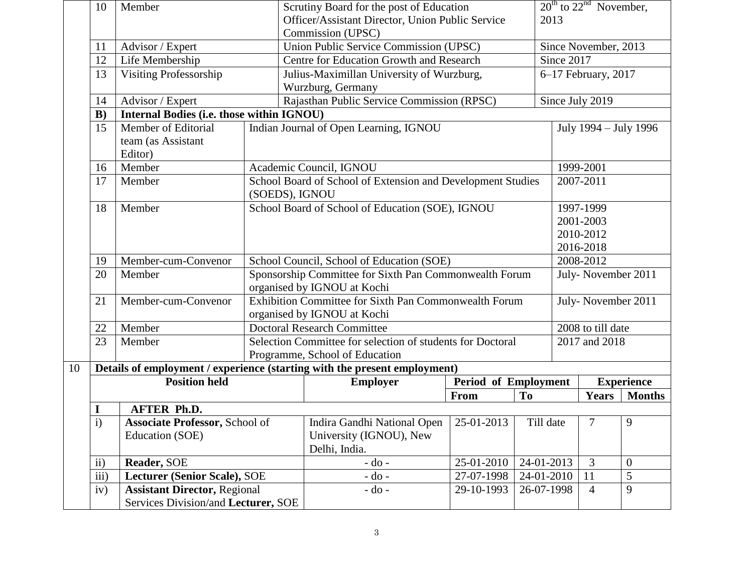|    | 10                                                    | Member                                    |                             | Scrutiny Board for the post of Education                                             |                                     | $20^{\text{th}}$ to $22^{\text{nd}}$ November, |                      |                       |                   |  |
|----|-------------------------------------------------------|-------------------------------------------|-----------------------------|--------------------------------------------------------------------------------------|-------------------------------------|------------------------------------------------|----------------------|-----------------------|-------------------|--|
|    |                                                       |                                           |                             | Officer/Assistant Director, Union Public Service                                     |                                     |                                                | 2013                 |                       |                   |  |
|    |                                                       |                                           |                             | Commission (UPSC)                                                                    |                                     |                                                |                      |                       |                   |  |
|    | 11                                                    | Advisor / Expert                          |                             | Union Public Service Commission (UPSC)                                               |                                     |                                                | Since November, 2013 |                       |                   |  |
|    | 12                                                    | Life Membership                           |                             | Centre for Education Growth and Research                                             |                                     |                                                | Since 2017           |                       |                   |  |
|    | 13                                                    | <b>Visiting Professorship</b>             |                             | Julius-Maximillan University of Wurzburg,                                            |                                     |                                                | 6-17 February, 2017  |                       |                   |  |
|    |                                                       |                                           |                             | Wurzburg, Germany                                                                    |                                     |                                                |                      |                       |                   |  |
|    | 14                                                    | Advisor / Expert                          |                             | Rajasthan Public Service Commission (RPSC)                                           |                                     |                                                |                      | Since July 2019       |                   |  |
|    | B)                                                    | Internal Bodies (i.e. those within IGNOU) |                             |                                                                                      |                                     |                                                |                      |                       |                   |  |
|    | 15                                                    | Member of Editorial                       |                             | Indian Journal of Open Learning, IGNOU                                               |                                     |                                                |                      | July 1994 – July 1996 |                   |  |
|    |                                                       | team (as Assistant<br>Editor)             |                             |                                                                                      |                                     |                                                |                      |                       |                   |  |
|    | 16                                                    | Member                                    |                             | Academic Council, IGNOU                                                              |                                     |                                                | 1999-2001            |                       |                   |  |
|    | 17                                                    | Member                                    |                             | School Board of School of Extension and Development Studies                          |                                     |                                                |                      | 2007-2011             |                   |  |
|    |                                                       |                                           | (SOEDS), IGNOU              |                                                                                      |                                     |                                                |                      |                       |                   |  |
|    | 18                                                    | Member                                    |                             | School Board of School of Education (SOE), IGNOU                                     |                                     |                                                | 1997-1999            |                       |                   |  |
|    |                                                       |                                           |                             |                                                                                      |                                     |                                                | 2001-2003            |                       |                   |  |
|    |                                                       |                                           |                             |                                                                                      |                                     | 2010-2012                                      |                      |                       |                   |  |
|    |                                                       |                                           |                             |                                                                                      |                                     | 2016-2018                                      |                      |                       |                   |  |
|    | 19                                                    | Member-cum-Convenor                       |                             | School Council, School of Education (SOE)                                            |                                     | 2008-2012                                      |                      |                       |                   |  |
|    | 20                                                    | Member                                    |                             | Sponsorship Committee for Sixth Pan Commonwealth Forum                               |                                     |                                                |                      | July-November 2011    |                   |  |
|    |                                                       |                                           |                             | organised by IGNOU at Kochi                                                          |                                     |                                                |                      |                       |                   |  |
|    | 21                                                    | Member-cum-Convenor                       |                             | Exhibition Committee for Sixth Pan Commonwealth Forum<br>organised by IGNOU at Kochi |                                     |                                                | July-November 2011   |                       |                   |  |
|    | 22                                                    | Member                                    |                             | <b>Doctoral Research Committee</b>                                                   |                                     |                                                |                      | 2008 to till date     |                   |  |
|    | 23                                                    | Member                                    |                             | Selection Committee for selection of students for Doctoral                           |                                     |                                                |                      | 2017 and 2018         |                   |  |
|    |                                                       |                                           |                             | Programme, School of Education                                                       |                                     |                                                |                      |                       |                   |  |
| 10 |                                                       |                                           |                             | Details of employment / experience (starting with the present employment)            |                                     |                                                |                      |                       |                   |  |
|    |                                                       | <b>Position held</b>                      |                             | <b>Employer</b>                                                                      | <b>Period of Employment</b>         |                                                |                      |                       | <b>Experience</b> |  |
|    |                                                       |                                           |                             |                                                                                      | From                                | T <sub>0</sub>                                 |                      | <b>Years</b>          | <b>Months</b>     |  |
|    | I                                                     | <b>AFTER Ph.D.</b>                        |                             |                                                                                      |                                     |                                                |                      |                       |                   |  |
|    | $\mathbf{i}$<br><b>Associate Professor, School of</b> |                                           | Indira Gandhi National Open | 25-01-2013                                                                           | Till date                           |                                                | 7                    | 9                     |                   |  |
|    |                                                       | Education (SOE)                           |                             | University (IGNOU), New                                                              |                                     |                                                |                      |                       |                   |  |
|    |                                                       |                                           |                             | Delhi, India.                                                                        |                                     |                                                |                      |                       |                   |  |
|    | ii)                                                   | Reader, SOE                               |                             | $-do-$                                                                               | 25-01-2010                          | 24-01-2013                                     |                      | $\overline{3}$        | $\overline{0}$    |  |
|    | iii)                                                  | Lecturer (Senior Scale), SOE              |                             |                                                                                      | $-do$ -<br>27-07-1998<br>24-01-2010 |                                                |                      | 11                    | 5                 |  |
|    | iv)                                                   | <b>Assistant Director, Regional</b>       |                             | $-do$ -                                                                              | 29-10-1993                          | 26-07-1998                                     |                      | 4                     | 9                 |  |
|    |                                                       | Services Division/and Lecturer, SOE       |                             |                                                                                      |                                     |                                                |                      |                       |                   |  |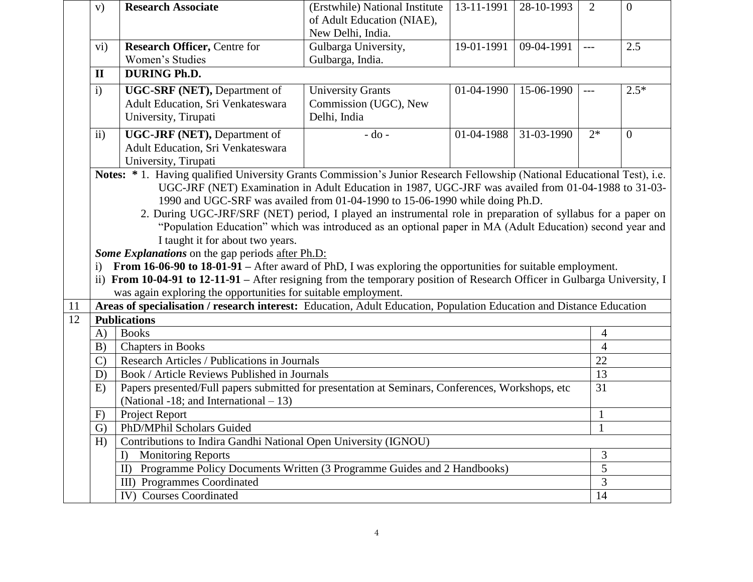|    | V)                   | <b>Research Associate</b>                                                                                                 | (Erstwhile) National Institute                                                                      | 13-11-1991 | 28-10-1993 | $\overline{2}$ | $\overline{0}$ |  |  |  |  |  |
|----|----------------------|---------------------------------------------------------------------------------------------------------------------------|-----------------------------------------------------------------------------------------------------|------------|------------|----------------|----------------|--|--|--|--|--|
|    |                      |                                                                                                                           | of Adult Education (NIAE),                                                                          |            |            |                |                |  |  |  |  |  |
|    |                      |                                                                                                                           | New Delhi, India.                                                                                   |            |            |                |                |  |  |  |  |  |
|    | $\mathbf{vi})$       | <b>Research Officer, Centre for</b>                                                                                       | Gulbarga University,                                                                                | 19-01-1991 | 09-04-1991 | $---$          | 2.5            |  |  |  |  |  |
|    |                      | Women's Studies                                                                                                           | Gulbarga, India.                                                                                    |            |            |                |                |  |  |  |  |  |
|    | $\mathbf{I}$         | <b>DURING Ph.D.</b>                                                                                                       |                                                                                                     |            |            |                |                |  |  |  |  |  |
|    | $\mathbf{i}$         | UGC-SRF (NET), Department of                                                                                              | <b>University Grants</b>                                                                            | 01-04-1990 | 15-06-1990 | $---$          | $2.5*$         |  |  |  |  |  |
|    |                      | Adult Education, Sri Venkateswara                                                                                         | Commission (UGC), New                                                                               |            |            |                |                |  |  |  |  |  |
|    |                      | University, Tirupati                                                                                                      | Delhi, India                                                                                        |            |            |                |                |  |  |  |  |  |
|    | $\mathbf{ii}$        | UGC-JRF (NET), Department of                                                                                              | $-do -$                                                                                             | 01-04-1988 | 31-03-1990 | $2*$           | $\overline{0}$ |  |  |  |  |  |
|    |                      | Adult Education, Sri Venkateswara                                                                                         |                                                                                                     |            |            |                |                |  |  |  |  |  |
|    | University, Tirupati |                                                                                                                           |                                                                                                     |            |            |                |                |  |  |  |  |  |
|    |                      | Notes: * 1. Having qualified University Grants Commission's Junior Research Fellowship (National Educational Test), i.e.  |                                                                                                     |            |            |                |                |  |  |  |  |  |
|    |                      |                                                                                                                           | UGC-JRF (NET) Examination in Adult Education in 1987, UGC-JRF was availed from 01-04-1988 to 31-03- |            |            |                |                |  |  |  |  |  |
|    |                      | 1990 and UGC-SRF was availed from 01-04-1990 to 15-06-1990 while doing Ph.D.                                              |                                                                                                     |            |            |                |                |  |  |  |  |  |
|    |                      | 2. During UGC-JRF/SRF (NET) period, I played an instrumental role in preparation of syllabus for a paper on               |                                                                                                     |            |            |                |                |  |  |  |  |  |
|    |                      | "Population Education" which was introduced as an optional paper in MA (Adult Education) second year and                  |                                                                                                     |            |            |                |                |  |  |  |  |  |
|    |                      | I taught it for about two years.                                                                                          |                                                                                                     |            |            |                |                |  |  |  |  |  |
|    |                      | Some Explanations on the gap periods after Ph.D:                                                                          |                                                                                                     |            |            |                |                |  |  |  |  |  |
|    | $\mathbf{i}$         | From 16-06-90 to 18-01-91 – After award of PhD, I was exploring the opportunities for suitable employment.                |                                                                                                     |            |            |                |                |  |  |  |  |  |
|    |                      | ii) From 10-04-91 to 12-11-91 – After resigning from the temporary position of Research Officer in Gulbarga University, I |                                                                                                     |            |            |                |                |  |  |  |  |  |
|    |                      | was again exploring the opportunities for suitable employment.                                                            |                                                                                                     |            |            |                |                |  |  |  |  |  |
| 11 |                      | Areas of specialisation / research interest: Education, Adult Education, Population Education and Distance Education      |                                                                                                     |            |            |                |                |  |  |  |  |  |
| 12 |                      | <b>Publications</b>                                                                                                       |                                                                                                     |            |            |                |                |  |  |  |  |  |
|    | $\bf{A}$             | <b>Books</b>                                                                                                              |                                                                                                     |            |            | 4              |                |  |  |  |  |  |
|    | B)                   | Chapters in Books                                                                                                         |                                                                                                     |            |            | $\overline{4}$ |                |  |  |  |  |  |
|    | $\mathcal{C}$        | Research Articles / Publications in Journals                                                                              |                                                                                                     |            |            | 22             |                |  |  |  |  |  |
|    | D)                   | Book / Article Reviews Published in Journals                                                                              |                                                                                                     |            |            | 13             |                |  |  |  |  |  |
|    | E)                   | Papers presented/Full papers submitted for presentation at Seminars, Conferences, Workshops, etc                          |                                                                                                     |            |            | 31             |                |  |  |  |  |  |
|    |                      | (National -18; and International $-13$ )                                                                                  |                                                                                                     |            |            |                |                |  |  |  |  |  |
|    | F)                   | Project Report<br>$\mathbf{1}$                                                                                            |                                                                                                     |            |            |                |                |  |  |  |  |  |
|    | G)                   | PhD/MPhil Scholars Guided<br>$\mathbf{1}$                                                                                 |                                                                                                     |            |            |                |                |  |  |  |  |  |
|    | H)                   | Contributions to Indira Gandhi National Open University (IGNOU)                                                           |                                                                                                     |            |            |                |                |  |  |  |  |  |
|    |                      | <b>Monitoring Reports</b><br>I)                                                                                           |                                                                                                     |            |            | 3              |                |  |  |  |  |  |
|    |                      | Programme Policy Documents Written (3 Programme Guides and 2 Handbooks)<br>$\mathbf{I}$                                   |                                                                                                     |            |            | 5              |                |  |  |  |  |  |
|    |                      | <b>III)</b> Programmes Coordinated                                                                                        |                                                                                                     |            |            | 3              |                |  |  |  |  |  |
|    |                      | IV) Courses Coordinated<br>14                                                                                             |                                                                                                     |            |            |                |                |  |  |  |  |  |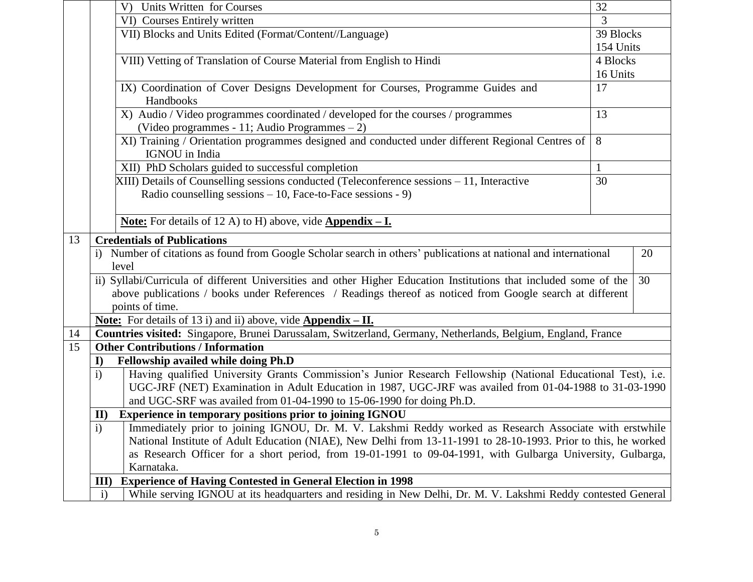|    | 32                                                                                                                      |                                                                                                                                   |           |  |  |  |  |  |  |
|----|-------------------------------------------------------------------------------------------------------------------------|-----------------------------------------------------------------------------------------------------------------------------------|-----------|--|--|--|--|--|--|
|    |                                                                                                                         | VI) Courses Entirely written                                                                                                      | 3         |  |  |  |  |  |  |
|    |                                                                                                                         | VII) Blocks and Units Edited (Format/Content//Language)                                                                           | 39 Blocks |  |  |  |  |  |  |
|    |                                                                                                                         |                                                                                                                                   | 154 Units |  |  |  |  |  |  |
|    |                                                                                                                         | VIII) Vetting of Translation of Course Material from English to Hindi                                                             | 4 Blocks  |  |  |  |  |  |  |
|    |                                                                                                                         |                                                                                                                                   | 16 Units  |  |  |  |  |  |  |
|    |                                                                                                                         | IX) Coordination of Cover Designs Development for Courses, Programme Guides and<br>Handbooks                                      | 17        |  |  |  |  |  |  |
|    |                                                                                                                         | X) Audio / Video programmes coordinated / developed for the courses / programmes<br>(Video programmes - 11; Audio Programmes - 2) | 13        |  |  |  |  |  |  |
|    |                                                                                                                         | XI) Training / Orientation programmes designed and conducted under different Regional Centres of<br>IGNOU in India                | 8         |  |  |  |  |  |  |
|    | XII) PhD Scholars guided to successful completion                                                                       |                                                                                                                                   |           |  |  |  |  |  |  |
|    |                                                                                                                         | XIII) Details of Counselling sessions conducted (Teleconference sessions - 11, Interactive                                        | 30        |  |  |  |  |  |  |
|    |                                                                                                                         | Radio counselling sessions $-10$ , Face-to-Face sessions - 9)                                                                     |           |  |  |  |  |  |  |
|    |                                                                                                                         |                                                                                                                                   |           |  |  |  |  |  |  |
|    |                                                                                                                         | <b><u>Note:</u></b> For details of 12 A) to H) above, vide $\Delta$ <b>ppendix</b> - <b>I</b> .                                   |           |  |  |  |  |  |  |
| 13 |                                                                                                                         | <b>Credentials of Publications</b>                                                                                                |           |  |  |  |  |  |  |
|    | i) Number of citations as found from Google Scholar search in others' publications at national and international<br>20  |                                                                                                                                   |           |  |  |  |  |  |  |
|    |                                                                                                                         | level                                                                                                                             |           |  |  |  |  |  |  |
|    | ii) Syllabi/Curricula of different Universities and other Higher Education Institutions that included some of the<br>30 |                                                                                                                                   |           |  |  |  |  |  |  |
|    |                                                                                                                         | above publications / books under References / Readings thereof as noticed from Google search at different                         |           |  |  |  |  |  |  |
|    |                                                                                                                         | points of time.                                                                                                                   |           |  |  |  |  |  |  |
|    |                                                                                                                         | <b><u>Note:</u></b> For details of 13 i) and ii) above, vide <b>Appendix - II.</b>                                                |           |  |  |  |  |  |  |
| 14 |                                                                                                                         | Countries visited: Singapore, Brunei Darussalam, Switzerland, Germany, Netherlands, Belgium, England, France                      |           |  |  |  |  |  |  |
| 15 |                                                                                                                         | <b>Other Contributions / Information</b>                                                                                          |           |  |  |  |  |  |  |
|    | $\bf{I}$                                                                                                                | Fellowship availed while doing Ph.D                                                                                               |           |  |  |  |  |  |  |
|    | $\mathbf{i}$                                                                                                            | Having qualified University Grants Commission's Junior Research Fellowship (National Educational Test), i.e.                      |           |  |  |  |  |  |  |
|    |                                                                                                                         | UGC-JRF (NET) Examination in Adult Education in 1987, UGC-JRF was availed from 01-04-1988 to 31-03-1990                           |           |  |  |  |  |  |  |
|    | and UGC-SRF was availed from 01-04-1990 to 15-06-1990 for doing Ph.D.                                                   |                                                                                                                                   |           |  |  |  |  |  |  |
|    | Experience in temporary positions prior to joining IGNOU<br>$\mathbf{II}$                                               |                                                                                                                                   |           |  |  |  |  |  |  |
|    | i)                                                                                                                      | Immediately prior to joining IGNOU, Dr. M. V. Lakshmi Reddy worked as Research Associate with erstwhile                           |           |  |  |  |  |  |  |
|    |                                                                                                                         | National Institute of Adult Education (NIAE), New Delhi from 13-11-1991 to 28-10-1993. Prior to this, he worked                   |           |  |  |  |  |  |  |
|    |                                                                                                                         | as Research Officer for a short period, from 19-01-1991 to 09-04-1991, with Gulbarga University, Gulbarga,                        |           |  |  |  |  |  |  |
|    |                                                                                                                         | Karnataka.                                                                                                                        |           |  |  |  |  |  |  |
|    | III                                                                                                                     | <b>Experience of Having Contested in General Election in 1998</b>                                                                 |           |  |  |  |  |  |  |
|    | $\mathbf{i}$                                                                                                            | While serving IGNOU at its headquarters and residing in New Delhi, Dr. M. V. Lakshmi Reddy contested General                      |           |  |  |  |  |  |  |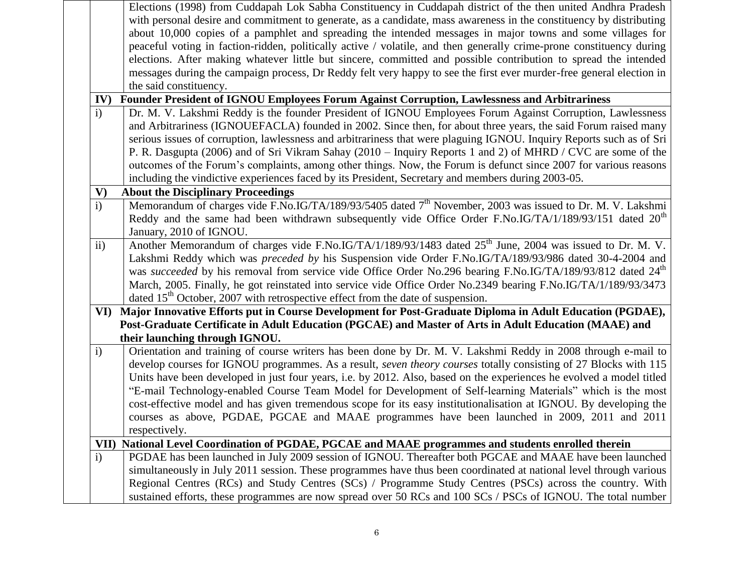|               | Elections (1998) from Cuddapah Lok Sabha Constituency in Cuddapah district of the then united Andhra Pradesh            |
|---------------|-------------------------------------------------------------------------------------------------------------------------|
|               | with personal desire and commitment to generate, as a candidate, mass awareness in the constituency by distributing     |
|               | about 10,000 copies of a pamphlet and spreading the intended messages in major towns and some villages for              |
|               | peaceful voting in faction-ridden, politically active / volatile, and then generally crime-prone constituency during    |
|               | elections. After making whatever little but sincere, committed and possible contribution to spread the intended         |
|               | messages during the campaign process, Dr Reddy felt very happy to see the first ever murder-free general election in    |
|               | the said constituency.                                                                                                  |
| IV)           | Founder President of IGNOU Employees Forum Against Corruption, Lawlessness and Arbitrariness                            |
| i)            | Dr. M. V. Lakshmi Reddy is the founder President of IGNOU Employees Forum Against Corruption, Lawlessness               |
|               | and Arbitrariness (IGNOUEFACLA) founded in 2002. Since then, for about three years, the said Forum raised many          |
|               | serious issues of corruption, lawlessness and arbitrariness that were plaguing IGNOU. Inquiry Reports such as of Sri    |
|               | P. R. Dasgupta (2006) and of Sri Vikram Sahay (2010 – Inquiry Reports 1 and 2) of MHRD / CVC are some of the            |
|               | outcomes of the Forum's complaints, among other things. Now, the Forum is defunct since 2007 for various reasons        |
|               | including the vindictive experiences faced by its President, Secretary and members during 2003-05.                      |
| $\mathbf{V})$ | <b>About the Disciplinary Proceedings</b>                                                                               |
| $\mathbf{i}$  | Memorandum of charges vide F.No.IG/TA/189/93/5405 dated 7 <sup>th</sup> November, 2003 was issued to Dr. M. V. Lakshmi  |
|               | Reddy and the same had been withdrawn subsequently vide Office Order F.No.IG/TA/1/189/93/151 dated 20 <sup>th</sup>     |
|               | January, 2010 of IGNOU.                                                                                                 |
| ii)           | Another Memorandum of charges vide F.No.IG/TA/1/189/93/1483 dated 25 <sup>th</sup> June, 2004 was issued to Dr. M. V.   |
|               | Lakshmi Reddy which was preceded by his Suspension vide Order F.No.IG/TA/189/93/986 dated 30-4-2004 and                 |
|               | was succeeded by his removal from service vide Office Order No.296 bearing F.No.IG/TA/189/93/812 dated 24 <sup>th</sup> |
|               | March, 2005. Finally, he got reinstated into service vide Office Order No.2349 bearing F.No.IG/TA/1/189/93/3473         |
|               | dated 15 <sup>th</sup> October, 2007 with retrospective effect from the date of suspension.                             |
| VI)           | Major Innovative Efforts put in Course Development for Post-Graduate Diploma in Adult Education (PGDAE),                |
|               | Post-Graduate Certificate in Adult Education (PGCAE) and Master of Arts in Adult Education (MAAE) and                   |
|               | their launching through IGNOU.                                                                                          |
| $\mathbf{i}$  | Orientation and training of course writers has been done by Dr. M. V. Lakshmi Reddy in 2008 through e-mail to           |
|               | develop courses for IGNOU programmes. As a result, seven theory courses totally consisting of 27 Blocks with 115        |
|               | Units have been developed in just four years, i.e. by 2012. Also, based on the experiences he evolved a model titled    |
|               | "E-mail Technology-enabled Course Team Model for Development of Self-learning Materials" which is the most              |
|               | cost-effective model and has given tremendous scope for its easy institutionalisation at IGNOU. By developing the       |
|               | courses as above, PGDAE, PGCAE and MAAE programmes have been launched in 2009, 2011 and 2011                            |
|               | respectively.                                                                                                           |
|               | VII) National Level Coordination of PGDAE, PGCAE and MAAE programmes and students enrolled therein                      |
| $\mathbf{i}$  | PGDAE has been launched in July 2009 session of IGNOU. Thereafter both PGCAE and MAAE have been launched                |
|               | simultaneously in July 2011 session. These programmes have thus been coordinated at national level through various      |
|               | Regional Centres (RCs) and Study Centres (SCs) / Programme Study Centres (PSCs) across the country. With                |
|               | sustained efforts, these programmes are now spread over 50 RCs and 100 SCs / PSCs of IGNOU. The total number            |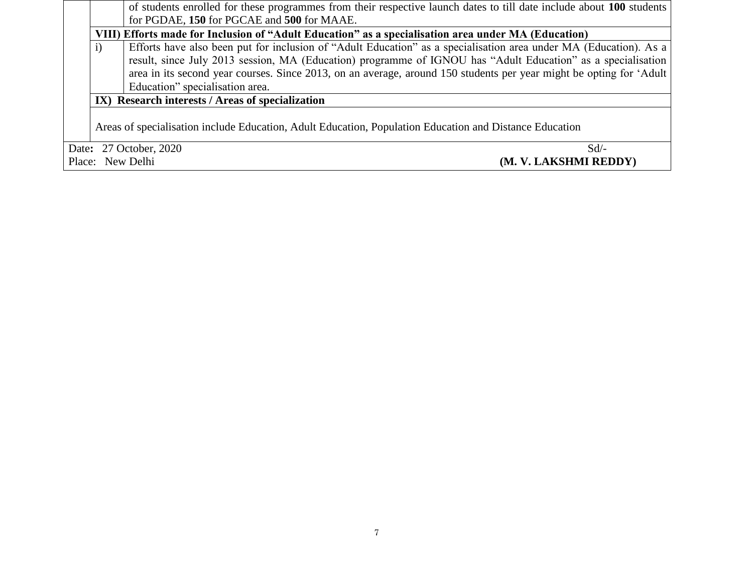|                                           |                                                                                                                                                                                                                                          | of students enrolled for these programmes from their respective launch dates to till date include about 100 students |  |  |  |  |  |  |  |  |
|-------------------------------------------|------------------------------------------------------------------------------------------------------------------------------------------------------------------------------------------------------------------------------------------|----------------------------------------------------------------------------------------------------------------------|--|--|--|--|--|--|--|--|
|                                           |                                                                                                                                                                                                                                          | for PGDAE, 150 for PGCAE and 500 for MAAE.                                                                           |  |  |  |  |  |  |  |  |
|                                           | VIII) Efforts made for Inclusion of "Adult Education" as a specialisation area under MA (Education)<br>Efforts have also been put for inclusion of "Adult Education" as a specialisation area under MA (Education). As a<br>$\mathbf{i}$ |                                                                                                                      |  |  |  |  |  |  |  |  |
|                                           |                                                                                                                                                                                                                                          |                                                                                                                      |  |  |  |  |  |  |  |  |
|                                           |                                                                                                                                                                                                                                          | result, since July 2013 session, MA (Education) programme of IGNOU has "Adult Education" as a specialisation         |  |  |  |  |  |  |  |  |
|                                           |                                                                                                                                                                                                                                          | area in its second year courses. Since 2013, on an average, around 150 students per year might be opting for 'Adult  |  |  |  |  |  |  |  |  |
|                                           |                                                                                                                                                                                                                                          | Education" specialisation area.                                                                                      |  |  |  |  |  |  |  |  |
|                                           |                                                                                                                                                                                                                                          | IX) Research interests / Areas of specialization                                                                     |  |  |  |  |  |  |  |  |
|                                           |                                                                                                                                                                                                                                          |                                                                                                                      |  |  |  |  |  |  |  |  |
|                                           |                                                                                                                                                                                                                                          | Areas of specialisation include Education, Adult Education, Population Education and Distance Education              |  |  |  |  |  |  |  |  |
|                                           |                                                                                                                                                                                                                                          |                                                                                                                      |  |  |  |  |  |  |  |  |
|                                           |                                                                                                                                                                                                                                          | Date: 27 October, 2020<br>$Sd$ –                                                                                     |  |  |  |  |  |  |  |  |
| Place: New Delhi<br>(M. V. LAKSHMI REDDY) |                                                                                                                                                                                                                                          |                                                                                                                      |  |  |  |  |  |  |  |  |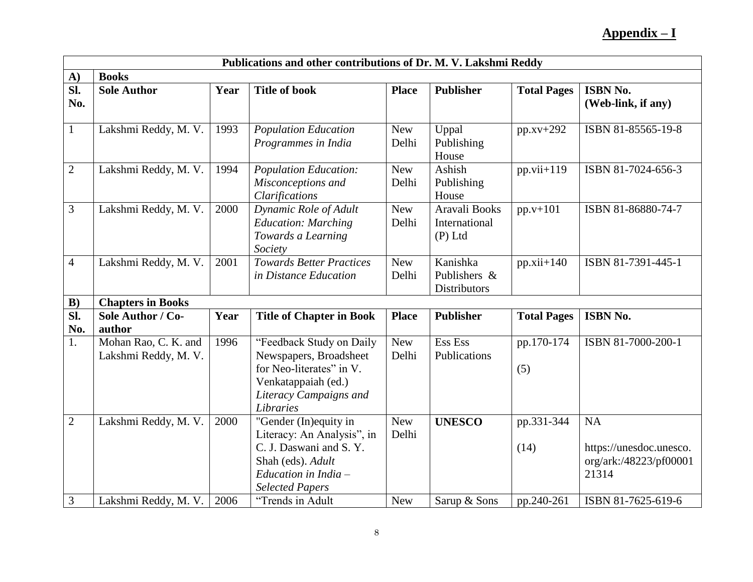## **Appendix – I**

|                         | Publications and other contributions of Dr. M. V. Lakshmi Reddy |      |                                                          |                     |                            |                    |                                       |  |  |  |  |
|-------------------------|-----------------------------------------------------------------|------|----------------------------------------------------------|---------------------|----------------------------|--------------------|---------------------------------------|--|--|--|--|
| A)                      | <b>Books</b>                                                    |      |                                                          |                     |                            |                    |                                       |  |  |  |  |
| $\overline{sl.}$<br>No. | <b>Sole Author</b>                                              | Year | <b>Title of book</b>                                     | <b>Place</b>        | <b>Publisher</b>           | <b>Total Pages</b> | <b>ISBN No.</b><br>(Web-link, if any) |  |  |  |  |
|                         |                                                                 |      |                                                          |                     |                            |                    |                                       |  |  |  |  |
| $\mathbf{1}$            | Lakshmi Reddy, M. V.                                            | 1993 | <b>Population Education</b>                              | <b>New</b>          | Uppal                      | $pp.xv+292$        | ISBN 81-85565-19-8                    |  |  |  |  |
|                         |                                                                 |      | Programmes in India                                      | Delhi               | Publishing<br>House        |                    |                                       |  |  |  |  |
| $\mathbf{2}$            | Lakshmi Reddy, M. V.                                            | 1994 | <b>Population Education:</b>                             | <b>New</b>          | Ashish                     | $pp.vii+119$       | ISBN 81-7024-656-3                    |  |  |  |  |
|                         |                                                                 |      | Misconceptions and<br>Clarifications                     | Delhi               | Publishing<br>House        |                    |                                       |  |  |  |  |
| 3                       | Lakshmi Reddy, M. V.                                            | 2000 | Dynamic Role of Adult                                    | <b>New</b>          | Aravali Books              | $pp.v+101$         | ISBN 81-86880-74-7                    |  |  |  |  |
|                         |                                                                 |      | <b>Education: Marching</b><br>Towards a Learning         | Delhi               | International<br>$(P)$ Ltd |                    |                                       |  |  |  |  |
|                         |                                                                 |      | Society                                                  |                     |                            |                    |                                       |  |  |  |  |
| $\overline{4}$          | Lakshmi Reddy, M. V.                                            | 2001 | <b>Towards Better Practices</b><br>in Distance Education | <b>New</b><br>Delhi | Kanishka<br>Publishers &   | $pp.xii+140$       | ISBN 81-7391-445-1                    |  |  |  |  |
|                         |                                                                 |      |                                                          |                     | <b>Distributors</b>        |                    |                                       |  |  |  |  |
| B)                      | <b>Chapters in Books</b>                                        |      |                                                          |                     |                            |                    |                                       |  |  |  |  |
| Sl.                     | Sole Author / Co-                                               | Year | <b>Title of Chapter in Book</b>                          | <b>Place</b>        | <b>Publisher</b>           | <b>Total Pages</b> | ISBN No.                              |  |  |  |  |
| No.                     | author                                                          |      |                                                          |                     |                            |                    |                                       |  |  |  |  |
| 1.                      | Mohan Rao, C. K. and                                            | 1996 | "Feedback Study on Daily                                 | <b>New</b>          | Ess Ess                    | pp.170-174         | ISBN 81-7000-200-1                    |  |  |  |  |
|                         | Lakshmi Reddy, M. V.                                            |      | Newspapers, Broadsheet<br>for Neo-literates" in V.       | Delhi               | Publications               | (5)                |                                       |  |  |  |  |
|                         |                                                                 |      | Venkatappaiah (ed.)                                      |                     |                            |                    |                                       |  |  |  |  |
|                         |                                                                 |      | Literacy Campaigns and                                   |                     |                            |                    |                                       |  |  |  |  |
|                         |                                                                 |      | Libraries                                                |                     |                            |                    |                                       |  |  |  |  |
| $\overline{2}$          | Lakshmi Reddy, M. V.                                            | 2000 | "Gender (In)equity in                                    | <b>New</b>          | <b>UNESCO</b>              | pp.331-344         | <b>NA</b>                             |  |  |  |  |
|                         |                                                                 |      | Literacy: An Analysis", in<br>C. J. Daswani and S. Y.    | Delhi               |                            | (14)               | https://unesdoc.unesco.               |  |  |  |  |
|                         |                                                                 |      | Shah (eds). Adult                                        |                     |                            |                    | org/ark:/48223/pf00001                |  |  |  |  |
|                         |                                                                 |      | Education in India $-$                                   |                     |                            |                    | 21314                                 |  |  |  |  |
|                         |                                                                 |      | <b>Selected Papers</b>                                   |                     |                            |                    |                                       |  |  |  |  |
| $\mathfrak{Z}$          | Lakshmi Reddy, M. V.                                            | 2006 | "Trends in Adult                                         | <b>New</b>          | Sarup & Sons               | pp.240-261         | ISBN 81-7625-619-6                    |  |  |  |  |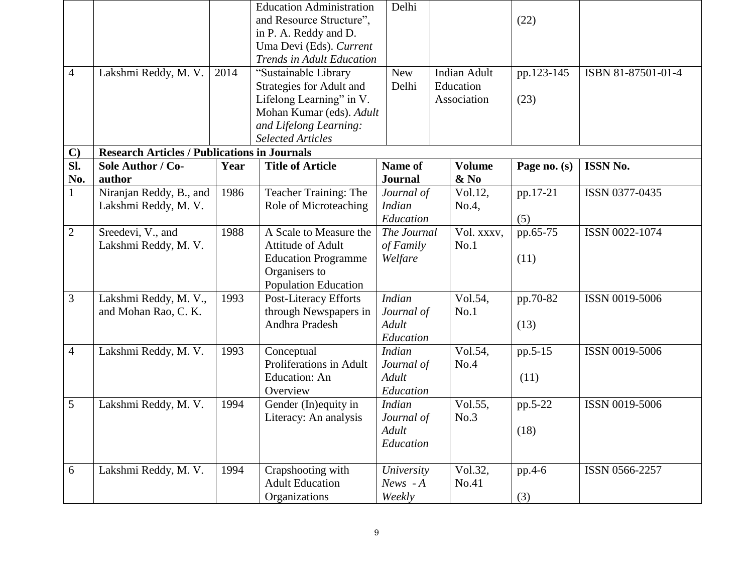|                     |                                                                          |      | <b>Education Administration</b><br>and Resource Structure".<br>in P. A. Reddy and D.<br>Uma Devi (Eds). Current<br><b>Trends in Adult Education</b> | Delhi                                             |                                   |                                  | (22)             |                    |          |                |
|---------------------|--------------------------------------------------------------------------|------|-----------------------------------------------------------------------------------------------------------------------------------------------------|---------------------------------------------------|-----------------------------------|----------------------------------|------------------|--------------------|----------|----------------|
| $\overline{4}$      | Lakshmi Reddy, M. V.                                                     | 2014 | "Sustainable Library                                                                                                                                | <b>New</b><br>Delhi                               |                                   | <b>Indian Adult</b><br>Education | pp.123-145       | ISBN 81-87501-01-4 |          |                |
|                     |                                                                          |      | Strategies for Adult and<br>Lifelong Learning" in V.<br>Mohan Kumar (eds). Adult<br>and Lifelong Learning:                                          |                                                   | Association                       |                                  | (23)             |                    |          |                |
|                     |                                                                          |      | <b>Selected Articles</b>                                                                                                                            |                                                   |                                   |                                  |                  |                    |          |                |
| $\mathbf{C}$<br>Sl. | <b>Research Articles / Publications in Journals</b><br>Sole Author / Co- | Year | <b>Title of Article</b>                                                                                                                             | <b>Name of</b>                                    |                                   | <b>Volume</b>                    | Page no. (s)     | <b>ISSN No.</b>    |          |                |
| No.                 | author                                                                   |      |                                                                                                                                                     | <b>Journal</b>                                    |                                   | $\&$ No                          |                  |                    |          |                |
| $\mathbf{1}$        | Niranjan Reddy, B., and<br>Lakshmi Reddy, M. V.                          | 1986 | Teacher Training: The<br>Role of Microteaching                                                                                                      | Journal of<br><b>Indian</b>                       |                                   |                                  |                  | Vol.12,<br>No.4,   | pp.17-21 | ISSN 0377-0435 |
|                     |                                                                          |      |                                                                                                                                                     | Education                                         |                                   |                                  | (5)              |                    |          |                |
| $\overline{2}$      | Sreedevi, V., and<br>Lakshmi Reddy, M. V.                                | 1988 | A Scale to Measure the<br>Attitude of Adult<br><b>Education Programme</b><br>Organisers to<br>Population Education                                  | of Family<br>Welfare                              | Vol. xxxv,<br>The Journal<br>No.1 |                                  | pp.65-75<br>(11) | ISSN 0022-1074     |          |                |
| 3                   | Lakshmi Reddy, M. V.,<br>and Mohan Rao, C. K.                            | 1993 | Post-Literacy Efforts<br>through Newspapers in<br>Andhra Pradesh                                                                                    | <b>Indian</b><br>Journal of<br>Adult<br>Education |                                   | Vol.54,<br>No.1                  | pp.70-82<br>(13) | ISSN 0019-5006     |          |                |
| $\overline{4}$      | Lakshmi Reddy, M. V.                                                     | 1993 | Conceptual<br>Proliferations in Adult<br><b>Education: An</b><br>Overview                                                                           | <b>Indian</b><br>Journal of<br>Adult<br>Education |                                   | Vol.54,<br>No.4                  | pp.5-15<br>(11)  | ISSN 0019-5006     |          |                |
| 5                   | Lakshmi Reddy, M. V.                                                     | 1994 | Gender (In) equity in<br>Literacy: An analysis                                                                                                      | <b>Indian</b><br>Journal of<br>Adult<br>Education |                                   | Vol.55,<br>No.3                  | pp.5-22<br>(18)  | ISSN 0019-5006     |          |                |
| 6                   | Lakshmi Reddy, M. V.                                                     | 1994 | Crapshooting with<br><b>Adult Education</b><br>Organizations                                                                                        | University<br>$News - A$<br>Weekly                |                                   | Vol.32,<br>No.41                 | pp.4-6<br>(3)    | ISSN 0566-2257     |          |                |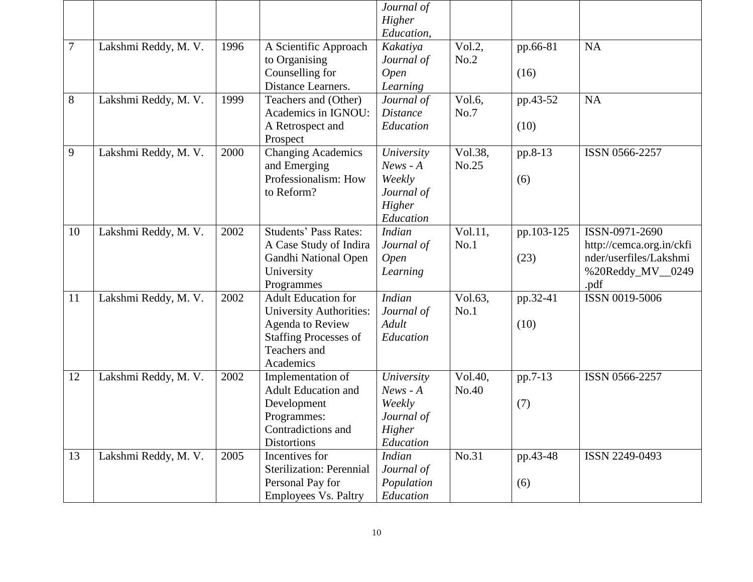|        |                      |      |                                                                                                                                               | Journal of<br>Higher<br>Education,                                      |                                                             |                  |                                                                                                   |
|--------|----------------------|------|-----------------------------------------------------------------------------------------------------------------------------------------------|-------------------------------------------------------------------------|-------------------------------------------------------------|------------------|---------------------------------------------------------------------------------------------------|
| $\tau$ | Lakshmi Reddy, M. V. | 1996 | A Scientific Approach<br>to Organising<br>Counselling for<br>Distance Learners.                                                               | Kakatiya<br>Journal of<br><b>Open</b><br>Learning                       | Vol.2,<br>No.2                                              | pp.66-81<br>(16) | <b>NA</b>                                                                                         |
| 8      | Lakshmi Reddy, M. V. | 1999 | Teachers and (Other)<br>Academics in IGNOU:<br>A Retrospect and<br>Prospect                                                                   | Journal of<br><b>Distance</b><br>Education                              | Vol.6,<br>No.7                                              | pp.43-52<br>(10) | <b>NA</b>                                                                                         |
| 9      | Lakshmi Reddy, M. V. | 2000 | <b>Changing Academics</b><br>and Emerging<br>Professionalism: How<br>to Reform?                                                               | University<br>$News - A$<br>Weekly<br>Journal of<br>Higher<br>Education | Vol.38,<br>pp.8-13<br>No.25<br>(6)<br>Vol.11,<br>pp.103-125 |                  | ISSN 0566-2257                                                                                    |
| 10     | Lakshmi Reddy, M. V. | 2002 | Students' Pass Rates:<br>A Case Study of Indira<br>Gandhi National Open<br>University<br>Programmes                                           | <b>Indian</b><br>Journal of<br><b>Open</b><br>Learning                  | No.1<br>(23)                                                |                  | ISSN-0971-2690<br>http://cemca.org.in/ckfi<br>nder/userfiles/Lakshmi<br>%20Reddy_MV__0249<br>.pdf |
| 11     | Lakshmi Reddy, M. V. | 2002 | <b>Adult Education for</b><br><b>University Authorities:</b><br>Agenda to Review<br><b>Staffing Processes of</b><br>Teachers and<br>Academics | <b>Indian</b><br>Journal of<br>Adult<br>Education                       | Vol.63,<br>No.1                                             | pp.32-41<br>(10) | ISSN 0019-5006                                                                                    |
| 12     | Lakshmi Reddy, M. V. | 2002 | Implementation of<br><b>Adult Education and</b><br>Development<br>Programmes:<br>Contradictions and<br><b>Distortions</b>                     | University<br>$News - A$<br>Weekly<br>Journal of<br>Higher<br>Education | Vol.40,<br>No.40                                            | pp.7-13<br>(7)   | ISSN 0566-2257                                                                                    |
| 13     | Lakshmi Reddy, M. V. | 2005 | Incentives for<br><b>Sterilization: Perennial</b><br>Personal Pay for<br><b>Employees Vs. Paltry</b>                                          | <b>Indian</b><br>Journal of<br>Population<br>Education                  | No.31                                                       | pp.43-48<br>(6)  | ISSN 2249-0493                                                                                    |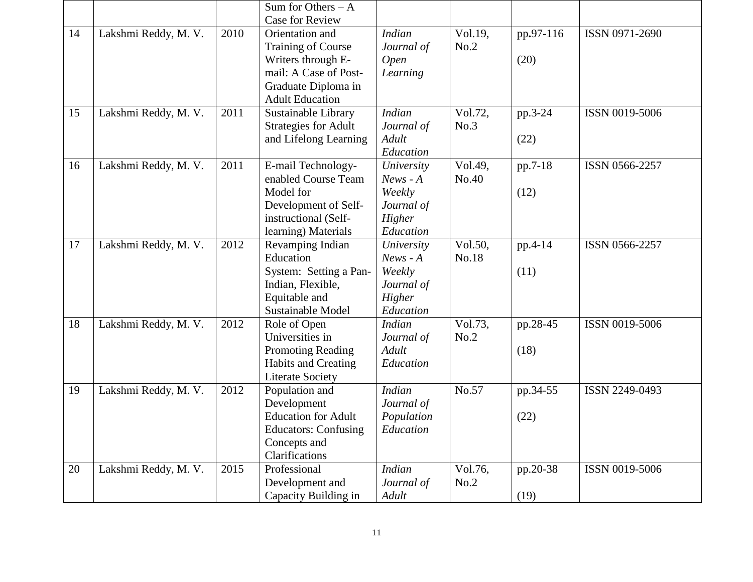|    |                      |      | Sum for Others $- A$<br><b>Case for Review</b>                                                                                               |                                                                         |                  |                   |                |
|----|----------------------|------|----------------------------------------------------------------------------------------------------------------------------------------------|-------------------------------------------------------------------------|------------------|-------------------|----------------|
| 14 | Lakshmi Reddy, M. V. | 2010 | Orientation and<br><b>Training of Course</b><br>Writers through E-<br>mail: A Case of Post-<br>Graduate Diploma in<br><b>Adult Education</b> | <b>Indian</b><br>Journal of<br>Open<br>Learning                         | Vol.19,<br>No.2  | pp.97-116<br>(20) | ISSN 0971-2690 |
| 15 | Lakshmi Reddy, M. V. | 2011 | Sustainable Library<br><b>Strategies for Adult</b><br>and Lifelong Learning                                                                  | <b>Indian</b><br>Journal of<br>Adult<br>Education                       | Vol.72,<br>No.3  | pp.3-24<br>(22)   | ISSN 0019-5006 |
| 16 | Lakshmi Reddy, M. V. | 2011 | E-mail Technology-<br>enabled Course Team<br>Model for<br>Development of Self-<br>instructional (Self-<br>learning) Materials                | University<br>$News - A$<br>Weekly<br>Journal of<br>Higher<br>Education | Vol.49,<br>No.40 | pp.7-18<br>(12)   | ISSN 0566-2257 |
| 17 | Lakshmi Reddy, M. V. | 2012 | Revamping Indian<br>Education<br>System: Setting a Pan-<br>Indian, Flexible,<br>Equitable and<br>Sustainable Model                           | University<br>$News - A$<br>Weekly<br>Journal of<br>Higher<br>Education | Vol.50,<br>No.18 | pp.4-14<br>(11)   | ISSN 0566-2257 |
| 18 | Lakshmi Reddy, M. V. | 2012 | Role of Open<br>Universities in<br><b>Promoting Reading</b><br>Habits and Creating<br><b>Literate Society</b>                                | <b>Indian</b><br>Journal of<br>Adult<br>Education                       | Vol.73,<br>No.2  | pp.28-45<br>(18)  | ISSN 0019-5006 |
| 19 | Lakshmi Reddy, M. V. | 2012 | Population and<br>Development<br><b>Education for Adult</b><br><b>Educators: Confusing</b><br>Concepts and<br>Clarifications                 | <b>Indian</b><br>Journal of<br>Population<br>Education                  | No.57            | pp.34-55<br>(22)  | ISSN 2249-0493 |
| 20 | Lakshmi Reddy, M. V. | 2015 | Professional<br>Development and<br>Capacity Building in                                                                                      | <b>Indian</b><br>Journal of<br>Adult                                    | Vol.76,<br>No.2  | pp.20-38<br>(19)  | ISSN 0019-5006 |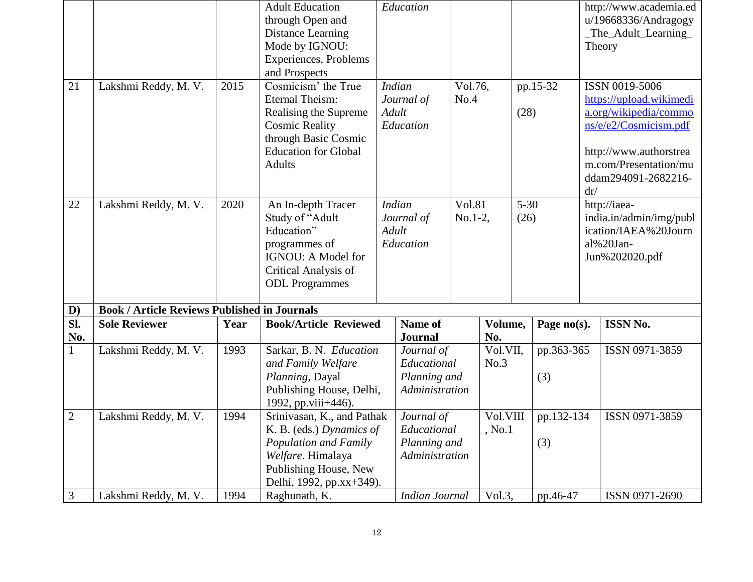|                                   |                                                     |              | <b>Adult Education</b><br>through Open and<br>Distance Learning<br>Mode by IGNOU:<br>Experiences, Problems<br>and Prospects                                                      |                                                   | Education                                                                       |                 |                    |                  |                   |                                                                                                                                                                              | http://www.academia.ed<br>u/19668336/Andragogy<br>_The_Adult_Learning_<br>Theory               |  |
|-----------------------------------|-----------------------------------------------------|--------------|----------------------------------------------------------------------------------------------------------------------------------------------------------------------------------|---------------------------------------------------|---------------------------------------------------------------------------------|-----------------|--------------------|------------------|-------------------|------------------------------------------------------------------------------------------------------------------------------------------------------------------------------|------------------------------------------------------------------------------------------------|--|
| 21                                | Lakshmi Reddy, M. V.                                | 2015         | Cosmicism' the True<br><b>Eternal Theism:</b><br>Realising the Supreme<br><b>Cosmic Reality</b><br>through Basic Cosmic<br><b>Education for Global</b><br><b>Adults</b>          | <b>Indian</b><br>Journal of<br>Adult<br>Education |                                                                                 | Vol.76,<br>No.4 |                    | pp.15-32<br>(28) |                   | ISSN 0019-5006<br>https://upload.wikimedi<br>a.org/wikipedia/commo<br>ns/e/e2/Cosmicism.pdf<br>http://www.authorstrea<br>m.com/Presentation/mu<br>ddam294091-2682216-<br>dr/ |                                                                                                |  |
| 22                                | Lakshmi Reddy, M. V.                                | 2020         | An In-depth Tracer<br>Study of "Adult<br>Education"<br>programmes of<br>IGNOU: A Model for<br>Critical Analysis of<br><b>ODL</b> Programmes                                      |                                                   | <b>Vol.81</b><br><b>Indian</b><br>$No.1-2,$<br>Journal of<br>Adult<br>Education |                 |                    |                  | $5 - 30$<br>(26)  |                                                                                                                                                                              | http://iaea-<br>india.in/admin/img/publ<br>ication/IAEA%20Journ<br>al%20Jan-<br>Jun%202020.pdf |  |
| $\mathbf{D}$                      | <b>Book / Article Reviews Published in Journals</b> |              |                                                                                                                                                                                  |                                                   |                                                                                 |                 |                    |                  |                   |                                                                                                                                                                              |                                                                                                |  |
| $\overline{\mathbf{S}}$ l.<br>No. | <b>Sole Reviewer</b>                                | Year         | <b>Book/Article Reviewed</b>                                                                                                                                                     |                                                   | Name of<br><b>Journal</b>                                                       |                 | Volume,<br>No.     |                  | Page no(s).       |                                                                                                                                                                              | <b>ISSN No.</b>                                                                                |  |
| $\mathbf{1}$                      | Lakshmi Reddy, M. V.                                | 1993         | Sarkar, B. N. Education<br>and Family Welfare<br>Planning, Dayal<br>Publishing House, Delhi,                                                                                     |                                                   | Journal of<br>Educational<br>Planning and<br>Administration                     |                 | Vol.VII,<br>No.3   |                  | pp.363-365<br>(3) |                                                                                                                                                                              | ISSN 0971-3859                                                                                 |  |
| $\overline{2}$<br>3               | Lakshmi Reddy, M. V.                                | 1994<br>1994 | 1992, pp.viii+446).<br>Srinivasan, K., and Pathak<br>K. B. (eds.) Dynamics of<br>Population and Family<br>Welfare. Himalaya<br>Publishing House, New<br>Delhi, 1992, pp.xx+349). |                                                   | Journal of<br>Educational<br>Planning and<br>Administration                     |                 | Vol.VIII<br>, No.1 |                  | pp.132-134<br>(3) |                                                                                                                                                                              | ISSN 0971-3859<br>ISSN 0971-2690                                                               |  |
|                                   | Lakshmi Reddy, M. V.                                |              | Raghunath, K.                                                                                                                                                                    |                                                   | <b>Indian Journal</b>                                                           |                 | Vol.3,             |                  | pp.46-47          |                                                                                                                                                                              |                                                                                                |  |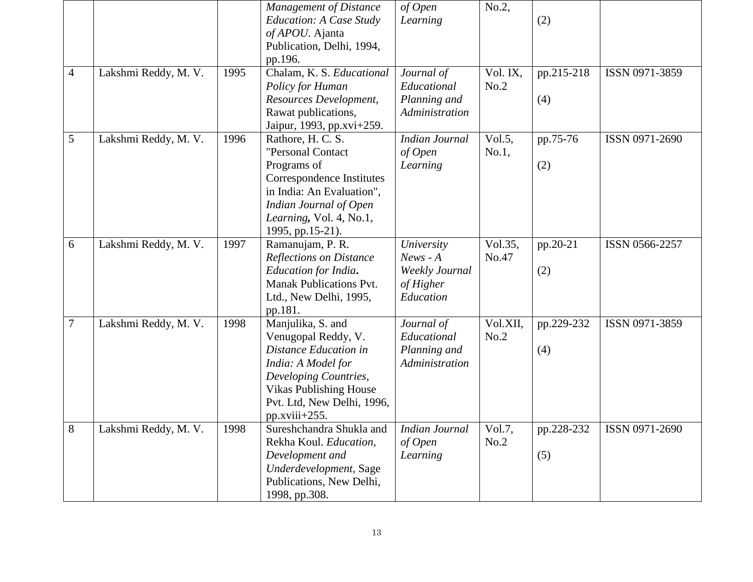|                |                      |      | <b>Management of Distance</b><br>Education: A Case Study | of Open<br>Learning   | No.2,          | (2)        |                |
|----------------|----------------------|------|----------------------------------------------------------|-----------------------|----------------|------------|----------------|
|                |                      |      | of APOU. Ajanta                                          |                       |                |            |                |
|                |                      |      | Publication, Delhi, 1994,                                |                       |                |            |                |
|                |                      |      | pp.196.                                                  |                       |                |            |                |
| $\overline{4}$ | Lakshmi Reddy, M. V. | 1995 | Chalam, K. S. Educational                                | Journal of            | Vol. IX,       | pp.215-218 | ISSN 0971-3859 |
|                |                      |      | Policy for Human                                         | Educational           | No.2           |            |                |
|                |                      |      | Resources Development,                                   | Planning and          |                | (4)        |                |
|                |                      |      | Rawat publications,                                      | Administration        |                |            |                |
|                |                      |      | Jaipur, 1993, pp.xvi+259.                                |                       |                |            |                |
| 5              | Lakshmi Reddy, M. V. | 1996 | Rathore, H. C. S.                                        | <b>Indian Journal</b> | Vol.5,         | pp.75-76   | ISSN 0971-2690 |
|                |                      |      | "Personal Contact                                        | of Open               | No.1,          |            |                |
|                |                      |      | Programs of                                              | Learning              |                | (2)        |                |
|                |                      |      | Correspondence Institutes                                |                       |                |            |                |
|                |                      |      | in India: An Evaluation",                                |                       |                |            |                |
|                |                      |      | Indian Journal of Open                                   |                       |                |            |                |
|                |                      |      | Learning, Vol. 4, No.1,                                  |                       |                |            |                |
|                |                      |      | 1995, pp.15-21).                                         |                       |                |            |                |
| 6              | Lakshmi Reddy, M. V. | 1997 | Ramanujam, P. R.                                         | University            | Vol.35,        | pp.20-21   | ISSN 0566-2257 |
|                |                      |      | <b>Reflections on Distance</b>                           | $News - A$            | No.47          |            |                |
|                |                      |      | Education for India.                                     | Weekly Journal        |                | (2)        |                |
|                |                      |      | <b>Manak Publications Pvt.</b>                           | of Higher             |                |            |                |
|                |                      |      | Ltd., New Delhi, 1995,                                   | Education             |                |            |                |
|                |                      |      | pp.181.                                                  |                       |                |            |                |
| 7              | Lakshmi Reddy, M. V. | 1998 | Manjulika, S. and                                        | Journal of            | Vol.XII,       | pp.229-232 | ISSN 0971-3859 |
|                |                      |      | Venugopal Reddy, V.                                      | Educational           | No.2           |            |                |
|                |                      |      | Distance Education in                                    | Planning and          |                | (4)        |                |
|                |                      |      | India: A Model for                                       | Administration        |                |            |                |
|                |                      |      | Developing Countries,                                    |                       |                |            |                |
|                |                      |      | <b>Vikas Publishing House</b>                            |                       |                |            |                |
|                |                      |      | Pvt. Ltd, New Delhi, 1996,                               |                       |                |            |                |
|                |                      |      | $pp.xviii+255.$                                          |                       |                |            |                |
| 8              | Lakshmi Reddy, M. V. | 1998 | Sureshchandra Shukla and                                 | Indian Journal        | Vol.7,<br>No.2 | pp.228-232 | ISSN 0971-2690 |
|                |                      |      | Rekha Koul. Education,<br>Development and                | of Open<br>Learning   |                |            |                |
|                |                      |      | Underdevelopment, Sage                                   |                       |                | (5)        |                |
|                |                      |      | Publications, New Delhi,                                 |                       |                |            |                |
|                |                      |      | 1998, pp.308.                                            |                       |                |            |                |
|                |                      |      |                                                          |                       |                |            |                |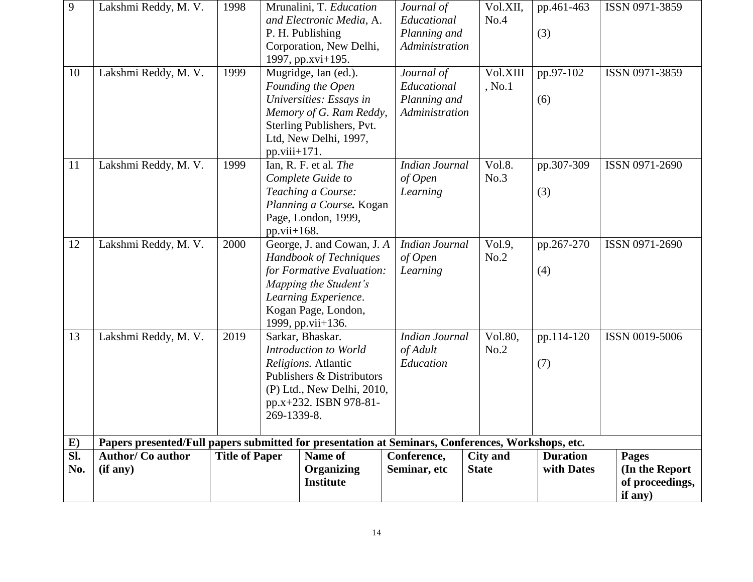| 9   | Lakshmi Reddy, M. V.                                                                              | 1998                  |                 | Mrunalini, T. Education<br>and Electronic Media, A. |  | Journal of<br>Educational | Vol.XII,<br>No.4 | pp.461-463      | ISSN 0971-3859  |
|-----|---------------------------------------------------------------------------------------------------|-----------------------|-----------------|-----------------------------------------------------|--|---------------------------|------------------|-----------------|-----------------|
|     |                                                                                                   |                       |                 | P. H. Publishing                                    |  | Planning and              |                  | (3)             |                 |
|     |                                                                                                   |                       |                 | Corporation, New Delhi,                             |  | Administration            |                  |                 |                 |
|     |                                                                                                   |                       |                 | 1997, pp.xvi+195.                                   |  |                           |                  |                 |                 |
| 10  | Lakshmi Reddy, M. V.                                                                              | 1999                  |                 | Mugridge, Ian (ed.).                                |  | Journal of                | Vol.XIII         | pp.97-102       | ISSN 0971-3859  |
|     |                                                                                                   |                       |                 | Founding the Open                                   |  | Educational               | , No.1           |                 |                 |
|     |                                                                                                   |                       |                 | Universities: Essays in                             |  | Planning and              |                  | (6)             |                 |
|     |                                                                                                   |                       |                 | Memory of G. Ram Reddy,                             |  | Administration            |                  |                 |                 |
|     |                                                                                                   |                       |                 | Sterling Publishers, Pvt.                           |  |                           |                  |                 |                 |
|     |                                                                                                   |                       |                 | Ltd, New Delhi, 1997,                               |  |                           |                  |                 |                 |
|     |                                                                                                   |                       |                 | $pp.viii+171.$                                      |  |                           |                  |                 |                 |
| 11  | Lakshmi Reddy, M. V.                                                                              | 1999                  |                 | Ian, R. F. et al. The                               |  | <b>Indian Journal</b>     | Vol.8.           | pp.307-309      | ISSN 0971-2690  |
|     |                                                                                                   |                       |                 | Complete Guide to                                   |  | of Open                   | No.3             |                 |                 |
|     |                                                                                                   |                       |                 | Teaching a Course:                                  |  | Learning                  |                  | (3)             |                 |
|     |                                                                                                   |                       |                 | Planning a Course. Kogan                            |  |                           |                  |                 |                 |
|     |                                                                                                   |                       |                 | Page, London, 1999,                                 |  |                           |                  |                 |                 |
|     |                                                                                                   |                       | pp.vii+ $168$ . |                                                     |  |                           |                  |                 |                 |
| 12  | Lakshmi Reddy, M. V.                                                                              | 2000                  |                 | George, J. and Cowan, J. A.                         |  | <b>Indian Journal</b>     | Vol.9,           | pp.267-270      | ISSN 0971-2690  |
|     |                                                                                                   |                       |                 | <b>Handbook of Techniques</b>                       |  | of Open                   | No.2             |                 |                 |
|     |                                                                                                   |                       |                 | for Formative Evaluation:                           |  | Learning                  |                  | (4)             |                 |
|     |                                                                                                   |                       |                 | Mapping the Student's                               |  |                           |                  |                 |                 |
|     |                                                                                                   |                       |                 | Learning Experience.                                |  |                           |                  |                 |                 |
|     |                                                                                                   |                       |                 | Kogan Page, London,                                 |  |                           |                  |                 |                 |
|     |                                                                                                   |                       |                 | 1999, pp.vii+136.                                   |  |                           |                  |                 |                 |
| 13  | Lakshmi Reddy, M. V.                                                                              | 2019                  |                 | Sarkar, Bhaskar.                                    |  | <b>Indian Journal</b>     | Vol.80,          | pp.114-120      | ISSN 0019-5006  |
|     |                                                                                                   |                       |                 | Introduction to World                               |  | of Adult                  | No.2             |                 |                 |
|     |                                                                                                   |                       |                 | Religions. Atlantic<br>Publishers & Distributors    |  | Education                 |                  | (7)             |                 |
|     |                                                                                                   |                       |                 |                                                     |  |                           |                  |                 |                 |
|     |                                                                                                   |                       |                 | (P) Ltd., New Delhi, 2010,                          |  |                           |                  |                 |                 |
|     |                                                                                                   |                       |                 | pp.x+232. ISBN 978-81-<br>269-1339-8.               |  |                           |                  |                 |                 |
|     |                                                                                                   |                       |                 |                                                     |  |                           |                  |                 |                 |
| E)  | Papers presented/Full papers submitted for presentation at Seminars, Conferences, Workshops, etc. |                       |                 |                                                     |  |                           |                  |                 |                 |
| SI. | <b>Author/ Co author</b>                                                                          | <b>Title of Paper</b> |                 | Name of                                             |  | Conference,               | <b>City and</b>  | <b>Duration</b> | <b>Pages</b>    |
| No. | (if any)                                                                                          |                       |                 | Organizing                                          |  | Seminar, etc              | <b>State</b>     | with Dates      | (In the Report  |
|     |                                                                                                   |                       |                 | <b>Institute</b>                                    |  |                           |                  |                 | of proceedings, |
|     |                                                                                                   |                       |                 |                                                     |  |                           |                  | if any)         |                 |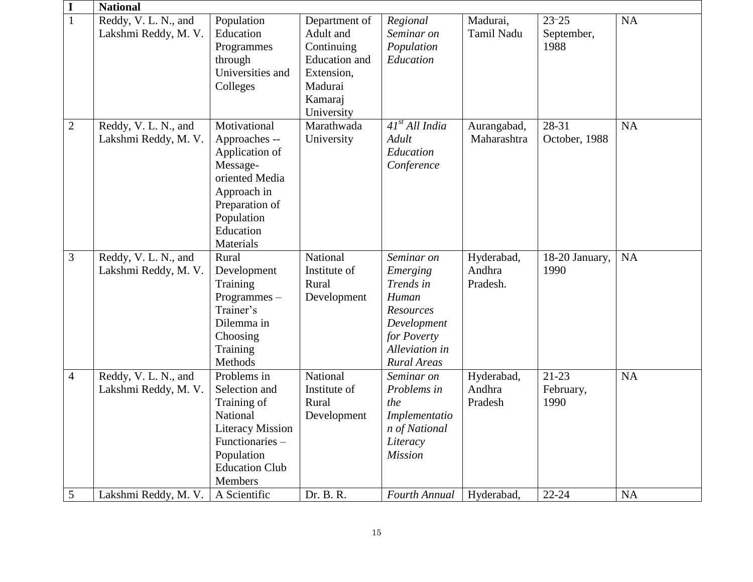| I              | <b>National</b>                              |                                                                                                                                                        |                                                                                                                    |                                                                                                                                 |                                  |                                 |           |  |  |
|----------------|----------------------------------------------|--------------------------------------------------------------------------------------------------------------------------------------------------------|--------------------------------------------------------------------------------------------------------------------|---------------------------------------------------------------------------------------------------------------------------------|----------------------------------|---------------------------------|-----------|--|--|
| $\overline{1}$ | Reddy, V. L. N., and<br>Lakshmi Reddy, M. V. | Population<br>Education<br>Programmes<br>through<br>Universities and<br>Colleges                                                                       | Department of<br>Adult and<br>Continuing<br><b>Education</b> and<br>Extension,<br>Madurai<br>Kamaraj<br>University | Regional<br>Seminar on<br>Population<br>Education                                                                               | Madurai,<br>Tamil Nadu           | $23 - 25$<br>September,<br>1988 | <b>NA</b> |  |  |
| $\mathfrak{2}$ | Reddy, V. L. N., and<br>Lakshmi Reddy, M. V. | Motivational<br>Approaches --<br>Application of<br>Message-<br>oriented Media<br>Approach in<br>Preparation of<br>Population<br>Education<br>Materials | Marathwada<br>University                                                                                           | $41st$ All India<br>Adult<br>Education<br>Conference                                                                            | Aurangabad,<br>Maharashtra       | 28-31<br>October, 1988          | <b>NA</b> |  |  |
| 3              | Reddy, V. L. N., and<br>Lakshmi Reddy, M. V. | Rural<br>Development<br>Training<br>Programmes-<br>Trainer's<br>Dilemma in<br>Choosing<br>Training<br>Methods                                          | National<br>Institute of<br>Rural<br>Development                                                                   | Seminar on<br>Emerging<br>Trends in<br>Human<br>Resources<br>Development<br>for Poverty<br>Alleviation in<br><b>Rural Areas</b> | Hyderabad,<br>Andhra<br>Pradesh. | 18-20 January,<br>1990          | <b>NA</b> |  |  |
| $\overline{4}$ | Reddy, V. L. N., and<br>Lakshmi Reddy, M. V. | Problems in<br>Selection and<br>Training of<br>National<br><b>Literacy Mission</b><br>Functionaries-<br>Population<br><b>Education Club</b><br>Members | National<br>Institute of<br>Rural<br>Development                                                                   | Seminar on<br>Problems in<br>the<br>Implementatio<br>n of National<br>Literacy<br><b>Mission</b>                                | Hyderabad,<br>Andhra<br>Pradesh  | $21-23$<br>February,<br>1990    | <b>NA</b> |  |  |
| 5              | Lakshmi Reddy, M. V.                         | A Scientific                                                                                                                                           | Dr. B. R.                                                                                                          | Fourth Annual                                                                                                                   | Hyderabad,                       | $22 - 24$                       | <b>NA</b> |  |  |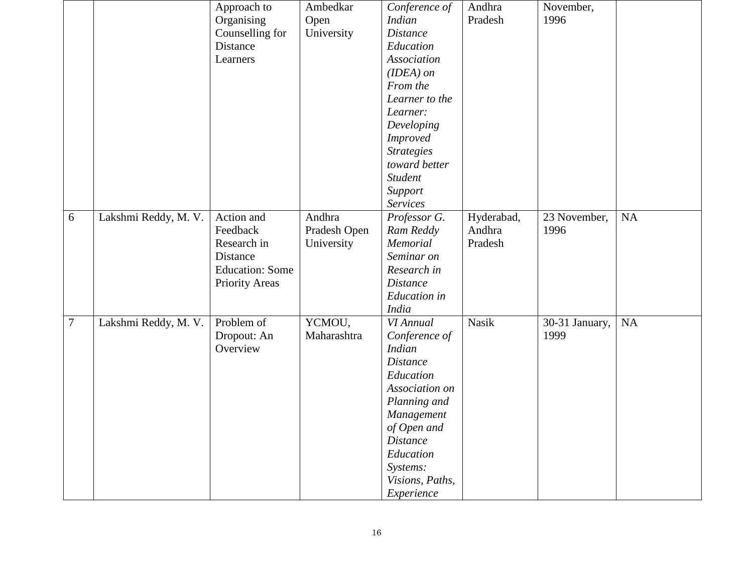|        |                      | Approach to            | Ambedkar     | Conference of       | Andhra       | November,      |           |
|--------|----------------------|------------------------|--------------|---------------------|--------------|----------------|-----------|
|        |                      | Organising             | Open         | <b>Indian</b>       | Pradesh      | 1996           |           |
|        |                      | Counselling for        | University   | <b>Distance</b>     |              |                |           |
|        |                      | Distance               |              | Education           |              |                |           |
|        |                      | Learners               |              | <b>Association</b>  |              |                |           |
|        |                      |                        |              | $(IDEA)$ on         |              |                |           |
|        |                      |                        |              | From the            |              |                |           |
|        |                      |                        |              | Learner to the      |              |                |           |
|        |                      |                        |              | Learner:            |              |                |           |
|        |                      |                        |              | Developing          |              |                |           |
|        |                      |                        |              | <i>Improved</i>     |              |                |           |
|        |                      |                        |              | <b>Strategies</b>   |              |                |           |
|        |                      |                        |              | toward better       |              |                |           |
|        |                      |                        |              | <b>Student</b>      |              |                |           |
|        |                      |                        |              | Support             |              |                |           |
|        |                      |                        |              | <b>Services</b>     |              |                |           |
| 6      | Lakshmi Reddy, M. V. | Action and             | Andhra       | Professor G.        | Hyderabad,   | 23 November,   | <b>NA</b> |
|        |                      | Feedback               | Pradesh Open | Ram Reddy           | Andhra       | 1996           |           |
|        |                      | Research in            | University   | Memorial            | Pradesh      |                |           |
|        |                      | Distance               |              | Seminar on          |              |                |           |
|        |                      | <b>Education: Some</b> |              | Research in         |              |                |           |
|        |                      | <b>Priority Areas</b>  |              | <b>Distance</b>     |              |                |           |
|        |                      |                        |              | <b>Education</b> in |              |                |           |
|        |                      |                        |              | <b>India</b>        |              |                |           |
| $\tau$ | Lakshmi Reddy, M. V. | Problem of             | YCMOU,       | VI Annual           | <b>Nasik</b> | 30-31 January, | NA        |
|        |                      | Dropout: An            | Maharashtra  | Conference of       |              | 1999           |           |
|        |                      | Overview               |              | <b>Indian</b>       |              |                |           |
|        |                      |                        |              | <b>Distance</b>     |              |                |           |
|        |                      |                        |              | Education           |              |                |           |
|        |                      |                        |              | Association on      |              |                |           |
|        |                      |                        |              | Planning and        |              |                |           |
|        |                      |                        |              | Management          |              |                |           |
|        |                      |                        |              | of Open and         |              |                |           |
|        |                      |                        |              | <i>Distance</i>     |              |                |           |
|        |                      |                        |              | Education           |              |                |           |
|        |                      |                        |              | Systems:            |              |                |           |
|        |                      |                        |              | Visions, Paths,     |              |                |           |
|        |                      |                        |              | Experience          |              |                |           |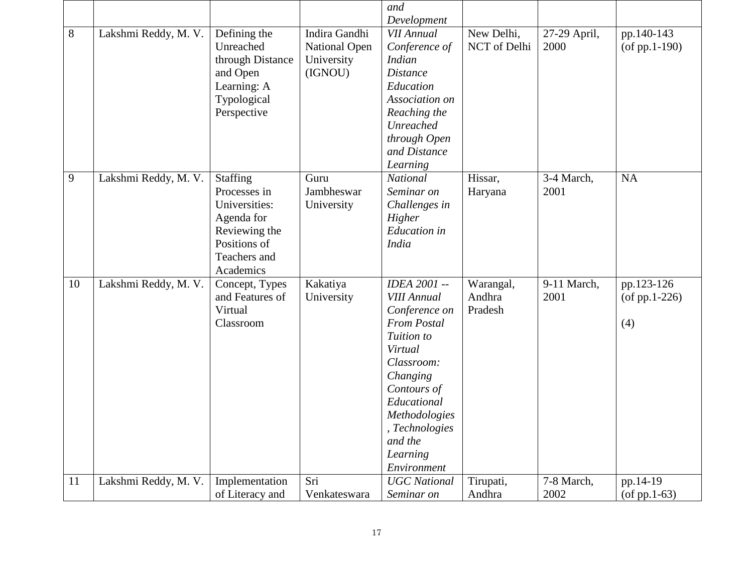|    |                      |                  |               | and                 |              |              |                     |
|----|----------------------|------------------|---------------|---------------------|--------------|--------------|---------------------|
|    |                      |                  |               | Development         |              |              |                     |
| 8  | Lakshmi Reddy, M. V. | Defining the     | Indira Gandhi | <b>VII Annual</b>   | New Delhi,   | 27-29 April, | pp.140-143          |
|    |                      | Unreached        | National Open | Conference of       | NCT of Delhi | 2000         | $($ of pp.1-190 $)$ |
|    |                      | through Distance | University    | <b>Indian</b>       |              |              |                     |
|    |                      | and Open         | (IGNOU)       | <b>Distance</b>     |              |              |                     |
|    |                      | Learning: A      |               | Education           |              |              |                     |
|    |                      | Typological      |               | Association on      |              |              |                     |
|    |                      | Perspective      |               | Reaching the        |              |              |                     |
|    |                      |                  |               | Unreached           |              |              |                     |
|    |                      |                  |               | through Open        |              |              |                     |
|    |                      |                  |               | and Distance        |              |              |                     |
|    |                      |                  |               | Learning            |              |              |                     |
| 9  | Lakshmi Reddy, M. V. | Staffing         | Guru          | <b>National</b>     | Hissar,      | 3-4 March,   | <b>NA</b>           |
|    |                      | Processes in     | Jambheswar    | Seminar on          | Haryana      | 2001         |                     |
|    |                      | Universities:    | University    | Challenges in       |              |              |                     |
|    |                      | Agenda for       |               | Higher              |              |              |                     |
|    |                      | Reviewing the    |               | <b>Education</b> in |              |              |                     |
|    |                      | Positions of     |               | <b>India</b>        |              |              |                     |
|    |                      | Teachers and     |               |                     |              |              |                     |
|    |                      | Academics        |               |                     |              |              |                     |
| 10 | Lakshmi Reddy, M. V. | Concept, Types   | Kakatiya      | <b>IDEA 2001 --</b> | Warangal,    | 9-11 March,  | pp.123-126          |
|    |                      | and Features of  | University    | <b>VIII Annual</b>  | Andhra       | 2001         | $($ of pp.1-226 $)$ |
|    |                      | Virtual          |               | Conference on       | Pradesh      |              |                     |
|    |                      | Classroom        |               | <b>From Postal</b>  |              |              | (4)                 |
|    |                      |                  |               | Tuition to          |              |              |                     |
|    |                      |                  |               | Virtual             |              |              |                     |
|    |                      |                  |               | Classroom:          |              |              |                     |
|    |                      |                  |               | Changing            |              |              |                     |
|    |                      |                  |               | Contours of         |              |              |                     |
|    |                      |                  |               | Educational         |              |              |                     |
|    |                      |                  |               | Methodologies       |              |              |                     |
|    |                      |                  |               | , Technologies      |              |              |                     |
|    |                      |                  |               | and the             |              |              |                     |
|    |                      |                  |               | Learning            |              |              |                     |
|    |                      |                  |               | Environment         |              |              |                     |
| 11 | Lakshmi Reddy, M. V. | Implementation   | Sri           | <b>UGC</b> National | Tirupati,    | 7-8 March,   | pp.14-19            |
|    |                      | of Literacy and  | Venkateswara  | Seminar on          | Andhra       | 2002         | $($ of pp.1-63 $)$  |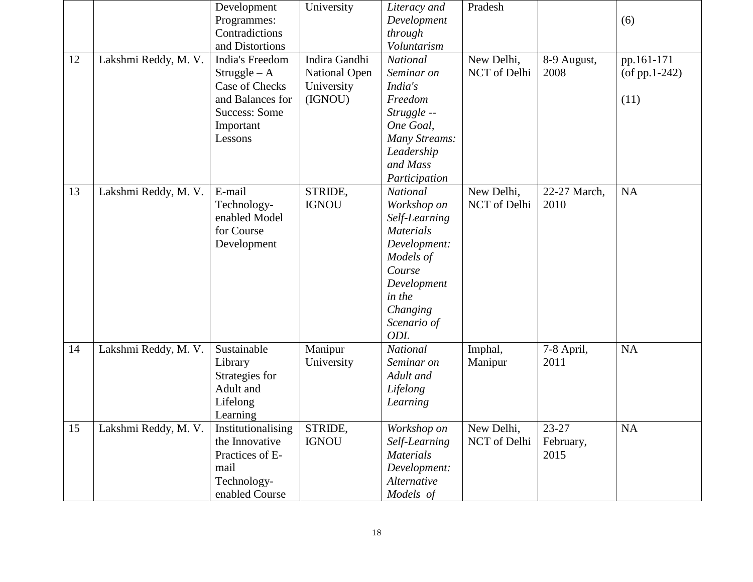|    |                      | Development<br>Programmes:<br>Contradictions                                                                              | University                                                     | Literacy and<br>Development<br>through                                                                                                                                       | Pradesh                    |                                | (6)                                       |
|----|----------------------|---------------------------------------------------------------------------------------------------------------------------|----------------------------------------------------------------|------------------------------------------------------------------------------------------------------------------------------------------------------------------------------|----------------------------|--------------------------------|-------------------------------------------|
|    |                      | and Distortions                                                                                                           |                                                                | Voluntarism                                                                                                                                                                  |                            |                                |                                           |
| 12 | Lakshmi Reddy, M. V. | India's Freedom<br>$Strategyle - A$<br>Case of Checks<br>and Balances for<br><b>Success: Some</b><br>Important<br>Lessons | Indira Gandhi<br><b>National Open</b><br>University<br>(IGNOU) | <b>National</b><br>Seminar on<br>India's<br>Freedom<br>Struggle --<br>One Goal,<br>Many Streams:<br>Leadership<br>and Mass<br>Participation                                  | New Delhi,<br>NCT of Delhi | 8-9 August,<br>2008            | pp.161-171<br>$($ of pp.1-242 $)$<br>(11) |
| 13 | Lakshmi Reddy, M. V. | E-mail<br>Technology-<br>enabled Model<br>for Course<br>Development                                                       | STRIDE,<br><b>IGNOU</b>                                        | <b>National</b><br>Workshop on<br>Self-Learning<br><b>Materials</b><br>Development:<br>Models of<br>Course<br>Development<br>in the<br>Changing<br>Scenario of<br><b>ODL</b> | New Delhi,<br>NCT of Delhi | 22-27 March,<br>2010           | NA                                        |
| 14 | Lakshmi Reddy, M. V. | Sustainable<br>Library<br>Strategies for<br>Adult and<br>Lifelong<br>Learning                                             | Manipur<br>University                                          | <b>National</b><br>Seminar on<br>Adult and<br>Lifelong<br>Learning                                                                                                           | Imphal,<br>Manipur         | 7-8 April,<br>2011             | <b>NA</b>                                 |
| 15 | Lakshmi Reddy, M. V. | Institutionalising<br>the Innovative<br>Practices of E-<br>mail<br>Technology-<br>enabled Course                          | STRIDE,<br><b>IGNOU</b>                                        | Workshop on<br>Self-Learning<br><b>Materials</b><br>Development:<br>Alternative<br>Models of                                                                                 | New Delhi,<br>NCT of Delhi | $23 - 27$<br>February,<br>2015 | $\rm NA$                                  |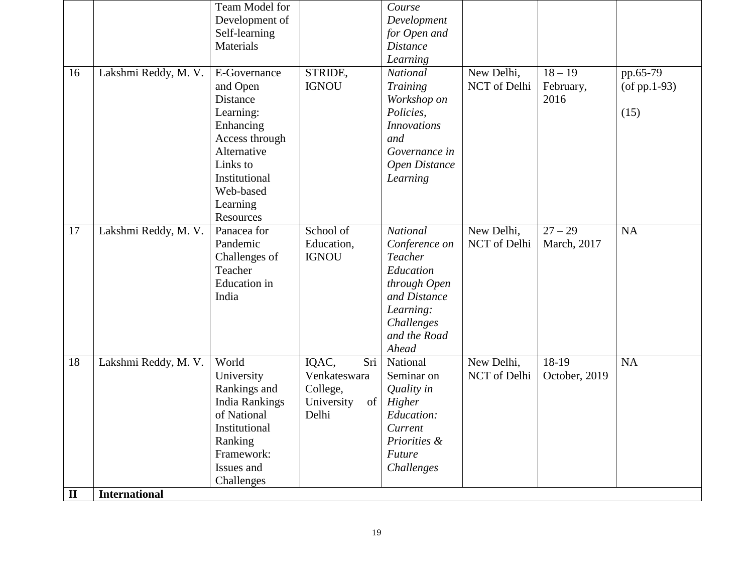|             |                      | Team Model for        |                  | Course             |              |                      |                    |
|-------------|----------------------|-----------------------|------------------|--------------------|--------------|----------------------|--------------------|
|             |                      | Development of        |                  | Development        |              |                      |                    |
|             |                      | Self-learning         |                  | for Open and       |              |                      |                    |
|             |                      | Materials             |                  | <b>Distance</b>    |              |                      |                    |
|             |                      |                       |                  | Learning           |              |                      |                    |
| 16          | Lakshmi Reddy, M. V. | E-Governance          | STRIDE,          | <b>National</b>    | New Delhi,   | $18 - 19$            | pp.65-79           |
|             |                      | and Open              | <b>IGNOU</b>     | Training           | NCT of Delhi | February,            | $($ of pp.1-93 $)$ |
|             |                      | Distance              |                  | Workshop on        |              | 2016                 |                    |
|             |                      | Learning:             |                  | Policies,          |              |                      | (15)               |
|             |                      | Enhancing             |                  | <b>Innovations</b> |              |                      |                    |
|             |                      | Access through        |                  | and                |              |                      |                    |
|             |                      | Alternative           |                  | Governance in      |              |                      |                    |
|             |                      | Links to              |                  | Open Distance      |              |                      |                    |
|             |                      | Institutional         |                  | Learning           |              |                      |                    |
|             |                      | Web-based             |                  |                    |              |                      |                    |
|             |                      | Learning              |                  |                    |              |                      |                    |
|             |                      | Resources             |                  |                    |              |                      |                    |
| 17          | Lakshmi Reddy, M. V. | Panacea for           | School of        | <b>National</b>    | New Delhi,   | $\overline{27} - 29$ | <b>NA</b>          |
|             |                      | Pandemic              | Education,       | Conference on      | NCT of Delhi | March, 2017          |                    |
|             |                      | Challenges of         | <b>IGNOU</b>     | Teacher            |              |                      |                    |
|             |                      | Teacher               |                  | Education          |              |                      |                    |
|             |                      | <b>Education</b> in   |                  | through Open       |              |                      |                    |
|             |                      | India                 |                  | and Distance       |              |                      |                    |
|             |                      |                       |                  | Learning:          |              |                      |                    |
|             |                      |                       |                  | Challenges         |              |                      |                    |
|             |                      |                       |                  | and the Road       |              |                      |                    |
|             |                      |                       |                  | Ahead              |              |                      |                    |
| 18          | Lakshmi Reddy, M. V. | World                 | IQAC,<br>Sri     | National           | New Delhi,   | 18-19                | <b>NA</b>          |
|             |                      | University            | Venkateswara     | Seminar on         | NCT of Delhi | October, 2019        |                    |
|             |                      | Rankings and          | College,         | Quality in         |              |                      |                    |
|             |                      | <b>India Rankings</b> | University<br>of | Higher             |              |                      |                    |
|             |                      | of National           | Delhi            | Education:         |              |                      |                    |
|             |                      | Institutional         |                  | Current            |              |                      |                    |
|             |                      | Ranking               |                  | Priorities &       |              |                      |                    |
|             |                      | Framework:            |                  | Future             |              |                      |                    |
|             |                      | Issues and            |                  | Challenges         |              |                      |                    |
|             |                      | Challenges            |                  |                    |              |                      |                    |
| $\mathbf H$ | <b>International</b> |                       |                  |                    |              |                      |                    |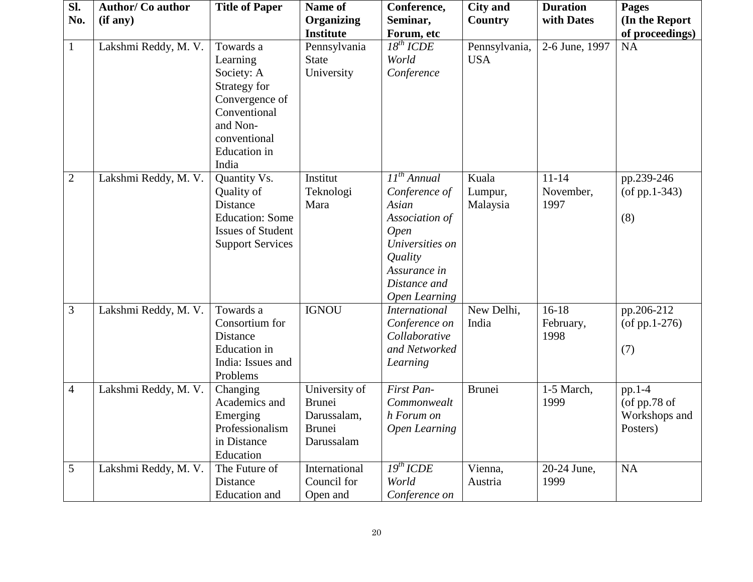| Sl.            | <b>Author/Co author</b> | <b>Title of Paper</b>                                                                                                   | Name of                                                               | Conference,                                                                                                                                                              | <b>City and</b>              | <b>Duration</b>                | <b>Pages</b>                                          |
|----------------|-------------------------|-------------------------------------------------------------------------------------------------------------------------|-----------------------------------------------------------------------|--------------------------------------------------------------------------------------------------------------------------------------------------------------------------|------------------------------|--------------------------------|-------------------------------------------------------|
| No.            | (if any)                |                                                                                                                         | <b>Organizing</b>                                                     | Seminar,                                                                                                                                                                 | Country                      | with Dates                     | (In the Report                                        |
|                |                         |                                                                                                                         | <b>Institute</b>                                                      | Forum, etc                                                                                                                                                               |                              |                                | of proceedings)                                       |
| $\mathbf{1}$   | Lakshmi Reddy, M. V.    | Towards a<br>Learning<br>Society: A<br>Strategy for<br>Convergence of<br>Conventional<br>and Non-                       | Pennsylvania<br><b>State</b><br>University                            | $18^{th}$ ICDE<br>World<br>Conference                                                                                                                                    | Pennsylvania,<br><b>USA</b>  | 2-6 June, 1997                 | <b>NA</b>                                             |
|                |                         | conventional<br><b>Education</b> in<br>India                                                                            |                                                                       |                                                                                                                                                                          |                              |                                |                                                       |
| $\overline{2}$ | Lakshmi Reddy, M. V.    | Quantity Vs.<br>Quality of<br>Distance<br><b>Education: Some</b><br><b>Issues of Student</b><br><b>Support Services</b> | Institut<br>Teknologi<br>Mara                                         | II <sup>th</sup> Annual<br>Conference of<br>Asian<br>Association of<br><b>Open</b><br>Universities on<br>Quality<br>Assurance in<br>Distance and<br><b>Open Learning</b> | Kuala<br>Lumpur,<br>Malaysia | $11 - 14$<br>November,<br>1997 | pp.239-246<br>$($ of pp.1-343 $)$<br>(8)              |
| 3              | Lakshmi Reddy, M. V.    | Towards a<br>Consortium for<br>Distance<br><b>Education</b> in<br>India: Issues and<br>Problems                         | <b>IGNOU</b>                                                          | <b>International</b><br>Conference on<br>Collaborative<br>and Networked<br>Learning                                                                                      | New Delhi,<br>India          | $16-18$<br>February,<br>1998   | pp.206-212<br>$($ of pp.1-276 $)$<br>(7)              |
| $\overline{4}$ | Lakshmi Reddy, M. V.    | Changing<br>Academics and<br>Emerging<br>Professionalism<br>in Distance<br>Education                                    | University of<br><b>Brunei</b><br>Darussalam,<br>Brunei<br>Darussalam | First Pan-<br>Commonwealt<br>h Forum on<br><b>Open Learning</b>                                                                                                          | <b>Brunei</b>                | 1-5 March,<br>1999             | pp.1-4<br>(of $pp.78$ of<br>Workshops and<br>Posters) |
| 5              | Lakshmi Reddy, M. V.    | The Future of<br>Distance<br>Education and                                                                              | International<br>Council for<br>Open and                              | $\overline{I9^{th}ICDE}$<br>World<br>Conference on                                                                                                                       | Vienna,<br>Austria           | 20-24 June,<br>1999            | NA                                                    |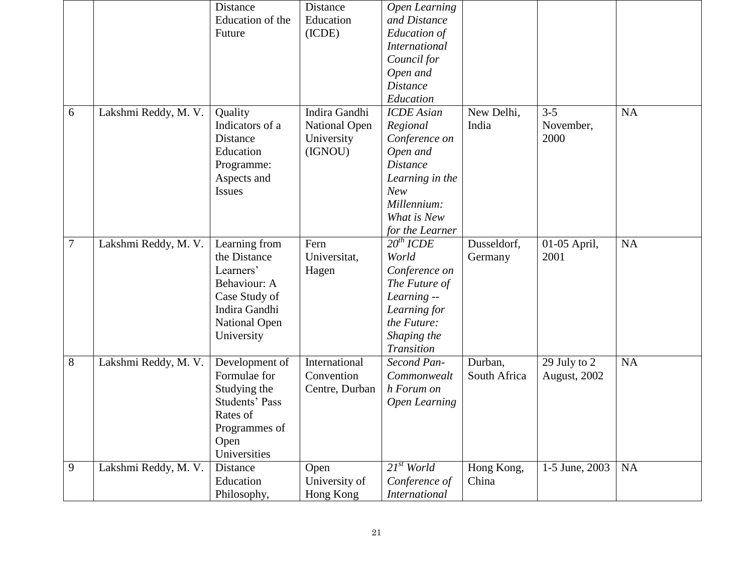|        |                      | Distance              | Distance             | Open Learning        |              |                      |           |
|--------|----------------------|-----------------------|----------------------|----------------------|--------------|----------------------|-----------|
|        |                      | Education of the      | Education            | and Distance         |              |                      |           |
|        |                      | Future                | (ICDE)               | Education of         |              |                      |           |
|        |                      |                       |                      | <b>International</b> |              |                      |           |
|        |                      |                       |                      | Council for          |              |                      |           |
|        |                      |                       |                      | Open and             |              |                      |           |
|        |                      |                       |                      | <b>Distance</b>      |              |                      |           |
|        |                      |                       |                      | Education            |              |                      |           |
| 6      | Lakshmi Reddy, M. V. | Quality               | Indira Gandhi        | <b>ICDE</b> Asian    | New Delhi,   | $3 - 5$              | <b>NA</b> |
|        |                      | Indicators of a       | <b>National Open</b> | Regional             | India        | November,            |           |
|        |                      | Distance              | University           | Conference on        |              | 2000                 |           |
|        |                      | Education             | (IGNOU)              | Open and             |              |                      |           |
|        |                      | Programme:            |                      | <b>Distance</b>      |              |                      |           |
|        |                      | Aspects and           |                      | Learning in the      |              |                      |           |
|        |                      | <b>Issues</b>         |                      | <b>New</b>           |              |                      |           |
|        |                      |                       |                      | Millennium:          |              |                      |           |
|        |                      |                       |                      | What is New          |              |                      |           |
|        |                      |                       |                      | for the Learner      |              |                      |           |
| $\tau$ | Lakshmi Reddy, M. V. | Learning from         | Fern                 | $20^{th}$ ICDE       | Dusseldorf,  | 01-05 April,         | <b>NA</b> |
|        |                      | the Distance          | Universitat,         | World                | Germany      | 2001                 |           |
|        |                      | Learners'             | Hagen                | Conference on        |              |                      |           |
|        |                      | Behaviour: A          |                      | The Future of        |              |                      |           |
|        |                      | Case Study of         |                      | Learning --          |              |                      |           |
|        |                      | Indira Gandhi         |                      | Learning for         |              |                      |           |
|        |                      | <b>National Open</b>  |                      | the Future:          |              |                      |           |
|        |                      | University            |                      | Shaping the          |              |                      |           |
|        |                      |                       |                      | Transition           |              |                      |           |
| 8      | Lakshmi Reddy, M. V. | Development of        | International        | Second Pan-          | Durban,      | 29 July to 2         | <b>NA</b> |
|        |                      | Formulae for          | Convention           | Commonwealt          | South Africa | <b>August</b> , 2002 |           |
|        |                      | Studying the          | Centre, Durban       | h Forum on           |              |                      |           |
|        |                      | <b>Students' Pass</b> |                      | Open Learning        |              |                      |           |
|        |                      | Rates of              |                      |                      |              |                      |           |
|        |                      | Programmes of         |                      |                      |              |                      |           |
|        |                      | Open                  |                      |                      |              |                      |           |
|        |                      | Universities          |                      |                      |              |                      |           |
| 9      | Lakshmi Reddy, M. V. | Distance              | Open                 | $21^{st}$ World      | Hong Kong,   | 1-5 June, 2003       | <b>NA</b> |
|        |                      | Education             | University of        | Conference of        | China        |                      |           |
|        |                      | Philosophy,           | Hong Kong            | <b>International</b> |              |                      |           |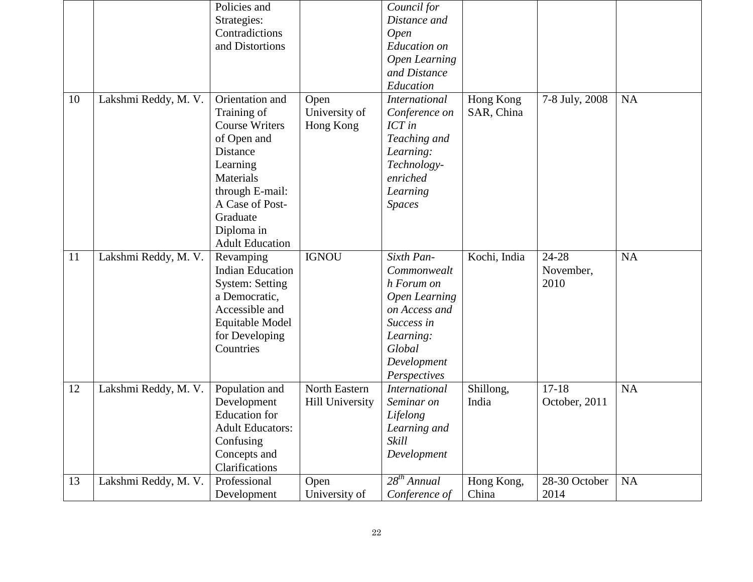|    |                      | Policies and                |                        | Council for                       |              |                       |           |
|----|----------------------|-----------------------------|------------------------|-----------------------------------|--------------|-----------------------|-----------|
|    |                      | Strategies:                 |                        | Distance and                      |              |                       |           |
|    |                      | Contradictions              |                        | <b>Open</b>                       |              |                       |           |
|    |                      | and Distortions             |                        | <b>Education</b> on               |              |                       |           |
|    |                      |                             |                        | <b>Open Learning</b>              |              |                       |           |
|    |                      |                             |                        | and Distance                      |              |                       |           |
|    |                      |                             |                        | Education                         |              |                       |           |
| 10 | Lakshmi Reddy, M. V. | Orientation and             | Open                   | <b>International</b>              | Hong Kong    | 7-8 July, 2008        | <b>NA</b> |
|    |                      | Training of                 | University of          | Conference on                     | SAR, China   |                       |           |
|    |                      | <b>Course Writers</b>       | Hong Kong              | ICT in                            |              |                       |           |
|    |                      | of Open and                 |                        | Teaching and                      |              |                       |           |
|    |                      | Distance                    |                        | Learning:                         |              |                       |           |
|    |                      | Learning                    |                        | Technology-                       |              |                       |           |
|    |                      | Materials                   |                        | enriched                          |              |                       |           |
|    |                      | through E-mail:             |                        | Learning                          |              |                       |           |
|    |                      | A Case of Post-             |                        | <b>Spaces</b>                     |              |                       |           |
|    |                      | Graduate                    |                        |                                   |              |                       |           |
|    |                      | Diploma in                  |                        |                                   |              |                       |           |
|    |                      | <b>Adult Education</b>      |                        |                                   |              |                       |           |
|    |                      |                             |                        |                                   |              |                       |           |
| 11 | Lakshmi Reddy, M. V. | Revamping                   | <b>IGNOU</b>           | Sixth Pan-                        | Kochi, India | $24 - 28$             | <b>NA</b> |
|    |                      | <b>Indian Education</b>     |                        | Commonwealt                       |              | November,             |           |
|    |                      | <b>System: Setting</b>      |                        | h Forum on                        |              | 2010                  |           |
|    |                      | a Democratic,               |                        | <b>Open Learning</b>              |              |                       |           |
|    |                      | Accessible and              |                        | on Access and                     |              |                       |           |
|    |                      | Equitable Model             |                        | Success in                        |              |                       |           |
|    |                      | for Developing              |                        | Learning:                         |              |                       |           |
|    |                      | Countries                   |                        | Global                            |              |                       |           |
|    |                      |                             |                        | Development                       |              |                       |           |
|    |                      |                             |                        | Perspectives                      |              |                       |           |
| 12 | Lakshmi Reddy, M. V. | Population and              | North Eastern          | <b>International</b>              | Shillong,    | $17 - 18$             | <b>NA</b> |
|    |                      | Development                 | <b>Hill University</b> | Seminar on                        | India        | October, 2011         |           |
|    |                      | <b>Education</b> for        |                        | Lifelong                          |              |                       |           |
|    |                      | <b>Adult Educators:</b>     |                        | Learning and                      |              |                       |           |
|    |                      | Confusing                   |                        | Skill                             |              |                       |           |
|    |                      | Concepts and                |                        | Development                       |              |                       |           |
|    |                      | Clarifications              |                        |                                   |              |                       |           |
| 13 | Lakshmi Reddy, M. V. | Professional<br>Development | Open<br>University of  | $28^{th}$ Annual<br>Conference of | Hong Kong,   | 28-30 October<br>2014 | <b>NA</b> |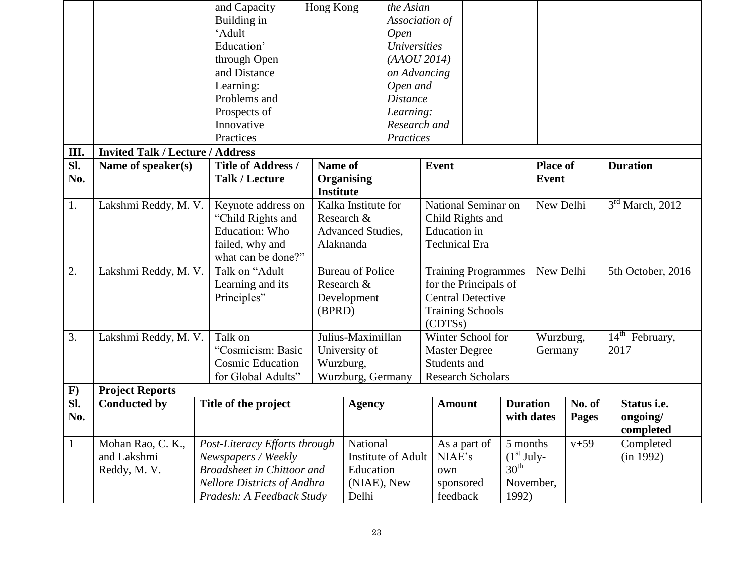|                  |                                         | and Capacity                       | Hong Kong        | the Asian               |                            |                        |                  |                 |              |                    |
|------------------|-----------------------------------------|------------------------------------|------------------|-------------------------|----------------------------|------------------------|------------------|-----------------|--------------|--------------------|
|                  |                                         | Building in                        |                  |                         | Association of             |                        |                  |                 |              |                    |
|                  |                                         | 'Adult                             |                  | <b>Open</b>             |                            |                        |                  |                 |              |                    |
|                  |                                         | Education'                         |                  | <b>Universities</b>     |                            |                        |                  |                 |              |                    |
|                  |                                         | through Open                       |                  | (AAOU 2014)             |                            |                        |                  |                 |              |                    |
|                  |                                         | and Distance                       |                  | on Advancing            |                            |                        |                  |                 |              |                    |
|                  |                                         | Learning:                          |                  | Open and                |                            |                        |                  |                 |              |                    |
|                  |                                         | Problems and                       |                  | <b>Distance</b>         |                            |                        |                  |                 |              |                    |
|                  |                                         | Prospects of                       |                  | Learning:               |                            |                        |                  |                 |              |                    |
|                  |                                         | Innovative                         |                  | Research and            |                            |                        |                  |                 |              |                    |
|                  |                                         | Practices                          |                  | Practices               |                            |                        |                  |                 |              |                    |
| Ш.               | <b>Invited Talk / Lecture / Address</b> |                                    |                  |                         |                            |                        |                  |                 |              |                    |
| $\overline{sl.}$ | Name of speaker(s)                      | <b>Title of Address /</b>          | Name of          |                         | <b>Event</b>               |                        |                  | <b>Place of</b> |              | <b>Duration</b>    |
| No.              |                                         | <b>Talk / Lecture</b>              | Organising       |                         |                            |                        |                  | Event           |              |                    |
|                  |                                         |                                    | <b>Institute</b> |                         |                            |                        |                  |                 |              |                    |
| 1.               | Lakshmi Reddy, M. V.                    | Keynote address on                 |                  | Kalka Institute for     | National Seminar on        |                        |                  | New Delhi       |              | $3rd$ March, 2012  |
|                  |                                         | "Child Rights and                  | Research &       |                         |                            | Child Rights and       |                  |                 |              |                    |
|                  |                                         | <b>Education: Who</b>              |                  | Advanced Studies,       |                            | <b>Education</b> in    |                  |                 |              |                    |
|                  |                                         | failed, why and                    | Alaknanda        |                         | <b>Technical Era</b>       |                        |                  |                 |              |                    |
|                  |                                         | what can be done?"                 |                  |                         |                            |                        |                  |                 |              |                    |
| 2.               | Lakshmi Reddy, M. V.                    | Talk on "Adult                     |                  | <b>Bureau of Police</b> | <b>Training Programmes</b> |                        |                  | New Delhi       |              | 5th October, 2016  |
|                  |                                         | Learning and its                   | Research &       |                         | for the Principals of      |                        |                  |                 |              |                    |
|                  |                                         | Principles"                        |                  | Development             | <b>Central Detective</b>   |                        |                  |                 |              |                    |
|                  |                                         |                                    | (BPRD)           |                         | <b>Training Schools</b>    |                        |                  |                 |              |                    |
|                  |                                         |                                    |                  |                         |                            | (CDTSs)                |                  |                 |              |                    |
| 3.               | Lakshmi Reddy, M. V.                    | Talk on                            |                  | Julius-Maximillan       | Winter School for          |                        |                  | Wurzburg,       |              | $14th$ February,   |
|                  |                                         | "Cosmicism: Basic                  |                  | University of           | <b>Master Degree</b>       |                        |                  | Germany         |              | 2017               |
|                  |                                         | <b>Cosmic Education</b>            | Wurzburg,        |                         | Students and               |                        |                  |                 |              |                    |
|                  |                                         | for Global Adults"                 |                  | Wurzburg, Germany       | <b>Research Scholars</b>   |                        |                  |                 |              |                    |
| $\mathbf{F}$     | <b>Project Reports</b>                  |                                    |                  |                         |                            |                        |                  |                 |              |                    |
| $\overline{sl.}$ | <b>Conducted by</b>                     | Title of the project               |                  | <b>Agency</b>           | <b>Amount</b>              |                        | <b>Duration</b>  |                 | No. of       | Status <i>i.e.</i> |
| No.              |                                         |                                    |                  |                         |                            |                        | with dates       |                 | <b>Pages</b> | ongoing/           |
|                  |                                         |                                    |                  |                         |                            |                        |                  |                 |              | completed          |
| $\mathbf{1}$     | Mohan Rao, C. K.,                       | Post-Literacy Efforts through      |                  | National                |                            | As a part of           | 5 months         |                 | $v + 59$     | Completed          |
|                  | and Lakshmi                             | Newspapers / Weekly                |                  | Institute of Adult      | NIAE's                     |                        | $(1st July-$     |                 |              | (in 1992)          |
|                  | Reddy, M. V.                            | <b>Broadsheet in Chittoor and</b>  |                  | Education               | own                        |                        | $30^{\text{th}}$ |                 |              |                    |
|                  |                                         | <b>Nellore Districts of Andhra</b> |                  | (NIAE), New             |                            | November,<br>sponsored |                  |                 |              |                    |
|                  |                                         | Pradesh: A Feedback Study          |                  | Delhi                   |                            | feedback<br>1992)      |                  |                 |              |                    |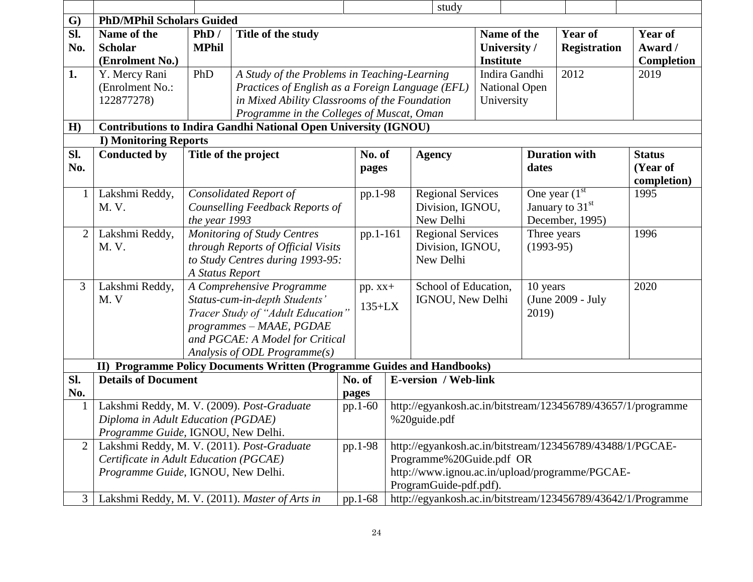|                |                                            |                                                                          |                                                                         |                                                  |           |                  | study                       |                  |             |                                                           |                                                              |
|----------------|--------------------------------------------|--------------------------------------------------------------------------|-------------------------------------------------------------------------|--------------------------------------------------|-----------|------------------|-----------------------------|------------------|-------------|-----------------------------------------------------------|--------------------------------------------------------------|
| $\mathbf{G}$   | <b>PhD/MPhil Scholars Guided</b>           |                                                                          |                                                                         |                                                  |           |                  |                             |                  |             |                                                           |                                                              |
| SI.            | Name of the                                | PhD/                                                                     | Title of the study                                                      |                                                  |           |                  |                             | Name of the      |             | <b>Year of</b>                                            | <b>Year of</b>                                               |
| No.            | <b>Scholar</b>                             | <b>MPhil</b>                                                             |                                                                         |                                                  |           |                  |                             | University /     |             | <b>Registration</b>                                       | Award /                                                      |
|                | (Enrolment No.)                            |                                                                          |                                                                         |                                                  |           |                  |                             | <b>Institute</b> |             |                                                           | <b>Completion</b>                                            |
| 1.             | Y. Mercy Rani                              | PhD                                                                      | A Study of the Problems in Teaching-Learning                            |                                                  |           | Indira Gandhi    |                             |                  | 2012        | 2019                                                      |                                                              |
|                | (Enrolment No.:                            |                                                                          |                                                                         | Practices of English as a Foreign Language (EFL) |           |                  | <b>National Open</b>        |                  |             |                                                           |                                                              |
|                | 122877278)                                 |                                                                          |                                                                         | in Mixed Ability Classrooms of the Foundation    |           |                  |                             | University       |             |                                                           |                                                              |
|                |                                            |                                                                          | Programme in the Colleges of Muscat, Oman                               |                                                  |           |                  |                             |                  |             |                                                           |                                                              |
| H)             |                                            |                                                                          | <b>Contributions to Indira Gandhi National Open University (IGNOU)</b>  |                                                  |           |                  |                             |                  |             |                                                           |                                                              |
|                | <b>I) Monitoring Reports</b>               |                                                                          |                                                                         |                                                  |           |                  |                             |                  |             |                                                           |                                                              |
| SI.            | <b>Conducted by</b>                        |                                                                          | Title of the project                                                    |                                                  | No. of    |                  | <b>Agency</b>               |                  |             | <b>Duration with</b>                                      | <b>Status</b>                                                |
| No.            |                                            |                                                                          |                                                                         |                                                  | pages     |                  |                             |                  | dates       |                                                           | (Year of                                                     |
|                |                                            |                                                                          |                                                                         |                                                  |           |                  |                             |                  |             |                                                           | completion)                                                  |
| $\mathbf{1}$   | Lakshmi Reddy,                             | <b>Consolidated Report of</b>                                            |                                                                         |                                                  | pp.1-98   |                  | <b>Regional Services</b>    |                  |             | One year $(1st)$                                          | 1995                                                         |
|                | M. V.                                      | Counselling Feedback Reports of                                          |                                                                         |                                                  |           |                  | Division, IGNOU,            |                  |             | January to $31st$                                         |                                                              |
|                |                                            | the year 1993                                                            |                                                                         |                                                  |           | New Delhi        |                             |                  |             | December, 1995)                                           |                                                              |
| $\overline{2}$ | Lakshmi Reddy,                             |                                                                          | Monitoring of Study Centres                                             |                                                  | pp.1-161  |                  | <b>Regional Services</b>    |                  | Three years |                                                           | 1996                                                         |
|                | M. V.                                      |                                                                          | through Reports of Official Visits                                      |                                                  |           | Division, IGNOU, |                             |                  | $(1993-95)$ |                                                           |                                                              |
|                |                                            |                                                                          |                                                                         | to Study Centres during 1993-95:                 |           |                  | New Delhi                   |                  |             |                                                           |                                                              |
|                |                                            | A Status Report                                                          |                                                                         |                                                  |           |                  |                             |                  |             |                                                           |                                                              |
| 3              | Lakshmi Reddy,                             |                                                                          | A Comprehensive Programme                                               |                                                  | $pp. xx+$ |                  | School of Education,        |                  | 10 years    |                                                           | 2020                                                         |
|                | M.V                                        |                                                                          | Status-cum-in-depth Students'                                           |                                                  | $135+LX$  |                  | IGNOU, New Delhi            |                  |             | (June 2009 - July                                         |                                                              |
|                |                                            |                                                                          | Tracer Study of "Adult Education"                                       |                                                  |           |                  |                             |                  | 2019)       |                                                           |                                                              |
|                |                                            |                                                                          | programmes - MAAE, PGDAE<br>and PGCAE: A Model for Critical             |                                                  |           |                  |                             |                  |             |                                                           |                                                              |
|                |                                            |                                                                          | Analysis of ODL Programme(s)                                            |                                                  |           |                  |                             |                  |             |                                                           |                                                              |
|                |                                            |                                                                          | II) Programme Policy Documents Written (Programme Guides and Handbooks) |                                                  |           |                  |                             |                  |             |                                                           |                                                              |
| SI.            | <b>Details of Document</b>                 |                                                                          |                                                                         |                                                  | No. of    |                  | <b>E-version / Web-link</b> |                  |             |                                                           |                                                              |
| No.            |                                            |                                                                          |                                                                         |                                                  | pages     |                  |                             |                  |             |                                                           |                                                              |
| $\mathbf 1$    | Lakshmi Reddy, M. V. (2009). Post-Graduate |                                                                          |                                                                         |                                                  | pp.1-60   |                  |                             |                  |             |                                                           | http://egyankosh.ac.in/bitstream/123456789/43657/1/programme |
|                |                                            |                                                                          |                                                                         |                                                  |           |                  | %20guide.pdf                |                  |             |                                                           |                                                              |
|                |                                            | Diploma in Adult Education (PGDAE)<br>Programme Guide, IGNOU, New Delhi. |                                                                         |                                                  |           |                  |                             |                  |             |                                                           |                                                              |
| $\overline{2}$ | Lakshmi Reddy, M. V. (2011). Post-Graduate |                                                                          |                                                                         |                                                  | pp.1-98   |                  |                             |                  |             | http://egyankosh.ac.in/bitstream/123456789/43488/1/PGCAE- |                                                              |
|                | Certificate in Adult Education (PGCAE)     |                                                                          |                                                                         |                                                  |           |                  | Programme%20Guide.pdf OR    |                  |             |                                                           |                                                              |
|                | Programme Guide, IGNOU, New Delhi.         |                                                                          |                                                                         |                                                  |           |                  |                             |                  |             | http://www.ignou.ac.in/upload/programme/PGCAE-            |                                                              |
|                |                                            |                                                                          |                                                                         |                                                  |           |                  | ProgramGuide-pdf.pdf).      |                  |             |                                                           |                                                              |
| 3              |                                            |                                                                          | Lakshmi Reddy, M. V. (2011). Master of Arts in                          |                                                  | pp.1-68   |                  |                             |                  |             |                                                           | http://egyankosh.ac.in/bitstream/123456789/43642/1/Programme |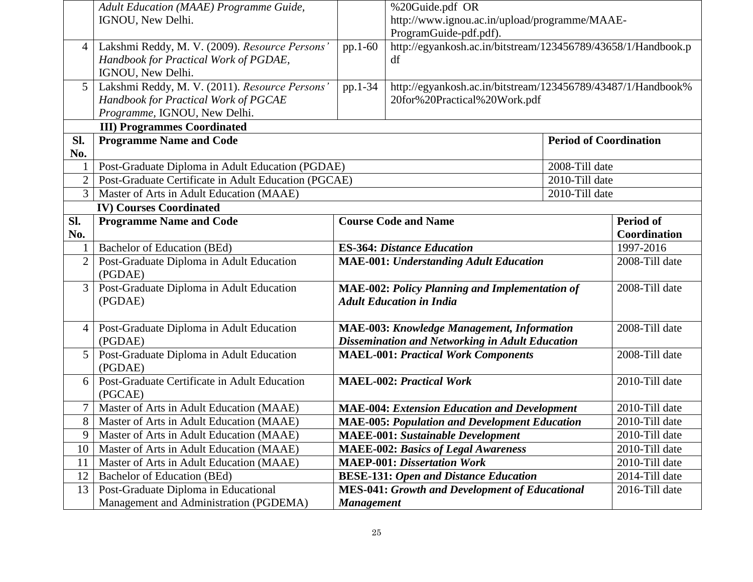|                 | Adult Education (MAAE) Programme Guide,                 |                   | %20Guide.pdf OR                                                         |                               |                  |
|-----------------|---------------------------------------------------------|-------------------|-------------------------------------------------------------------------|-------------------------------|------------------|
|                 | IGNOU, New Delhi.                                       |                   | http://www.ignou.ac.in/upload/programme/MAAE-<br>ProgramGuide-pdf.pdf). |                               |                  |
| $\overline{4}$  | Lakshmi Reddy, M. V. (2009). Resource Persons'          | pp.1-60           | http://egyankosh.ac.in/bitstream/123456789/43658/1/Handbook.p           |                               |                  |
|                 | Handbook for Practical Work of PGDAE,                   |                   | df                                                                      |                               |                  |
|                 | IGNOU, New Delhi.                                       |                   |                                                                         |                               |                  |
| 5 <sup>1</sup>  | Lakshmi Reddy, M. V. (2011). Resource Persons'          | pp.1-34           | http://egyankosh.ac.in/bitstream/123456789/43487/1/Handbook%            |                               |                  |
|                 | Handbook for Practical Work of PGCAE                    |                   | 20for%20Practical%20Work.pdf                                            |                               |                  |
|                 | Programme, IGNOU, New Delhi.                            |                   |                                                                         |                               |                  |
|                 | <b>III) Programmes Coordinated</b>                      |                   |                                                                         |                               |                  |
| Sl.             | <b>Programme Name and Code</b>                          |                   |                                                                         | <b>Period of Coordination</b> |                  |
| No.             |                                                         |                   |                                                                         |                               |                  |
|                 | Post-Graduate Diploma in Adult Education (PGDAE)        |                   |                                                                         | 2008-Till date                |                  |
| $\overline{2}$  | Post-Graduate Certificate in Adult Education (PGCAE)    |                   |                                                                         | 2010-Till date                |                  |
| 3 <sup>1</sup>  | Master of Arts in Adult Education (MAAE)                |                   |                                                                         | 2010-Till date                |                  |
|                 | <b>IV) Courses Coordinated</b>                          |                   |                                                                         |                               | <b>Period of</b> |
| Sl.<br>No.      | <b>Programme Name and Code</b>                          |                   | <b>Course Code and Name</b>                                             |                               | Coordination     |
|                 | Bachelor of Education (BEd)                             |                   | <b>ES-364: Distance Education</b>                                       |                               | 1997-2016        |
| 2               | Post-Graduate Diploma in Adult Education                |                   | <b>MAE-001: Understanding Adult Education</b>                           |                               | 2008-Till date   |
|                 | (PGDAE)                                                 |                   |                                                                         |                               |                  |
| 3 <sup>1</sup>  | Post-Graduate Diploma in Adult Education                |                   | <b>MAE-002: Policy Planning and Implementation of</b>                   |                               | 2008-Till date   |
|                 | (PGDAE)                                                 |                   | <b>Adult Education in India</b>                                         |                               |                  |
|                 |                                                         |                   |                                                                         |                               |                  |
| $\vert 4 \vert$ | Post-Graduate Diploma in Adult Education                |                   | <b>MAE-003: Knowledge Management, Information</b>                       |                               | 2008-Till date   |
|                 | (PGDAE)                                                 |                   | <b>Dissemination and Networking in Adult Education</b>                  |                               |                  |
| 5 <sup>1</sup>  | Post-Graduate Diploma in Adult Education                |                   | <b>MAEL-001: Practical Work Components</b>                              |                               | 2008-Till date   |
|                 | (PGDAE)                                                 |                   |                                                                         |                               |                  |
| 6               | Post-Graduate Certificate in Adult Education<br>(PGCAE) |                   | <b>MAEL-002: Practical Work</b>                                         |                               | 2010-Till date   |
|                 | Master of Arts in Adult Education (MAAE)                |                   | <b>MAE-004: Extension Education and Development</b>                     |                               | 2010-Till date   |
| 8 <sup>1</sup>  | Master of Arts in Adult Education (MAAE)                |                   | <b>MAE-005: Population and Development Education</b>                    |                               | 2010-Till date   |
| 9               | Master of Arts in Adult Education (MAAE)                |                   | <b>MAEE-001: Sustainable Development</b>                                |                               | 2010-Till date   |
| 10              | Master of Arts in Adult Education (MAAE)                |                   | <b>MAEE-002: Basics of Legal Awareness</b>                              |                               | 2010-Till date   |
| 11              | Master of Arts in Adult Education (MAAE)                |                   | <b>MAEP-001: Dissertation Work</b>                                      |                               | 2010-Till date   |
| 12              | <b>Bachelor of Education (BEd)</b>                      |                   | <b>BESE-131: Open and Distance Education</b>                            |                               | 2014-Till date   |
| 13              | Post-Graduate Diploma in Educational                    |                   | <b>MES-041: Growth and Development of Educational</b>                   |                               | 2016-Till date   |
|                 | Management and Administration (PGDEMA)                  | <b>Management</b> |                                                                         |                               |                  |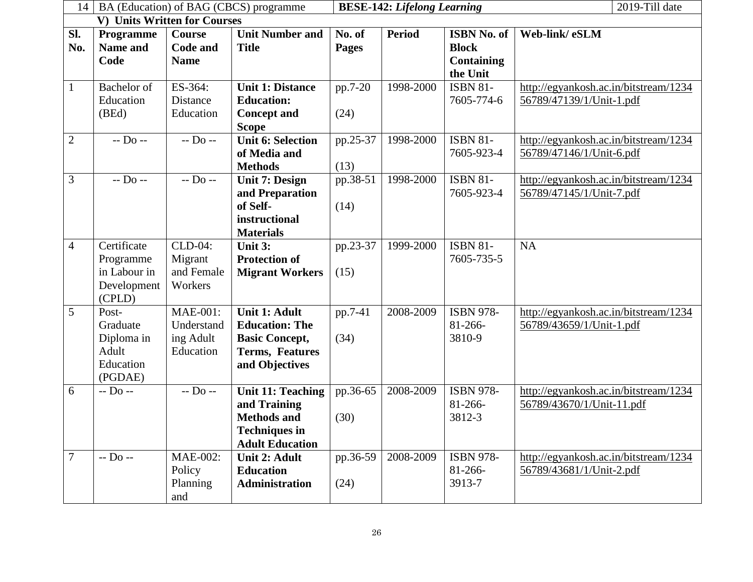| 14             |                                                                   |                                                         | BA (Education) of BAG (CBCS) programme                                                                           | 2019-Till date<br><b>BESE-142: Lifelong Learning</b> |               |                                                                     |                                                                    |  |  |
|----------------|-------------------------------------------------------------------|---------------------------------------------------------|------------------------------------------------------------------------------------------------------------------|------------------------------------------------------|---------------|---------------------------------------------------------------------|--------------------------------------------------------------------|--|--|
|                | V) Units Written for Courses                                      |                                                         |                                                                                                                  |                                                      |               |                                                                     |                                                                    |  |  |
| SI.<br>No.     | Programme<br><b>Name and</b><br>Code                              | <b>Course</b><br><b>Code and</b><br><b>Name</b>         | <b>Unit Number and</b><br><b>Title</b>                                                                           | No. of<br><b>Pages</b>                               | <b>Period</b> | <b>ISBN No. of</b><br><b>Block</b><br><b>Containing</b><br>the Unit | Web-link/eSLM                                                      |  |  |
| $\mathbf{1}$   | <b>Bachelor</b> of<br>Education<br>(BEd)                          | ES-364:<br>Distance<br>Education                        | <b>Unit 1: Distance</b><br><b>Education:</b><br><b>Concept and</b><br><b>Scope</b>                               | pp.7-20<br>(24)                                      | 1998-2000     | <b>ISBN 81-</b><br>7605-774-6                                       | http://egyankosh.ac.in/bitstream/1234<br>56789/47139/1/Unit-1.pdf  |  |  |
| $\overline{2}$ | $-$ Do $-$                                                        | $-$ D <sub>0</sub> $-$                                  | <b>Unit 6: Selection</b><br>of Media and<br><b>Methods</b>                                                       | pp.25-37<br>(13)                                     | 1998-2000     | <b>ISBN 81-</b><br>7605-923-4                                       | http://egyankosh.ac.in/bitstream/1234<br>56789/47146/1/Unit-6.pdf  |  |  |
| 3              | $-D0$ --                                                          | $-D0$ --                                                | <b>Unit 7: Design</b><br>and Preparation<br>of Self-<br>instructional<br><b>Materials</b>                        | $pp.38-51$<br>(14)                                   | 1998-2000     | <b>ISBN 81-</b><br>7605-923-4                                       | http://egyankosh.ac.in/bitstream/1234<br>56789/47145/1/Unit-7.pdf  |  |  |
| $\overline{4}$ | Certificate<br>Programme<br>in Labour in<br>Development<br>(CPLD) | CLD-04:<br>Migrant<br>and Female<br>Workers             | Unit 3:<br><b>Protection of</b><br><b>Migrant Workers</b>                                                        | pp.23-37<br>(15)                                     | 1999-2000     | <b>ISBN 81-</b><br>7605-735-5                                       | <b>NA</b>                                                          |  |  |
| 5              | Post-<br>Graduate<br>Diploma in<br>Adult<br>Education<br>(PGDAE)  | <b>MAE-001:</b><br>Understand<br>ing Adult<br>Education | Unit 1: Adult<br><b>Education: The</b><br><b>Basic Concept,</b><br><b>Terms, Features</b><br>and Objectives      | pp.7-41<br>(34)                                      | 2008-2009     | <b>ISBN 978-</b><br>$81 - 266 -$<br>3810-9                          | http://egyankosh.ac.in/bitstream/1234<br>56789/43659/1/Unit-1.pdf  |  |  |
| 6              | $-$ Do $-$                                                        | $-D0$ --                                                | <b>Unit 11: Teaching</b><br>and Training<br><b>Methods and</b><br><b>Techniques in</b><br><b>Adult Education</b> | pp.36-65<br>(30)                                     | 2008-2009     | <b>ISBN 978-</b><br>81-266-<br>3812-3                               | http://egyankosh.ac.in/bitstream/1234<br>56789/43670/1/Unit-11.pdf |  |  |
| 7              | $-D0$ --                                                          | <b>MAE-002:</b><br>Policy<br>Planning<br>and            | Unit 2: Adult<br><b>Education</b><br>Administration                                                              | pp.36-59<br>(24)                                     | 2008-2009     | <b>ISBN 978-</b><br>81-266-<br>3913-7                               | http://egyankosh.ac.in/bitstream/1234<br>56789/43681/1/Unit-2.pdf  |  |  |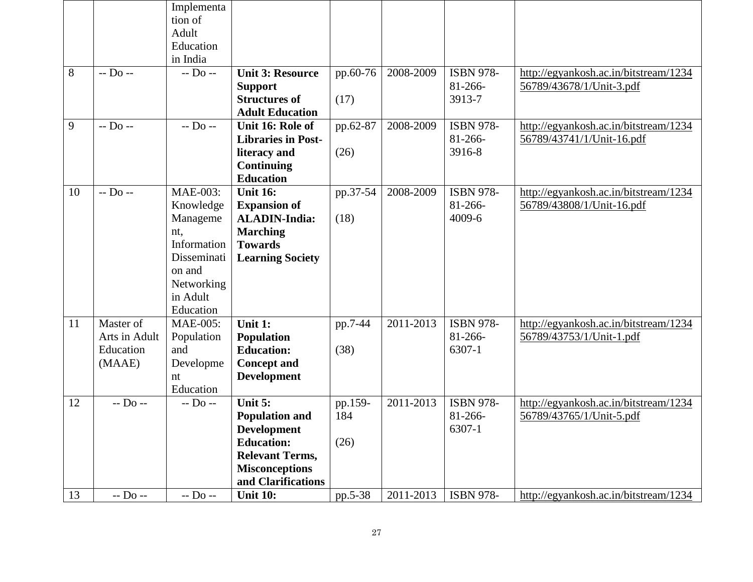|    |               | Implementa<br>tion of |                                             |          |           |                      |                                       |
|----|---------------|-----------------------|---------------------------------------------|----------|-----------|----------------------|---------------------------------------|
|    |               | Adult                 |                                             |          |           |                      |                                       |
|    |               | Education<br>in India |                                             |          |           |                      |                                       |
| 8  | $-D0$ --      | $-$ Do $-$            | <b>Unit 3: Resource</b>                     | pp.60-76 | 2008-2009 | <b>ISBN 978-</b>     | http://egyankosh.ac.in/bitstream/1234 |
|    |               |                       | <b>Support</b>                              |          |           | $81 - 266 -$         | 56789/43678/1/Unit-3.pdf              |
|    |               |                       | <b>Structures of</b>                        | (17)     |           | 3913-7               |                                       |
|    |               |                       | <b>Adult Education</b>                      |          |           |                      |                                       |
| 9  | $-D0$ --      | $-D0$ --              | Unit 16: Role of                            | pp.62-87 | 2008-2009 | <b>ISBN 978-</b>     | http://egyankosh.ac.in/bitstream/1234 |
|    |               |                       | <b>Libraries in Post-</b>                   |          |           | $81 - 266 -$         | 56789/43741/1/Unit-16.pdf             |
|    |               |                       | literacy and                                | (26)     |           | 3916-8               |                                       |
|    |               |                       | Continuing                                  |          |           |                      |                                       |
|    |               |                       | <b>Education</b>                            |          |           |                      |                                       |
| 10 | $-D0$ --      | <b>MAE-003:</b>       | <b>Unit 16:</b>                             | pp.37-54 | 2008-2009 | <b>ISBN 978-</b>     | http://egyankosh.ac.in/bitstream/1234 |
|    |               | Knowledge             | <b>Expansion of</b><br><b>ALADIN-India:</b> |          |           | $81 - 266$<br>4009-6 | 56789/43808/1/Unit-16.pdf             |
|    |               | Manageme<br>nt,       | <b>Marching</b>                             | (18)     |           |                      |                                       |
|    |               | Information           | <b>Towards</b>                              |          |           |                      |                                       |
|    |               | Disseminati           | <b>Learning Society</b>                     |          |           |                      |                                       |
|    |               | on and                |                                             |          |           |                      |                                       |
|    |               | Networking            |                                             |          |           |                      |                                       |
|    |               | in Adult              |                                             |          |           |                      |                                       |
|    |               | Education             |                                             |          |           |                      |                                       |
| 11 | Master of     | <b>MAE-005:</b>       | Unit 1:                                     | pp.7-44  | 2011-2013 | <b>ISBN 978-</b>     | http://egyankosh.ac.in/bitstream/1234 |
|    | Arts in Adult | Population            | <b>Population</b>                           |          |           | $81 - 266 -$         | 56789/43753/1/Unit-1.pdf              |
|    | Education     | and                   | <b>Education:</b>                           | (38)     |           | 6307-1               |                                       |
|    | (MAAE)        | Developme             | <b>Concept and</b>                          |          |           |                      |                                       |
|    |               | nt<br>Education       | <b>Development</b>                          |          |           |                      |                                       |
| 12 | $-$ Do $-$    | $-$ Do $-$            | Unit 5:                                     | pp.159-  | 2011-2013 | <b>ISBN 978-</b>     | http://egyankosh.ac.in/bitstream/1234 |
|    |               |                       | <b>Population and</b>                       | 184      |           | $81 - 266 -$         | 56789/43765/1/Unit-5.pdf              |
|    |               |                       | Development                                 |          |           | 6307-1               |                                       |
|    |               |                       | <b>Education:</b>                           | (26)     |           |                      |                                       |
|    |               |                       | <b>Relevant Terms,</b>                      |          |           |                      |                                       |
|    |               |                       | <b>Misconceptions</b>                       |          |           |                      |                                       |
|    |               |                       | and Clarifications                          |          |           |                      |                                       |
| 13 | $-$ Do $-$    | $-$ Do $-$            | <b>Unit 10:</b>                             | pp.5-38  | 2011-2013 | <b>ISBN 978-</b>     | http://egyankosh.ac.in/bitstream/1234 |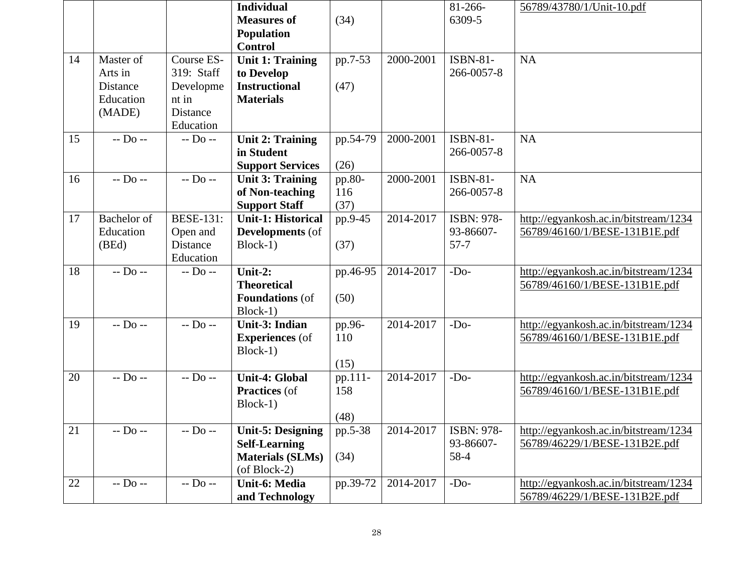|    |                    |                        | <b>Individual</b><br><b>Measures of</b> | (34)          |           | 81-266-<br>6309-5             | 56789/43780/1/Unit-10.pdf             |
|----|--------------------|------------------------|-----------------------------------------|---------------|-----------|-------------------------------|---------------------------------------|
|    |                    |                        | <b>Population</b>                       |               |           |                               |                                       |
|    |                    |                        | <b>Control</b>                          |               |           |                               |                                       |
| 14 | Master of          | Course ES-             | <b>Unit 1: Training</b>                 | pp.7-53       | 2000-2001 | <b>ISBN-81-</b>               | <b>NA</b>                             |
|    | Arts in            | 319: Staff             | to Develop                              |               |           | 266-0057-8                    |                                       |
|    | Distance           | Developme              | <b>Instructional</b>                    | (47)          |           |                               |                                       |
|    | Education          | nt in                  | <b>Materials</b>                        |               |           |                               |                                       |
|    | (MADE)             | <b>Distance</b>        |                                         |               |           |                               |                                       |
|    |                    | Education              |                                         |               |           |                               |                                       |
| 15 | $-$ Do $-$         | $-$ D <sub>0</sub> $-$ | <b>Unit 2: Training</b>                 | pp.54-79      | 2000-2001 | <b>ISBN-81-</b>               | <b>NA</b>                             |
|    |                    |                        | in Student                              |               |           | 266-0057-8                    |                                       |
|    | $-$ Do $-$         | $-$ Do $-$             | <b>Support Services</b>                 | (26)          |           |                               |                                       |
| 16 |                    |                        | <b>Unit 3: Training</b>                 | pp.80-<br>116 | 2000-2001 | <b>ISBN-81-</b><br>266-0057-8 | <b>NA</b>                             |
|    |                    |                        | of Non-teaching<br><b>Support Staff</b> | (37)          |           |                               |                                       |
| 17 | <b>Bachelor</b> of | <b>BESE-131:</b>       | <b>Unit-1: Historical</b>               | pp.9-45       | 2014-2017 | ISBN: 978-                    | http://egyankosh.ac.in/bitstream/1234 |
|    | Education          | Open and               | <b>Developments</b> (of                 |               |           | 93-86607-                     | 56789/46160/1/BESE-131B1E.pdf         |
|    | (BEd)              | Distance               | Block-1)                                | (37)          |           | $57 - 7$                      |                                       |
|    |                    | Education              |                                         |               |           |                               |                                       |
| 18 | $-$ Do $-$         | $-$ Do $-$             | Unit-2:                                 | pp.46-95      | 2014-2017 | $-Do-$                        | http://egyankosh.ac.in/bitstream/1234 |
|    |                    |                        | <b>Theoretical</b>                      |               |           |                               | 56789/46160/1/BESE-131B1E.pdf         |
|    |                    |                        | <b>Foundations</b> (of                  | (50)          |           |                               |                                       |
|    |                    |                        | Block-1)                                |               |           |                               |                                       |
| 19 | $-$ Do $-$         | $-$ Do $-$             | <b>Unit-3: Indian</b>                   | pp.96-        | 2014-2017 | $-Do-$                        | http://egyankosh.ac.in/bitstream/1234 |
|    |                    |                        | <b>Experiences</b> (of                  | 110           |           |                               | 56789/46160/1/BESE-131B1E.pdf         |
|    |                    |                        | $Block-1)$                              |               |           |                               |                                       |
|    |                    |                        |                                         | (15)          |           |                               |                                       |
| 20 | $-D0$ --           | $-$ D <sub>0</sub> $-$ | <b>Unit-4: Global</b>                   | pp.111-       | 2014-2017 | $-Do-$                        | http://egyankosh.ac.in/bitstream/1234 |
|    |                    |                        | Practices (of                           | 158           |           |                               | 56789/46160/1/BESE-131B1E.pdf         |
|    |                    |                        | Block-1)                                | (48)          |           |                               |                                       |
| 21 | $-$ Do $-$         | $-D_0 -$               | <b>Unit-5: Designing</b>                | pp.5-38       | 2014-2017 | ISBN: 978-                    | http://egyankosh.ac.in/bitstream/1234 |
|    |                    |                        | <b>Self-Learning</b>                    |               |           | 93-86607-                     | 56789/46229/1/BESE-131B2E.pdf         |
|    |                    |                        | <b>Materials (SLMs)</b>                 | (34)          |           | 58-4                          |                                       |
|    |                    |                        | $($ of Block-2 $)$                      |               |           |                               |                                       |
| 22 | $-$ Do $-$         | $-D0$ --               | <b>Unit-6: Media</b>                    | pp.39-72      | 2014-2017 | $-Do-$                        | http://egyankosh.ac.in/bitstream/1234 |
|    |                    |                        | and Technology                          |               |           |                               | 56789/46229/1/BESE-131B2E.pdf         |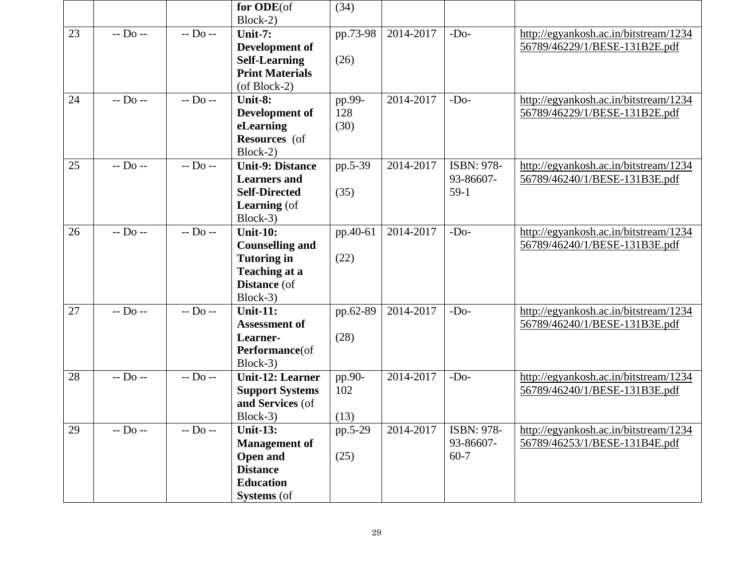|    |                   |                                  | for ODE(of<br>Block-2)               | (34)      |           |            |                                       |
|----|-------------------|----------------------------------|--------------------------------------|-----------|-----------|------------|---------------------------------------|
| 23 | $-$ Do $-$        | $-$ D <sub>0</sub> $-$           | Unit-7:                              | pp.73-98  | 2014-2017 | $-Do-$     | http://egyankosh.ac.in/bitstream/1234 |
|    |                   |                                  | Development of                       |           |           |            | 56789/46229/1/BESE-131B2E.pdf         |
|    |                   |                                  | <b>Self-Learning</b>                 | (26)      |           |            |                                       |
|    |                   |                                  | <b>Print Materials</b>               |           |           |            |                                       |
|    |                   |                                  | $($ of Block-2 $)$                   |           |           |            |                                       |
| 24 | $\frac{1}{100} -$ | $-$ Do $-$                       | Unit-8:                              | $pp.99-$  | 2014-2017 | $-Do-$     | http://egyankosh.ac.in/bitstream/1234 |
|    |                   |                                  | Development of                       | 128       |           |            | 56789/46229/1/BESE-131B2E.pdf         |
|    |                   |                                  | eLearning                            | (30)      |           |            |                                       |
|    |                   |                                  | Resources (of<br>Block-2)            |           |           |            |                                       |
| 25 | $-D0$ --          | $-D0$ --                         | <b>Unit-9: Distance</b>              | pp.5-39   | 2014-2017 | ISBN: 978- | http://egyankosh.ac.in/bitstream/1234 |
|    |                   |                                  | <b>Learners</b> and                  |           |           | 93-86607-  | 56789/46240/1/BESE-131B3E.pdf         |
|    |                   |                                  | <b>Self-Directed</b>                 | (35)      |           | $59-1$     |                                       |
|    |                   |                                  | <b>Learning</b> (of                  |           |           |            |                                       |
|    |                   |                                  | Block-3)                             |           |           |            |                                       |
| 26 | $-Do -$           | $-D0$ --                         | <b>Unit-10:</b>                      | pp.40-61  | 2014-2017 | $-Do-$     | http://egyankosh.ac.in/bitstream/1234 |
|    |                   |                                  | <b>Counselling and</b>               |           |           |            | 56789/46240/1/BESE-131B3E.pdf         |
|    |                   |                                  | <b>Tutoring in</b>                   | (22)      |           |            |                                       |
|    |                   |                                  | <b>Teaching at a</b><br>Distance (of |           |           |            |                                       |
|    |                   |                                  | Block-3)                             |           |           |            |                                       |
| 27 | $-D0$ --          | $\overline{-}$ Do $\overline{-}$ | <b>Unit-11:</b>                      | pp.62-89  | 2014-2017 | $-Do-$     | http://egyankosh.ac.in/bitstream/1234 |
|    |                   |                                  | <b>Assessment of</b>                 |           |           |            | 56789/46240/1/BESE-131B3E.pdf         |
|    |                   |                                  | Learner-                             | (28)      |           |            |                                       |
|    |                   |                                  | Performance(of                       |           |           |            |                                       |
|    |                   |                                  | Block-3)                             |           |           |            |                                       |
| 28 | $-$ Do $-$        | $-$ Do $-$                       | <b>Unit-12: Learner</b>              | pp.90-    | 2014-2017 | $-Do-$     | http://egyankosh.ac.in/bitstream/1234 |
|    |                   |                                  | <b>Support Systems</b>               | 102       |           |            | 56789/46240/1/BESE-131B3E.pdf         |
|    |                   |                                  | and Services (of                     |           |           |            |                                       |
|    |                   |                                  | Block-3)                             | (13)      |           |            |                                       |
| 29 | $-$ Do $-$        | $-$ Do $-$                       | <b>Unit-13:</b>                      | $pp.5-29$ | 2014-2017 | ISBN: 978- | http://egyankosh.ac.in/bitstream/1234 |
|    |                   |                                  | <b>Management</b> of                 |           |           | 93-86607-  | 56789/46253/1/BESE-131B4E.pdf         |
|    |                   |                                  | <b>Open and</b>                      | (25)      |           | $60 - 7$   |                                       |
|    |                   |                                  | <b>Distance</b><br><b>Education</b>  |           |           |            |                                       |
|    |                   |                                  | <b>Systems</b> (of                   |           |           |            |                                       |
|    |                   |                                  |                                      |           |           |            |                                       |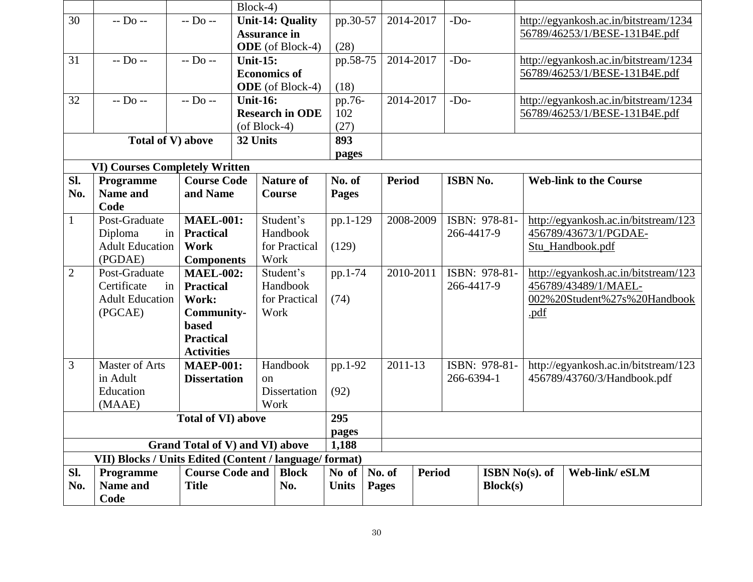|                |                                                         |                                 | Block-4)            |                         |              |               |               |            |                       |                  |                                       |
|----------------|---------------------------------------------------------|---------------------------------|---------------------|-------------------------|--------------|---------------|---------------|------------|-----------------------|------------------|---------------------------------------|
| 30             | $-$ Do $-$                                              | $-$ Do $-$                      |                     | <b>Unit-14: Quality</b> | pp.30-57     | 2014-2017     |               | $-Do-$     |                       |                  | http://egyankosh.ac.in/bitstream/1234 |
|                |                                                         |                                 | <b>Assurance in</b> |                         |              |               |               |            |                       |                  | 56789/46253/1/BESE-131B4E.pdf         |
|                |                                                         |                                 |                     | <b>ODE</b> (of Block-4) | (28)         |               |               |            |                       |                  |                                       |
| 31             | $-$ Do $-$                                              | $-D0$ --                        | <b>Unit-15:</b>     |                         | pp.58-75     | 2014-2017     |               | $-Do-$     |                       |                  | http://egyankosh.ac.in/bitstream/1234 |
|                |                                                         |                                 | <b>Economics of</b> |                         |              |               |               |            |                       |                  | 56789/46253/1/BESE-131B4E.pdf         |
|                |                                                         |                                 |                     | <b>ODE</b> (of Block-4) | (18)         |               |               |            |                       |                  |                                       |
| 32             | $-$ Do $-$                                              | $-$ Do $-$                      | <b>Unit-16:</b>     |                         | pp.76-       | 2014-2017     |               | $-Do-$     |                       |                  | http://egyankosh.ac.in/bitstream/1234 |
|                |                                                         |                                 |                     | <b>Research in ODE</b>  | 102          |               |               |            |                       |                  | 56789/46253/1/BESE-131B4E.pdf         |
|                |                                                         |                                 | $($ of Block-4 $)$  |                         | (27)         |               |               |            |                       |                  |                                       |
|                | Total of V) above                                       |                                 | 32 Units            |                         | 893          |               |               |            |                       |                  |                                       |
|                |                                                         |                                 |                     |                         | pages        |               |               |            |                       |                  |                                       |
|                | <b>VI) Courses Completely Written</b>                   |                                 |                     |                         |              |               |               |            |                       |                  |                                       |
| SI.            | Programme                                               | <b>Course Code</b>              |                     | <b>Nature of</b>        | No. of       | <b>Period</b> |               | ISBN No.   |                       |                  | <b>Web-link to the Course</b>         |
| No.            | <b>Name and</b>                                         | and Name                        |                     | <b>Course</b>           | <b>Pages</b> |               |               |            |                       |                  |                                       |
|                | Code                                                    |                                 |                     |                         |              |               |               |            |                       |                  |                                       |
| $\mathbf{1}$   | Post-Graduate                                           | <b>MAEL-001:</b>                |                     | Student's               | pp.1-129     | 2008-2009     |               |            | ISBN: 978-81-         |                  | http://egyankosh.ac.in/bitstream/123  |
|                | Diploma<br>in                                           | <b>Practical</b>                |                     | Handbook                |              |               |               | 266-4417-9 |                       |                  | 456789/43673/1/PGDAE-                 |
|                | <b>Adult Education</b>                                  | for Practical<br><b>Work</b>    |                     | (129)                   |              |               |               |            |                       | Stu_Handbook.pdf |                                       |
|                | (PGDAE)                                                 | <b>Components</b>               |                     | Work                    |              |               |               |            |                       |                  |                                       |
| $\overline{2}$ | Post-Graduate                                           | <b>MAEL-002:</b>                |                     | Student's               | pp.1-74      | 2010-2011     |               |            | ISBN: 978-81-         |                  | http://egyankosh.ac.in/bitstream/123  |
|                | Certificate<br>in                                       | <b>Practical</b>                |                     | Handbook                |              |               |               | 266-4417-9 |                       |                  | 456789/43489/1/MAEL-                  |
|                | <b>Adult Education</b>                                  | Work:                           |                     | for Practical           | (74)         |               |               |            |                       |                  | 002%20Student%27s%20Handbook          |
|                | (PGCAE)                                                 | <b>Community-</b>               |                     | Work                    |              |               |               |            |                       | .pdf             |                                       |
|                |                                                         | <b>based</b>                    |                     |                         |              |               |               |            |                       |                  |                                       |
|                |                                                         | <b>Practical</b>                |                     |                         |              |               |               |            |                       |                  |                                       |
|                |                                                         | <b>Activities</b>               |                     |                         |              |               |               |            |                       |                  |                                       |
| 3              | <b>Master of Arts</b>                                   | <b>MAEP-001:</b>                |                     | Handbook                | pp.1-92      | 2011-13       |               |            | ISBN: 978-81-         |                  | http://egyankosh.ac.in/bitstream/123  |
|                | in Adult                                                | <b>Dissertation</b>             | <sub>on</sub>       |                         |              |               |               | 266-6394-1 |                       |                  | 456789/43760/3/Handbook.pdf           |
|                | Education                                               |                                 |                     | Dissertation            | (92)         |               |               |            |                       |                  |                                       |
|                | (MAAE)                                                  |                                 |                     | Work                    |              |               |               |            |                       |                  |                                       |
|                |                                                         | <b>Total of VI) above</b>       |                     |                         | 295          |               |               |            |                       |                  |                                       |
|                |                                                         |                                 |                     |                         | pages        |               |               |            |                       |                  |                                       |
|                |                                                         | Grand Total of V) and VI) above |                     |                         | 1,188        |               |               |            |                       |                  |                                       |
|                | VII) Blocks / Units Edited (Content / language/ format) |                                 |                     |                         |              |               |               |            |                       |                  |                                       |
| Sl.            | Programme                                               | <b>Course Code and</b>          |                     | <b>Block</b>            | No of        | No. of        | <b>Period</b> |            | <b>ISBN No(s). of</b> |                  | Web-link/eSLM                         |
| No.            | Name and                                                | <b>Title</b>                    |                     | No.                     | <b>Units</b> | <b>Pages</b>  |               |            | Block(s)              |                  |                                       |
|                | Code                                                    |                                 |                     |                         |              |               |               |            |                       |                  |                                       |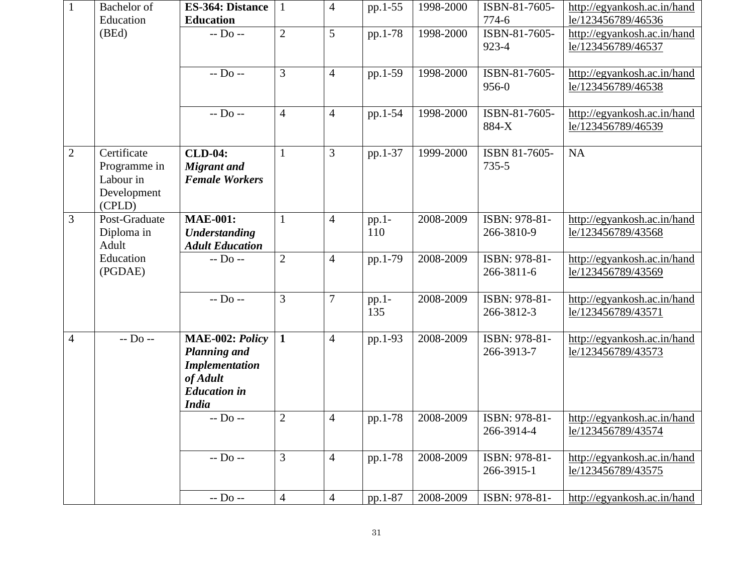| $\mathbf{1}$   | Bachelor of<br>Education                                          | <b>ES-364: Distance</b><br><b>Education</b>                                                                        |                | 4              | pp.1-55      | 1998-2000 | ISBN-81-7605-<br>774-6      | http://egyankosh.ac.in/hand<br>le/123456789/46536 |
|----------------|-------------------------------------------------------------------|--------------------------------------------------------------------------------------------------------------------|----------------|----------------|--------------|-----------|-----------------------------|---------------------------------------------------|
|                | (BEd)                                                             | $-$ Do $-$                                                                                                         | $\overline{2}$ | 5              | pp.1-78      | 1998-2000 | ISBN-81-7605-<br>923-4      | http://egyankosh.ac.in/hand<br>le/123456789/46537 |
|                |                                                                   | $-D0$ --                                                                                                           | 3              | $\overline{4}$ | pp.1-59      | 1998-2000 | ISBN-81-7605-<br>956-0      | http://egyankosh.ac.in/hand<br>le/123456789/46538 |
|                |                                                                   | $-$ Do $-$                                                                                                         | $\overline{4}$ | $\overline{4}$ | pp.1-54      | 1998-2000 | ISBN-81-7605-<br>884-X      | http://egyankosh.ac.in/hand<br>le/123456789/46539 |
| $\overline{2}$ | Certificate<br>Programme in<br>Labour in<br>Development<br>(CPLD) | <b>CLD-04:</b><br><b>Migrant</b> and<br><b>Female Workers</b>                                                      | 1              | 3              | pp.1-37      | 1999-2000 | ISBN 81-7605-<br>735-5      | <b>NA</b>                                         |
| 3              | Post-Graduate<br>Diploma in<br>Adult                              | <b>MAE-001:</b><br><b>Understanding</b><br><b>Adult Education</b>                                                  | $\mathbf{1}$   | $\overline{4}$ | pp.1-<br>110 | 2008-2009 | ISBN: 978-81-<br>266-3810-9 | http://egyankosh.ac.in/hand<br>le/123456789/43568 |
|                | Education<br>(PGDAE)                                              | $-$ Do $-$                                                                                                         | $\overline{2}$ | $\overline{4}$ | pp.1-79      | 2008-2009 | ISBN: 978-81-<br>266-3811-6 | http://egyankosh.ac.in/hand<br>le/123456789/43569 |
|                |                                                                   | $-$ Do $-$                                                                                                         | $\overline{3}$ | $\overline{7}$ | pp.1-<br>135 | 2008-2009 | ISBN: 978-81-<br>266-3812-3 | http://egyankosh.ac.in/hand<br>le/123456789/43571 |
| $\overline{4}$ | $-$ Do $-$                                                        | MAE-002: Policy<br><b>Planning and</b><br><b>Implementation</b><br>of Adult<br><b>Education</b> in<br><b>India</b> | $\mathbf{1}$   | $\overline{4}$ | pp.1-93      | 2008-2009 | ISBN: 978-81-<br>266-3913-7 | http://egyankosh.ac.in/hand<br>le/123456789/43573 |
|                |                                                                   | $-$ Do $-$                                                                                                         | $\overline{2}$ | $\overline{4}$ | pp.1-78      | 2008-2009 | ISBN: 978-81-<br>266-3914-4 | http://egyankosh.ac.in/hand<br>le/123456789/43574 |
|                |                                                                   | $-$ Do $-$                                                                                                         | $\overline{3}$ | $\overline{4}$ | pp.1-78      | 2008-2009 | ISBN: 978-81-<br>266-3915-1 | http://egyankosh.ac.in/hand<br>le/123456789/43575 |
|                |                                                                   | $-$ Do $-$                                                                                                         | $\overline{4}$ | $\overline{4}$ | pp.1-87      | 2008-2009 | ISBN: 978-81-               | http://egyankosh.ac.in/hand                       |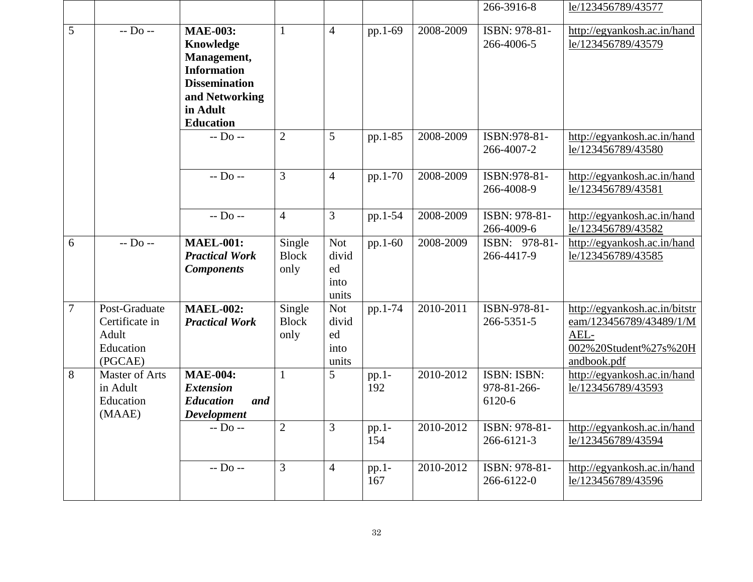|                |                                                                  |                                                                                                                                             |                                |                                            |                |           | 266-3916-8                                  | le/123456789/43577                                                                                       |
|----------------|------------------------------------------------------------------|---------------------------------------------------------------------------------------------------------------------------------------------|--------------------------------|--------------------------------------------|----------------|-----------|---------------------------------------------|----------------------------------------------------------------------------------------------------------|
| 5              | $-$ Do $-$                                                       | <b>MAE-003:</b><br>Knowledge<br>Management,<br><b>Information</b><br><b>Dissemination</b><br>and Networking<br>in Adult<br><b>Education</b> | $\mathbf{1}$                   | $\overline{4}$                             | pp.1-69        | 2008-2009 | ISBN: 978-81-<br>266-4006-5                 | http://egyankosh.ac.in/hand<br>le/123456789/43579                                                        |
|                |                                                                  | $-D0$ --                                                                                                                                    | $\overline{2}$                 | 5                                          | pp.1-85        | 2008-2009 | ISBN:978-81-<br>266-4007-2                  | http://egyankosh.ac.in/hand<br>le/123456789/43580                                                        |
|                |                                                                  | $-$ Do $-$                                                                                                                                  | $\overline{3}$                 | $\overline{4}$                             | pp.1-70        | 2008-2009 | ISBN:978-81-<br>266-4008-9                  | http://egyankosh.ac.in/hand<br>le/123456789/43581                                                        |
|                |                                                                  | $-D0$ --                                                                                                                                    | $\overline{4}$                 | 3                                          | pp.1-54        | 2008-2009 | ISBN: 978-81-<br>266-4009-6                 | http://egyankosh.ac.in/hand<br>le/123456789/43582                                                        |
| 6              | $-$ Do $-$                                                       | <b>MAEL-001:</b><br><b>Practical Work</b><br><b>Components</b>                                                                              | Single<br><b>Block</b><br>only | <b>Not</b><br>divid<br>ed<br>into<br>units | pp.1-60        | 2008-2009 | ISBN: 978-81-<br>266-4417-9                 | http://egyankosh.ac.in/hand<br>le/123456789/43585                                                        |
| $\overline{7}$ | Post-Graduate<br>Certificate in<br>Adult<br>Education<br>(PGCAE) | <b>MAEL-002:</b><br><b>Practical Work</b>                                                                                                   | Single<br><b>Block</b><br>only | <b>Not</b><br>divid<br>ed<br>into<br>units | pp.1-74        | 2010-2011 | ISBN-978-81-<br>266-5351-5                  | http://egyankosh.ac.in/bitstr<br>eam/123456789/43489/1/M<br>AEL-<br>002%20Student%27s%20H<br>andbook.pdf |
| 8              | <b>Master of Arts</b><br>in Adult<br>Education<br>(MAAE)         | <b>MAE-004:</b><br><b>Extension</b><br><b>Education</b><br>and<br><b>Development</b>                                                        | $\mathbf{1}$                   | 5                                          | $pp.1-$<br>192 | 2010-2012 | <b>ISBN: ISBN:</b><br>978-81-266-<br>6120-6 | http://egyankosh.ac.in/hand<br>le/123456789/43593                                                        |
|                |                                                                  | $-Do -$                                                                                                                                     | $\sqrt{2}$                     | 3                                          | pp.1-<br>154   | 2010-2012 | ISBN: 978-81-<br>$266 - 6121 - 3$           | http://egyankosh.ac.in/hand<br>le/123456789/43594                                                        |
|                |                                                                  | $-$ Do $-$                                                                                                                                  | 3                              | $\overline{4}$                             | $pp.1-$<br>167 | 2010-2012 | ISBN: 978-81-<br>266-6122-0                 | http://egyankosh.ac.in/hand<br>le/123456789/43596                                                        |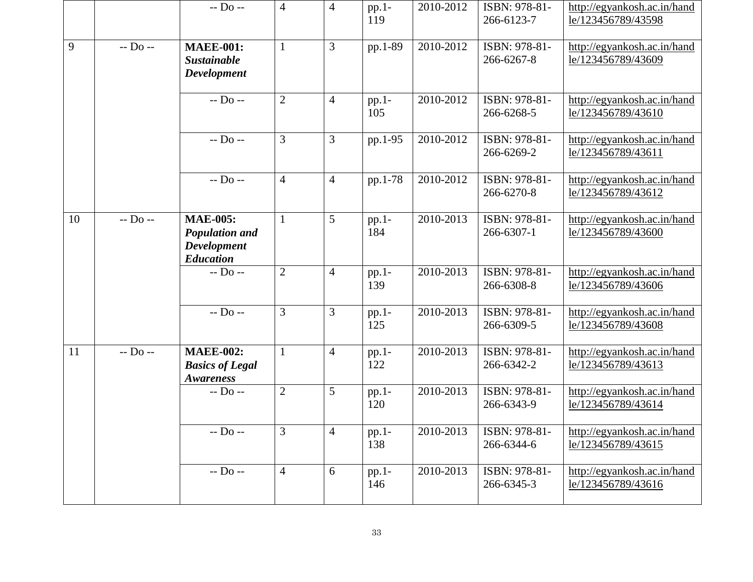|    |            | $-$ Do $-$                                                                         | $\overline{4}$ | $\overline{4}$ | pp.1-<br>119   | 2010-2012 | ISBN: 978-81-<br>266-6123-7 | http://egyankosh.ac.in/hand<br>le/123456789/43598 |
|----|------------|------------------------------------------------------------------------------------|----------------|----------------|----------------|-----------|-----------------------------|---------------------------------------------------|
| 9  | $-$ Do $-$ | <b>MAEE-001:</b><br><b>Sustainable</b><br><b>Development</b>                       | $\mathbf{1}$   | 3              | pp.1-89        | 2010-2012 | ISBN: 978-81-<br>266-6267-8 | http://egyankosh.ac.in/hand<br>le/123456789/43609 |
|    |            | $-$ Do $-$                                                                         | $\overline{2}$ | $\overline{4}$ | pp.1-<br>105   | 2010-2012 | ISBN: 978-81-<br>266-6268-5 | http://egyankosh.ac.in/hand<br>le/123456789/43610 |
|    |            | $-D0$ --                                                                           | $\overline{3}$ | 3              | pp.1-95        | 2010-2012 | ISBN: 978-81-<br>266-6269-2 | http://egyankosh.ac.in/hand<br>le/123456789/43611 |
|    |            | $-D0$ --                                                                           | $\overline{4}$ | $\overline{4}$ | pp.1-78        | 2010-2012 | ISBN: 978-81-<br>266-6270-8 | http://egyankosh.ac.in/hand<br>le/123456789/43612 |
| 10 | $-$ Do $-$ | <b>MAE-005:</b><br><b>Population and</b><br><b>Development</b><br><b>Education</b> | $\mathbf{1}$   | 5              | pp.1-<br>184   | 2010-2013 | ISBN: 978-81-<br>266-6307-1 | http://egyankosh.ac.in/hand<br>le/123456789/43600 |
|    |            | $-D0$ --                                                                           | $\overline{2}$ | $\overline{4}$ | pp.1-<br>139   | 2010-2013 | ISBN: 978-81-<br>266-6308-8 | http://egyankosh.ac.in/hand<br>le/123456789/43606 |
|    |            | $-$ Do $-$                                                                         | $\mathfrak{Z}$ | 3              | $pp.1-$<br>125 | 2010-2013 | ISBN: 978-81-<br>266-6309-5 | http://egyankosh.ac.in/hand<br>le/123456789/43608 |
| 11 | $-$ Do $-$ | <b>MAEE-002:</b><br><b>Basics of Legal</b><br><b>Awareness</b>                     | $\mathbf{1}$   | $\overline{4}$ | $pp.1-$<br>122 | 2010-2013 | ISBN: 978-81-<br>266-6342-2 | http://egyankosh.ac.in/hand<br>le/123456789/43613 |
|    |            | $-D0$ --                                                                           | $\overline{2}$ | 5              | $pp.1-$<br>120 | 2010-2013 | ISBN: 978-81-<br>266-6343-9 | http://egyankosh.ac.in/hand<br>le/123456789/43614 |
|    |            | $-Do -$                                                                            | 3              | 4              | $pp.1-$<br>138 | 2010-2013 | ISBN: 978-81-<br>266-6344-6 | http://egyankosh.ac.in/hand<br>le/123456789/43615 |
|    |            | $-$ Do $-$                                                                         | $\overline{4}$ | 6              | $pp.1-$<br>146 | 2010-2013 | ISBN: 978-81-<br>266-6345-3 | http://egyankosh.ac.in/hand<br>le/123456789/43616 |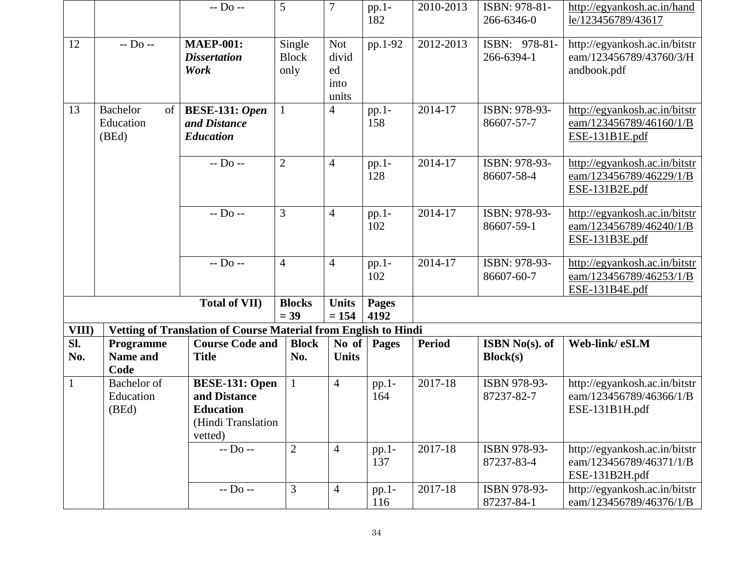|                                   |                                             | $-D0$ --                                                                                   | 5                              | $\boldsymbol{7}$                           | pp.1-<br>182         | 2010-2013     | ISBN: 978-81-<br>266-6346-0 | http://egyankosh.ac.in/hand<br>le/123456789/43617                          |
|-----------------------------------|---------------------------------------------|--------------------------------------------------------------------------------------------|--------------------------------|--------------------------------------------|----------------------|---------------|-----------------------------|----------------------------------------------------------------------------|
| 12                                | $-$ Do $-$                                  | <b>MAEP-001:</b><br><b>Dissertation</b><br>Work                                            | Single<br><b>Block</b><br>only | <b>Not</b><br>divid<br>ed<br>into<br>units | pp.1-92              | 2012-2013     | ISBN: 978-81-<br>266-6394-1 | http://egyankosh.ac.in/bitstr<br>eam/123456789/43760/3/H<br>andbook.pdf    |
| 13                                | <b>Bachelor</b><br>of<br>Education<br>(BEd) | <b>BESE-131: Open</b><br>and Distance<br><b>Education</b>                                  |                                | $\overline{4}$                             | pp.1-<br>158         | 2014-17       | ISBN: 978-93-<br>86607-57-7 | http://egyankosh.ac.in/bitstr<br>eam/123456789/46160/1/B<br>ESE-131B1E.pdf |
|                                   |                                             | $-D0$ --                                                                                   | $\overline{2}$                 | $\overline{4}$                             | pp.1-<br>128         | 2014-17       | ISBN: 978-93-<br>86607-58-4 | http://egyankosh.ac.in/bitstr<br>eam/123456789/46229/1/B<br>ESE-131B2E.pdf |
|                                   |                                             | $-D0$ --                                                                                   | $\overline{3}$                 | $\overline{4}$                             | pp.1-<br>102         | 2014-17       | ISBN: 978-93-<br>86607-59-1 | http://egyankosh.ac.in/bitstr<br>eam/123456789/46240/1/B<br>ESE-131B3E.pdf |
|                                   |                                             | $-D0$ --                                                                                   | $\overline{4}$                 | $\overline{4}$                             | $pp.1-$<br>102       | 2014-17       | ISBN: 978-93-<br>86607-60-7 | http://egyankosh.ac.in/bitstr<br>eam/123456789/46253/1/B<br>ESE-131B4E.pdf |
|                                   |                                             | <b>Total of VII)</b>                                                                       | <b>Blocks</b><br>$= 39$        | <b>Units</b><br>$= 154$                    | <b>Pages</b><br>4192 |               |                             |                                                                            |
| VIII)                             |                                             | Vetting of Translation of Course Material from English to Hindi                            |                                |                                            |                      |               |                             |                                                                            |
| $\overline{\mathbf{S}}$ l.<br>No. | Programme<br><b>Name and</b><br>Code        | <b>Course Code and</b><br><b>Title</b>                                                     | <b>Block</b><br>No.            | No of<br><b>Units</b>                      | Pages                | <b>Period</b> | ISBN No(s). of<br>Block(s)  | Web-link/eSLM                                                              |
| $\mathbf{1}$                      | <b>Bachelor</b> of<br>Education<br>(BEd)    | <b>BESE-131: Open</b><br>and Distance<br><b>Education</b><br>(Hindi Translation<br>vetted) |                                | $\overline{4}$                             | $pp.1-$<br>164       | 2017-18       | ISBN 978-93-<br>87237-82-7  | http://egyankosh.ac.in/bitstr<br>eam/123456789/46366/1/B<br>ESE-131B1H.pdf |
|                                   |                                             | $-Do -$                                                                                    | $\mathbf{2}$                   | $\overline{4}$                             | $pp.1-$<br>137       | 2017-18       | ISBN 978-93-<br>87237-83-4  | http://egyankosh.ac.in/bitstr<br>eam/123456789/46371/1/B<br>ESE-131B2H.pdf |
|                                   |                                             | $-D0$ --                                                                                   | 3                              | $\overline{4}$                             | $pp.1-$<br>116       | 2017-18       | ISBN 978-93-<br>87237-84-1  | http://egyankosh.ac.in/bitstr<br>eam/123456789/46376/1/B                   |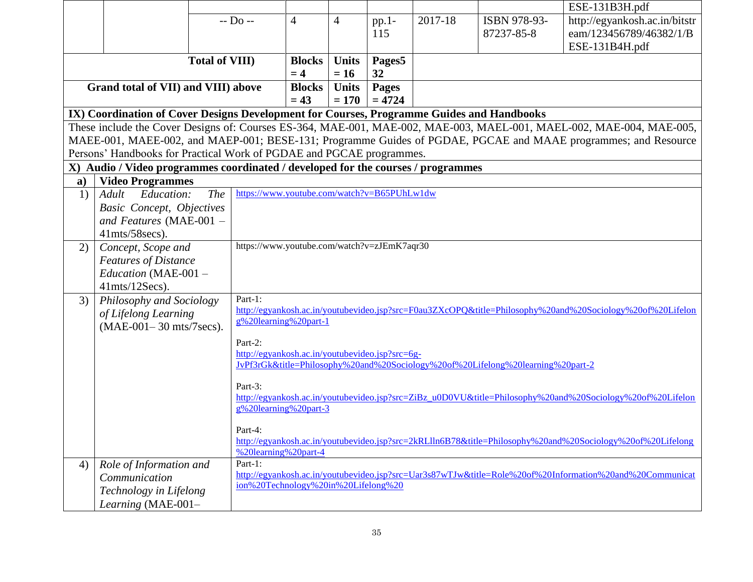|              |                                                                                           |                                                    |                                                                                                                       |              |          |         |                                                                                 | ESE-131B3H.pdf                                                                                                       |  |  |
|--------------|-------------------------------------------------------------------------------------------|----------------------------------------------------|-----------------------------------------------------------------------------------------------------------------------|--------------|----------|---------|---------------------------------------------------------------------------------|----------------------------------------------------------------------------------------------------------------------|--|--|
|              |                                                                                           | $-$ Do $-$                                         | $\overline{4}$                                                                                                        | 4            | $pp.1-$  | 2017-18 | ISBN 978-93-                                                                    | http://egyankosh.ac.in/bitstr                                                                                        |  |  |
|              |                                                                                           |                                                    |                                                                                                                       |              | 115      |         | 87237-85-8                                                                      | eam/123456789/46382/1/B                                                                                              |  |  |
|              |                                                                                           |                                                    |                                                                                                                       |              |          |         |                                                                                 | ESE-131B4H.pdf                                                                                                       |  |  |
|              |                                                                                           | <b>Total of VIII)</b>                              | <b>Blocks</b>                                                                                                         | <b>Units</b> | Pages5   |         |                                                                                 |                                                                                                                      |  |  |
|              | $= 4$<br>$= 16$<br>32                                                                     |                                                    |                                                                                                                       |              |          |         |                                                                                 |                                                                                                                      |  |  |
|              | <b>Units</b><br>Grand total of VII) and VIII) above<br><b>Blocks</b><br>Pages             |                                                    |                                                                                                                       |              |          |         |                                                                                 |                                                                                                                      |  |  |
|              |                                                                                           |                                                    | $= 43$                                                                                                                | $= 170$      | $= 4724$ |         |                                                                                 |                                                                                                                      |  |  |
|              | IX) Coordination of Cover Designs Development for Courses, Programme Guides and Handbooks |                                                    |                                                                                                                       |              |          |         |                                                                                 |                                                                                                                      |  |  |
|              |                                                                                           |                                                    |                                                                                                                       |              |          |         |                                                                                 | These include the Cover Designs of: Courses ES-364, MAE-001, MAE-002, MAE-003, MAEL-001, MAEL-002, MAE-004, MAE-005, |  |  |
|              |                                                                                           |                                                    |                                                                                                                       |              |          |         |                                                                                 | MAEE-001, MAEE-002, and MAEP-001; BESE-131; Programme Guides of PGDAE, PGCAE and MAAE programmes; and Resource       |  |  |
|              | Persons' Handbooks for Practical Work of PGDAE and PGCAE programmes.                      |                                                    |                                                                                                                       |              |          |         |                                                                                 |                                                                                                                      |  |  |
|              | X) Audio / Video programmes coordinated / developed for the courses / programmes          |                                                    |                                                                                                                       |              |          |         |                                                                                 |                                                                                                                      |  |  |
| $\mathbf{a}$ | <b>Video Programmes</b>                                                                   |                                                    |                                                                                                                       |              |          |         |                                                                                 |                                                                                                                      |  |  |
| 1)           | Adult<br>Education:                                                                       | https://www.youtube.com/watch?v=B65PUhLw1dw<br>The |                                                                                                                       |              |          |         |                                                                                 |                                                                                                                      |  |  |
|              | <b>Basic Concept, Objectives</b>                                                          |                                                    |                                                                                                                       |              |          |         |                                                                                 |                                                                                                                      |  |  |
|              | and Features (MAE-001 -                                                                   |                                                    |                                                                                                                       |              |          |         |                                                                                 |                                                                                                                      |  |  |
|              | 41mts/58secs).                                                                            |                                                    |                                                                                                                       |              |          |         |                                                                                 |                                                                                                                      |  |  |
| 2)           | Concept, Scope and                                                                        | https://www.youtube.com/watch?v=zJEmK7aqr30        |                                                                                                                       |              |          |         |                                                                                 |                                                                                                                      |  |  |
|              | <b>Features of Distance</b>                                                               |                                                    |                                                                                                                       |              |          |         |                                                                                 |                                                                                                                      |  |  |
|              | Education (MAE-001 -                                                                      |                                                    |                                                                                                                       |              |          |         |                                                                                 |                                                                                                                      |  |  |
|              | $41$ mts/ $12$ Secs).                                                                     |                                                    |                                                                                                                       |              |          |         |                                                                                 |                                                                                                                      |  |  |
| 3)           | Philosophy and Sociology                                                                  | Part-1:                                            |                                                                                                                       |              |          |         |                                                                                 |                                                                                                                      |  |  |
|              | of Lifelong Learning                                                                      | g%20learning%20part-1                              |                                                                                                                       |              |          |         |                                                                                 | http://egyankosh.ac.in/youtubevideo.jsp?src=F0au3ZXcOPQ&title=Philosophy%20and%20Sociology%20of%20Lifelon            |  |  |
|              | (MAE-001-30 mts/7secs).                                                                   |                                                    |                                                                                                                       |              |          |         |                                                                                 |                                                                                                                      |  |  |
|              |                                                                                           | Part-2:                                            |                                                                                                                       |              |          |         |                                                                                 |                                                                                                                      |  |  |
|              |                                                                                           | http://egyankosh.ac.in/youtubevideo.jsp?src=6g-    |                                                                                                                       |              |          |         |                                                                                 |                                                                                                                      |  |  |
|              |                                                                                           |                                                    |                                                                                                                       |              |          |         | JvPf3rGk&title=Philosophy%20and%20Sociology%20of%20Lifelong%20learning%20part-2 |                                                                                                                      |  |  |
|              |                                                                                           | Part-3:                                            |                                                                                                                       |              |          |         |                                                                                 |                                                                                                                      |  |  |
|              |                                                                                           |                                                    |                                                                                                                       |              |          |         |                                                                                 | http://egyankosh.ac.in/youtubevideo.jsp?src=ZiBz_u0D0VU&title=Philosophy%20and%20Sociology%20of%20Lifelon            |  |  |
|              |                                                                                           | g%20learning%20part-3                              |                                                                                                                       |              |          |         |                                                                                 |                                                                                                                      |  |  |
|              |                                                                                           |                                                    |                                                                                                                       |              |          |         |                                                                                 |                                                                                                                      |  |  |
|              |                                                                                           |                                                    | Part-4:<br>http://egyankosh.ac.in/youtubevideo.jsp?src=2kRLlln6B78&title=Philosophy%20and%20Sociology%20of%20Lifelong |              |          |         |                                                                                 |                                                                                                                      |  |  |
|              |                                                                                           | %20learning%20part-4                               |                                                                                                                       |              |          |         |                                                                                 |                                                                                                                      |  |  |
| 4)           | Role of Information and                                                                   | Part-1:                                            |                                                                                                                       |              |          |         |                                                                                 |                                                                                                                      |  |  |
|              | Communication                                                                             |                                                    |                                                                                                                       |              |          |         |                                                                                 | http://egyankosh.ac.in/youtubevideo.jsp?src=Uar3s87wTJw&title=Role%20of%20Information%20and%20Communicat             |  |  |
|              | Technology in Lifelong                                                                    | ion%20Technology%20in%20Lifelong%20                |                                                                                                                       |              |          |         |                                                                                 |                                                                                                                      |  |  |
|              | Learning (MAE-001-                                                                        |                                                    |                                                                                                                       |              |          |         |                                                                                 |                                                                                                                      |  |  |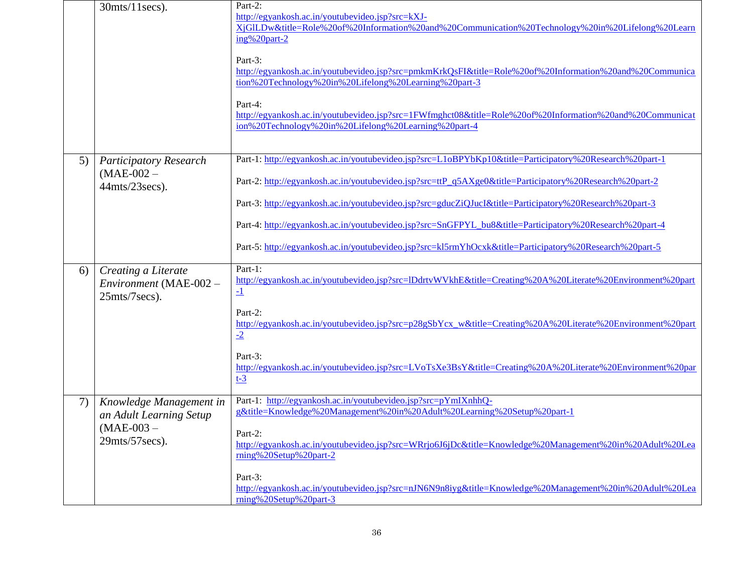|    | $30$ mts/ $11$ secs).                                                                       | Part-2:<br>http://egyankosh.ac.in/youtubevideo.jsp?src=kXJ-<br>XiGILDw&title=Role%20of%20Information%20and%20Communication%20Technology%20in%20Lifelong%20Learn<br>ing%20part-2<br>Part-3:<br>http://egyankosh.ac.in/youtubevideo.jsp?src=pmkmKrkQsFI&title=Role%20of%20Information%20and%20Communica<br>tion%20Technology%20in%20Lifelong%20Learning%20part-3<br>Part-4:<br>http://egyankosh.ac.in/youtubevideo.jsp?src=1FWfmghct08&title=Role%20of%20Information%20and%20Communicat<br>ion%20Technology%20in%20Lifelong%20Learning%20part-4       |
|----|---------------------------------------------------------------------------------------------|-----------------------------------------------------------------------------------------------------------------------------------------------------------------------------------------------------------------------------------------------------------------------------------------------------------------------------------------------------------------------------------------------------------------------------------------------------------------------------------------------------------------------------------------------------|
| 5) | <b>Participatory Research</b><br>$(MAE-002 -$<br>44mts/23secs).                             | Part-1: http://egyankosh.ac.in/youtubevideo.jsp?src=L1oBPYbKp10&title=Participatory%20Research%20part-1<br>Part-2: http://egyankosh.ac.in/youtubevideo.jsp?src=ttP_q5AXge0&title=Participatory%20Research%20part-2<br>Part-3: http://egyankosh.ac.in/youtubevideo.jsp?src=gducZiQJucI&title=Participatory%20Research%20part-3<br>Part-4: http://egyankosh.ac.in/youtubevideo.jsp?src=SnGFPYL_bu8&title=Participatory%20Research%20part-4<br>Part-5: http://egyankosh.ac.in/youtubevideo.jsp?src=kl5rmYhOcxk&title=Participatory%20Research%20part-5 |
| 6) | Creating a Literate<br>Environment (MAE-002 -<br>25mts/7secs).                              | Part-1:<br>http://egyankosh.ac.in/youtubevideo.jsp?src=lDdrtvWVkhE&title=Creating%20A%20Literate%20Environment%20part<br>$\overline{-1}$<br>Part-2:<br>http://egyankosh.ac.in/youtubevideo.jsp?src=p28gSbYcx_w&title=Creating%20A%20Literate%20Environment%20part<br>$-2$<br>Part-3:<br>http://egyankosh.ac.in/youtubevideo.jsp?src=LVoTsXe3BsY&title=Creating%20A%20Literate%20Environment%20par<br>$t-3$                                                                                                                                          |
| 7) | Knowledge Management in<br>an Adult Learning Setup<br>$(MAE-003 -$<br>$29$ mts/ $57$ secs). | Part-1: http://egyankosh.ac.in/youtubevideo.jsp?src=pYmIXnhhQ-<br>g&title=Knowledge%20Management%20in%20Adult%20Learning%20Setup%20part-1<br>Part-2:<br>http://egyankosh.ac.in/youtubevideo.jsp?src=WRrjo6J6jDc&title=Knowledge%20Management%20in%20Adult%20Lea<br>rning%20Setup%20part-2<br>Part-3:<br>http://egyankosh.ac.in/youtubevideo.jsp?src=nJN6N9n8iyg&title=Knowledge%20Management%20in%20Adult%20Lea<br>$rning\%20Setup\%20part-3$                                                                                                       |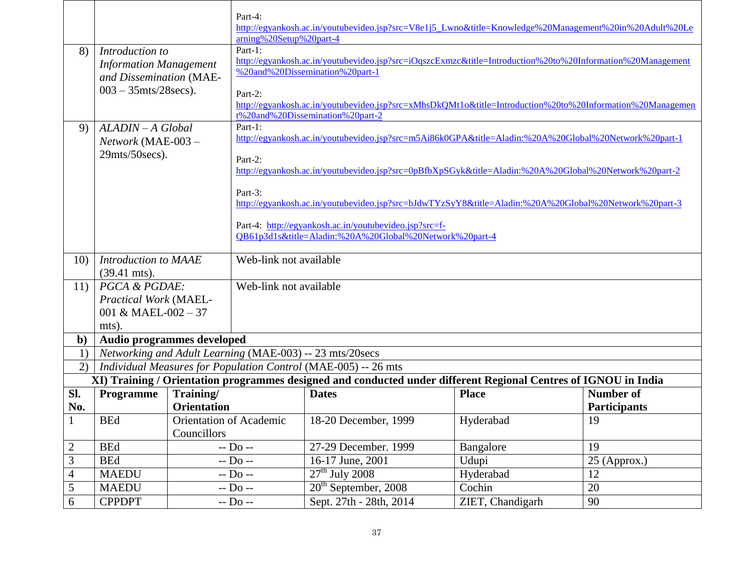|                    |                                                                                                                                                                                   |                                | Part-4:                                                                                                           | http://egyankosh.ac.in/youtubevideo.jsp?src=V8e1j5_Lwno&title=Knowledge%20Management%20in%20Adult%20Le     |                  |                     |  |  |  |
|--------------------|-----------------------------------------------------------------------------------------------------------------------------------------------------------------------------------|--------------------------------|-------------------------------------------------------------------------------------------------------------------|------------------------------------------------------------------------------------------------------------|------------------|---------------------|--|--|--|
|                    |                                                                                                                                                                                   |                                | arning%20Setup%20part-4                                                                                           |                                                                                                            |                  |                     |  |  |  |
| 8)                 | Introduction to                                                                                                                                                                   |                                | Part-1:                                                                                                           |                                                                                                            |                  |                     |  |  |  |
|                    | <b>Information Management</b>                                                                                                                                                     |                                |                                                                                                                   | http://egyankosh.ac.in/youtubevideo.jsp?src=iOqszcExmzc&title=Introduction%20to%20Information%20Management |                  |                     |  |  |  |
|                    | and Dissemination (MAE-                                                                                                                                                           |                                |                                                                                                                   | %20and%20Dissemination%20part-1                                                                            |                  |                     |  |  |  |
|                    | $003 - 35$ mts/28 secs).                                                                                                                                                          |                                | Part-2:                                                                                                           |                                                                                                            |                  |                     |  |  |  |
|                    |                                                                                                                                                                                   |                                |                                                                                                                   | http://egyankosh.ac.in/youtubevideo.jsp?src=xMhsDkQMt1o&title=Introduction%20to%20Information%20Managemen  |                  |                     |  |  |  |
|                    |                                                                                                                                                                                   |                                |                                                                                                                   | t%20and%20Dissemination%20part-2                                                                           |                  |                     |  |  |  |
| 9)                 | $ALADIN - A Global$                                                                                                                                                               |                                | Part-1:                                                                                                           | http://egyankosh.ac.in/youtubevideo.jsp?src=m5Ai86k0GPA&title=Aladin:%20A%20Global%20Network%20part-1      |                  |                     |  |  |  |
|                    | Network (MAE-003 -                                                                                                                                                                |                                |                                                                                                                   |                                                                                                            |                  |                     |  |  |  |
|                    | 29mts/50secs).                                                                                                                                                                    |                                | Part-2:                                                                                                           |                                                                                                            |                  |                     |  |  |  |
|                    |                                                                                                                                                                                   |                                |                                                                                                                   | http://egyankosh.ac.in/youtubevideo.jsp?src=0pBfbXpSGyk&title=Aladin:%20A%20Global%20Network%20part-2      |                  |                     |  |  |  |
|                    |                                                                                                                                                                                   |                                | Part-3:                                                                                                           |                                                                                                            |                  |                     |  |  |  |
|                    |                                                                                                                                                                                   |                                |                                                                                                                   | http://egyankosh.ac.in/youtubevideo.jsp?src=bJdwTYzSyY8&title=Aladin:%20A%20Global%20Network%20part-3      |                  |                     |  |  |  |
|                    |                                                                                                                                                                                   |                                |                                                                                                                   |                                                                                                            |                  |                     |  |  |  |
|                    |                                                                                                                                                                                   |                                | Part-4: http://egyankosh.ac.in/youtubevideo.jsp?src=f-<br>QB61p3d1s&title=Aladin:%20A%20Global%20Network%20part-4 |                                                                                                            |                  |                     |  |  |  |
|                    |                                                                                                                                                                                   |                                |                                                                                                                   |                                                                                                            |                  |                     |  |  |  |
| 10)                | Introduction to MAAE                                                                                                                                                              |                                | Web-link not available                                                                                            |                                                                                                            |                  |                     |  |  |  |
|                    | $(39.41 \text{ mts})$ .                                                                                                                                                           |                                |                                                                                                                   |                                                                                                            |                  |                     |  |  |  |
| 11)                | PGCA & PGDAE:                                                                                                                                                                     |                                | Web-link not available                                                                                            |                                                                                                            |                  |                     |  |  |  |
|                    | Practical Work (MAEL-                                                                                                                                                             |                                |                                                                                                                   |                                                                                                            |                  |                     |  |  |  |
|                    | 001 & MAEL-002 - 37                                                                                                                                                               |                                |                                                                                                                   |                                                                                                            |                  |                     |  |  |  |
|                    | mts).<br>Audio programmes developed                                                                                                                                               |                                |                                                                                                                   |                                                                                                            |                  |                     |  |  |  |
| $\mathbf{b}$<br>1) |                                                                                                                                                                                   |                                |                                                                                                                   | Networking and Adult Learning (MAE-003) -- 23 mts/20secs                                                   |                  |                     |  |  |  |
| 2)                 |                                                                                                                                                                                   |                                |                                                                                                                   |                                                                                                            |                  |                     |  |  |  |
|                    | Individual Measures for Population Control (MAE-005) -- 26 mts<br>XI) Training / Orientation programmes designed and conducted under different Regional Centres of IGNOU in India |                                |                                                                                                                   |                                                                                                            |                  |                     |  |  |  |
| Sl.                | Programme                                                                                                                                                                         | Training/                      |                                                                                                                   | <b>Dates</b>                                                                                               | <b>Place</b>     | <b>Number of</b>    |  |  |  |
| No.                |                                                                                                                                                                                   | <b>Orientation</b>             |                                                                                                                   |                                                                                                            |                  | <b>Participants</b> |  |  |  |
| $\mathbf{1}$       | <b>BEd</b>                                                                                                                                                                        | <b>Orientation of Academic</b> |                                                                                                                   | 18-20 December, 1999                                                                                       | Hyderabad        | 19                  |  |  |  |
|                    |                                                                                                                                                                                   | Councillors                    |                                                                                                                   |                                                                                                            |                  |                     |  |  |  |
| $\mathbf{2}$       | <b>BEd</b>                                                                                                                                                                        | $-D0$ --                       |                                                                                                                   | 27-29 December. 1999                                                                                       | Bangalore        | 19                  |  |  |  |
| $\mathfrak{Z}$     | <b>BEd</b>                                                                                                                                                                        | -- Do --                       |                                                                                                                   | 16-17 June, 2001                                                                                           | Udupi            | 25 (Approx.)        |  |  |  |
| $\overline{4}$     | <b>MAEDU</b>                                                                                                                                                                      |                                | $-$ Do $-$                                                                                                        | $27th$ July 2008                                                                                           | Hyderabad        | 12                  |  |  |  |
| $\mathfrak s$      | <b>MAEDU</b>                                                                                                                                                                      |                                | $-D0$ --                                                                                                          | $20th$ September, 2008                                                                                     | Cochin           | 20                  |  |  |  |
| 6                  | <b>CPPDPT</b>                                                                                                                                                                     | $-$ Do $-$                     |                                                                                                                   | Sept. 27th - 28th, 2014                                                                                    | ZIET, Chandigarh | 90                  |  |  |  |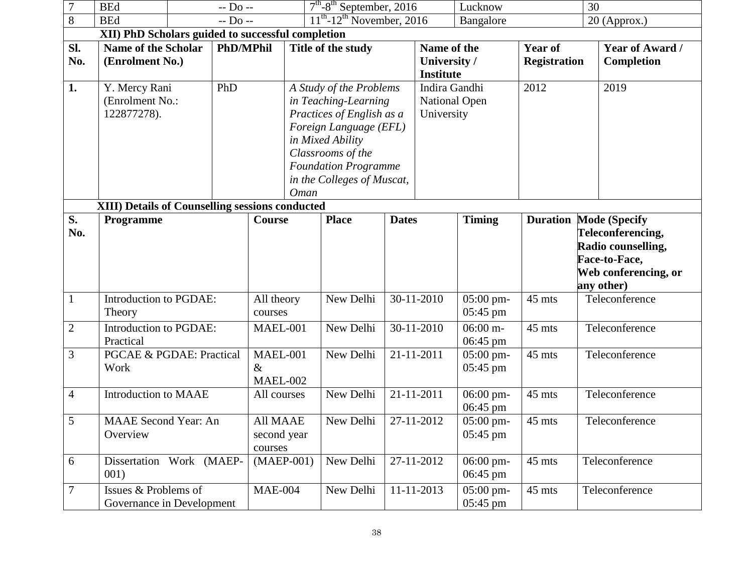| 7                | <b>BEd</b>                                                        | $-D0$ -- |                                                      | $7th - 8th$ September, 2016                                                                                                                                                                                                 |              | Lucknow                                         |                | 30                                    |                                      |                |                                                                                                                                 |
|------------------|-------------------------------------------------------------------|----------|------------------------------------------------------|-----------------------------------------------------------------------------------------------------------------------------------------------------------------------------------------------------------------------------|--------------|-------------------------------------------------|----------------|---------------------------------------|--------------------------------------|----------------|---------------------------------------------------------------------------------------------------------------------------------|
| 8                | <b>BEd</b><br>$-D0$ --                                            |          | $11th$ -12 <sup>th</sup> November, 2016<br>Bangalore |                                                                                                                                                                                                                             |              |                                                 | $20$ (Approx.) |                                       |                                      |                |                                                                                                                                 |
|                  | XII) PhD Scholars guided to successful completion                 |          |                                                      |                                                                                                                                                                                                                             |              |                                                 |                |                                       |                                      |                |                                                                                                                                 |
| Sl.<br>No.       | <b>Name of the Scholar</b><br><b>PhD/MPhil</b><br>(Enrolment No.) |          |                                                      | Title of the study                                                                                                                                                                                                          |              | Name of the<br>University /<br><b>Institute</b> |                | <b>Year of</b><br><b>Registration</b> | <b>Year of Award /</b><br>Completion |                |                                                                                                                                 |
| 1.               | PhD<br>Y. Mercy Rani<br>(Enrolment No.:<br>122877278).            |          |                                                      | A Study of the Problems<br>in Teaching-Learning<br>Practices of English as a<br>Foreign Language (EFL)<br>in Mixed Ability<br>Classrooms of the<br><b>Foundation Programme</b><br>in the Colleges of Muscat,<br><b>Oman</b> |              | Indira Gandhi<br>National Open<br>University    |                | 2012                                  | 2019                                 |                |                                                                                                                                 |
|                  | <b>XIII) Details of Counselling sessions conducted</b>            |          |                                                      |                                                                                                                                                                                                                             |              |                                                 |                |                                       |                                      |                |                                                                                                                                 |
| S.<br>No.        | Programme                                                         |          |                                                      | <b>Course</b>                                                                                                                                                                                                               |              | <b>Place</b>                                    | <b>Dates</b>   |                                       | <b>Timing</b>                        |                | <b>Duration Mode (Specify</b><br>Teleconferencing,<br>Radio counselling,<br>Face-to-Face,<br>Web conferencing, or<br>any other) |
| $\mathbf{1}$     | Introduction to PGDAE:<br>Theory                                  |          |                                                      | All theory<br>courses                                                                                                                                                                                                       |              | New Delhi                                       |                | 30-11-2010                            | $05:00$ pm-<br>05:45 pm              | 45 mts         | Teleconference                                                                                                                  |
| $\overline{2}$   | Introduction to PGDAE:<br>Practical                               |          |                                                      | MAEL-001                                                                                                                                                                                                                    |              | New Delhi                                       |                | 30-11-2010                            | $06:00 \; \mathrm{m}$ -<br>06:45 pm  | 45 mts         | Teleconference                                                                                                                  |
| 3                | <b>PGCAE &amp; PGDAE: Practical</b><br>Work                       |          |                                                      | MAEL-001<br>$\&$<br>MAEL-002                                                                                                                                                                                                |              | New Delhi                                       |                | 21-11-2011                            | 05:00 pm-<br>05:45 pm                | 45 mts         | Teleconference                                                                                                                  |
| $\overline{4}$   | Introduction to MAAE                                              |          | All courses                                          |                                                                                                                                                                                                                             | New Delhi    |                                                 | 21-11-2011     | 06:00 pm-<br>06:45 pm                 | 45 mts                               | Teleconference |                                                                                                                                 |
| 5                | <b>MAAE</b> Second Year: An<br>Overview                           |          | All MAAE<br>second year<br>courses                   |                                                                                                                                                                                                                             | New Delhi    |                                                 | 27-11-2012     | $05:00$ pm-<br>$05:45$ pm             | 45 mts                               | Teleconference |                                                                                                                                 |
| 6                | Dissertation Work (MAEP-<br>001)                                  |          |                                                      |                                                                                                                                                                                                                             | $(MAEP-001)$ | New Delhi                                       |                | 27-11-2012                            | 06:00 pm-<br>06:45 pm                | 45 mts         | Teleconference                                                                                                                  |
| $\boldsymbol{7}$ | Issues & Problems of<br>Governance in Development                 |          |                                                      | <b>MAE-004</b>                                                                                                                                                                                                              |              | New Delhi                                       |                | 11-11-2013                            | 05:00 pm-<br>$05:45 \text{ pm}$      | 45 mts         | Teleconference                                                                                                                  |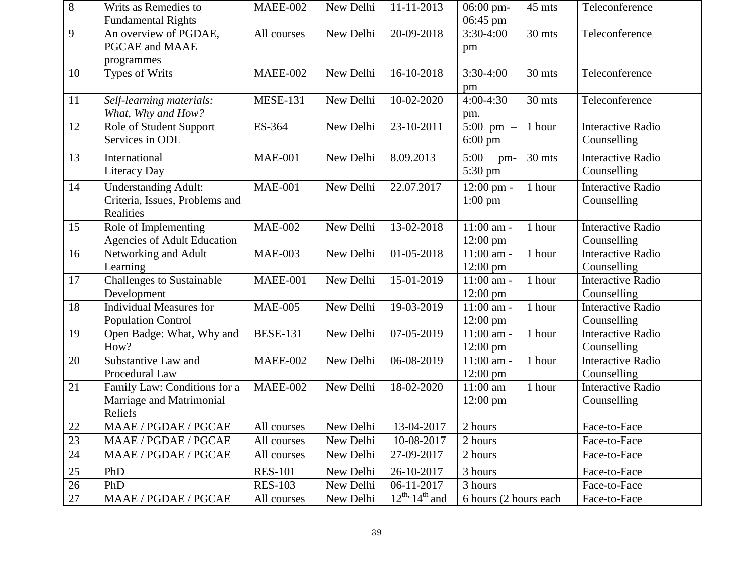| 8      | Writs as Remedies to<br><b>Fundamental Rights</b>                          | MAEE-002        | New Delhi | 11-11-2013                | 06:00 pm-<br>06:45 pm                        | 45 mts | Teleconference                          |
|--------|----------------------------------------------------------------------------|-----------------|-----------|---------------------------|----------------------------------------------|--------|-----------------------------------------|
| 9      | An overview of PGDAE,<br>PGCAE and MAAE<br>programmes                      | All courses     | New Delhi | 20-09-2018                | $3:30-4:00$<br>pm                            | 30 mts | Teleconference                          |
| 10     | Types of Writs                                                             | <b>MAEE-002</b> | New Delhi | 16-10-2018                | $3:30-4:00$<br>pm                            | 30 mts | Teleconference                          |
| 11     | Self-learning materials:<br>What, Why and How?                             | <b>MESE-131</b> | New Delhi | 10-02-2020                | $4:00-4:30$<br>pm.                           | 30 mts | Teleconference                          |
| 12     | Role of Student Support<br>Services in ODL                                 | ES-364          | New Delhi | 23-10-2011                | $\overline{5:}00 \text{ pm } -$<br>$6:00$ pm | 1 hour | <b>Interactive Radio</b><br>Counselling |
| 13     | International<br>Literacy Day                                              | <b>MAE-001</b>  | New Delhi | 8.09.2013                 | 5:00<br>pm-<br>5:30 pm                       | 30 mts | <b>Interactive Radio</b><br>Counselling |
| 14     | <b>Understanding Adult:</b><br>Criteria, Issues, Problems and<br>Realities | <b>MAE-001</b>  | New Delhi | 22.07.2017                | $12:00$ pm -<br>$1:00$ pm                    | 1 hour | <b>Interactive Radio</b><br>Counselling |
| 15     | Role of Implementing<br><b>Agencies of Adult Education</b>                 | <b>MAE-002</b>  | New Delhi | 13-02-2018                | 11:00 am -<br>$12:00 \text{ pm}$             | 1 hour | <b>Interactive Radio</b><br>Counselling |
| 16     | Networking and Adult<br>Learning                                           | <b>MAE-003</b>  | New Delhi | 01-05-2018                | 11:00 am -<br>$12:00 \text{ pm}$             | 1 hour | <b>Interactive Radio</b><br>Counselling |
| 17     | <b>Challenges to Sustainable</b><br>Development                            | MAEE-001        | New Delhi | 15-01-2019                | 11:00 am -<br>$12:00 \text{ pm}$             | 1 hour | <b>Interactive Radio</b><br>Counselling |
| 18     | <b>Individual Measures for</b><br><b>Population Control</b>                | <b>MAE-005</b>  | New Delhi | 19-03-2019                | 11:00 am -<br>$12:00 \text{ pm}$             | 1 hour | <b>Interactive Radio</b><br>Counselling |
| 19     | Open Badge: What, Why and<br>How?                                          | <b>BESE-131</b> | New Delhi | 07-05-2019                | 11:00 am -<br>$12:00 \text{ pm}$             | 1 hour | <b>Interactive Radio</b><br>Counselling |
| 20     | Substantive Law and<br>Procedural Law                                      | <b>MAEE-002</b> | New Delhi | 06-08-2019                | 11:00 am -<br>$12:00 \text{ pm}$             | 1 hour | <b>Interactive Radio</b><br>Counselling |
| 21     | Family Law: Conditions for a<br>Marriage and Matrimonial<br>Reliefs        | <b>MAEE-002</b> | New Delhi | 18-02-2020                | $11:00$ am $-$<br>$12:00 \text{ pm}$         | 1 hour | <b>Interactive Radio</b><br>Counselling |
| $22\,$ | MAAE / PGDAE / PGCAE                                                       | All courses     | New Delhi | 13-04-2017                | 2 hours                                      |        | Face-to-Face                            |
| 23     | MAAE / PGDAE / PGCAE                                                       | All courses     | New Delhi | 10-08-2017                | 2 hours                                      |        | Face-to-Face                            |
| 24     | MAAE / PGDAE / PGCAE                                                       | All courses     | New Delhi | 27-09-2017                | 2 hours                                      |        | Face-to-Face                            |
| 25     | PhD                                                                        | <b>RES-101</b>  | New Delhi | 26-10-2017                | 3 hours                                      |        | Face-to-Face                            |
| 26     | PhD                                                                        | <b>RES-103</b>  | New Delhi | 06-11-2017                | 3 hours                                      |        | Face-to-Face                            |
| $27\,$ | MAAE / PGDAE / PGCAE                                                       | All courses     | New Delhi | $12^{th}$ , $14^{th}$ and | 6 hours (2 hours each                        |        | Face-to-Face                            |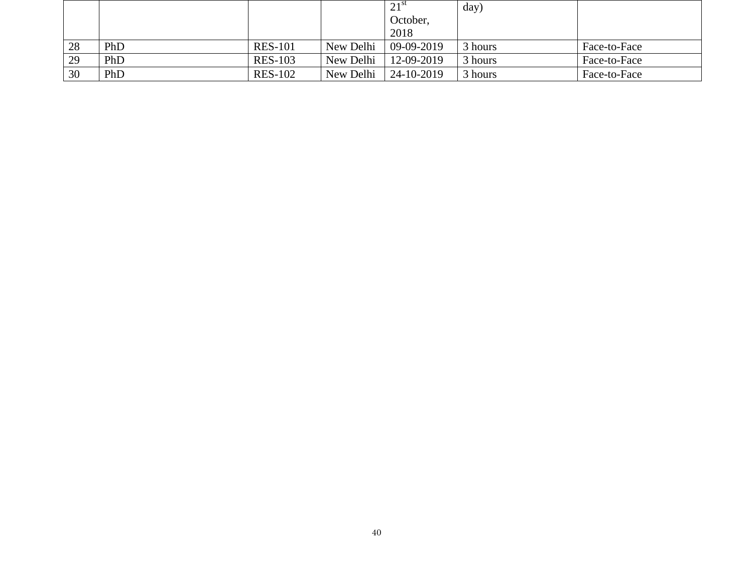|    |     |                |           | $21$ st    | day)    |              |
|----|-----|----------------|-----------|------------|---------|--------------|
|    |     |                |           | October,   |         |              |
|    |     |                |           | 2018       |         |              |
| 28 | PhD | <b>RES-101</b> | New Delhi | 09-09-2019 | 3 hours | Face-to-Face |
| 29 | PhD | <b>RES-103</b> | New Delhi | 12-09-2019 | 3 hours | Face-to-Face |
| 30 | PhD | <b>RES-102</b> | New Delhi | 24-10-2019 | 3 hours | Face-to-Face |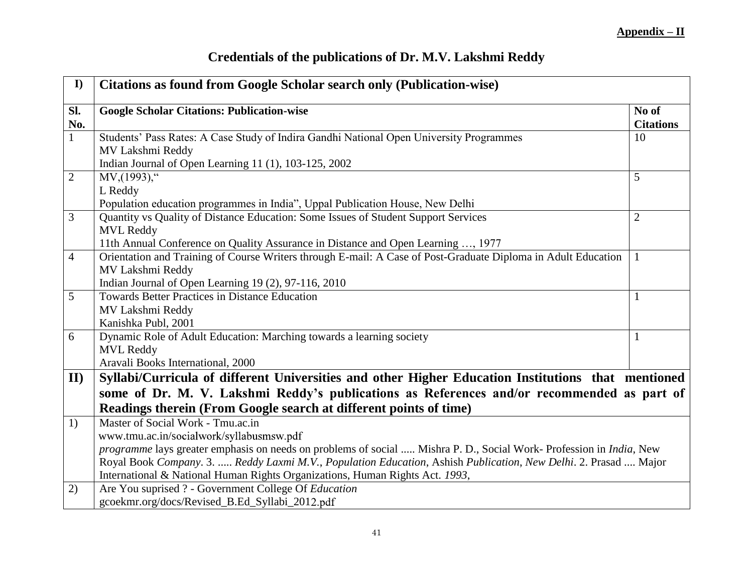| <b>Credentials of the publications of Dr. M.V. Lakshmi Reddy</b> |  |  |  |  |  |
|------------------------------------------------------------------|--|--|--|--|--|
|------------------------------------------------------------------|--|--|--|--|--|

| $\mathbf{I}$   | <b>Citations as found from Google Scholar search only (Publication-wise)</b>                                        |                           |
|----------------|---------------------------------------------------------------------------------------------------------------------|---------------------------|
| SI.<br>No.     | <b>Google Scholar Citations: Publication-wise</b>                                                                   | No of<br><b>Citations</b> |
| $\mathbf{1}$   | Students' Pass Rates: A Case Study of Indira Gandhi National Open University Programmes<br>MV Lakshmi Reddy         | 10                        |
|                | Indian Journal of Open Learning 11 (1), 103-125, 2002                                                               |                           |
| $\overline{2}$ | $MV, (1993),$ "                                                                                                     | 5                         |
|                | L Reddy                                                                                                             |                           |
|                | Population education programmes in India", Uppal Publication House, New Delhi                                       |                           |
| 3              | Quantity vs Quality of Distance Education: Some Issues of Student Support Services                                  | $\overline{2}$            |
|                | <b>MVL Reddy</b>                                                                                                    |                           |
|                | 11th Annual Conference on Quality Assurance in Distance and Open Learning , 1977                                    |                           |
| $\overline{4}$ | Orientation and Training of Course Writers through E-mail: A Case of Post-Graduate Diploma in Adult Education       | 1                         |
|                | MV Lakshmi Reddy                                                                                                    |                           |
|                | Indian Journal of Open Learning 19 (2), 97-116, 2010                                                                |                           |
| $\mathfrak{S}$ | <b>Towards Better Practices in Distance Education</b>                                                               | 1                         |
|                | MV Lakshmi Reddy<br>Kanishka Publ, 2001                                                                             |                           |
| 6              | Dynamic Role of Adult Education: Marching towards a learning society                                                | 1                         |
|                | <b>MVL Reddy</b>                                                                                                    |                           |
|                | Aravali Books International, 2000                                                                                   |                           |
| II)            | Syllabi/Curricula of different Universities and other Higher Education Institutions that mentioned                  |                           |
|                | some of Dr. M. V. Lakshmi Reddy's publications as References and/or recommended as part of                          |                           |
|                |                                                                                                                     |                           |
|                | Readings therein (From Google search at different points of time)<br>Master of Social Work - Tmu.ac.in              |                           |
| 1)             | www.tmu.ac.in/socialwork/syllabusmsw.pdf                                                                            |                           |
|                | programme lays greater emphasis on needs on problems of social  Mishra P. D., Social Work- Profession in India, New |                           |
|                | Royal Book Company. 3.  Reddy Laxmi M.V., Population Education, Ashish Publication, New Delhi. 2. Prasad  Major     |                           |
|                | International & National Human Rights Organizations, Human Rights Act. 1993,                                        |                           |
| 2)             | Are You suprised ? - Government College Of Education                                                                |                           |
|                | gcoekmr.org/docs/Revised_B.Ed_Syllabi_2012.pdf                                                                      |                           |
|                |                                                                                                                     |                           |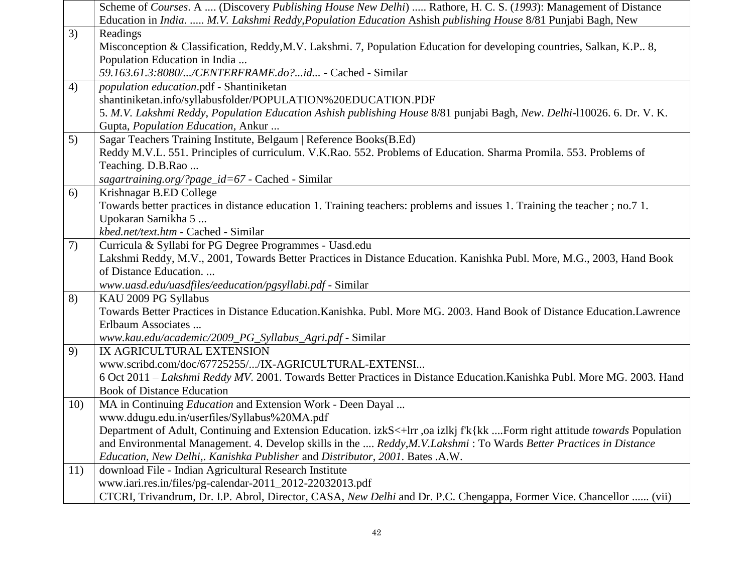|     | Scheme of Courses. A  (Discovery Publishing House New Delhi)  Rathore, H. C. S. (1993): Management of Distance             |
|-----|----------------------------------------------------------------------------------------------------------------------------|
|     | Education in India.  M.V. Lakshmi Reddy, Population Education Ashish publishing House 8/81 Punjabi Bagh, New               |
| 3)  | Readings                                                                                                                   |
|     | Misconception & Classification, Reddy, M.V. Lakshmi. 7, Population Education for developing countries, Salkan, K.P., 8,    |
|     | Population Education in India                                                                                              |
|     | 59.163.61.3:8080//CENTERFRAME.do?id - Cached - Similar                                                                     |
| 4)  | population education.pdf - Shantiniketan                                                                                   |
|     | shantiniketan.info/syllabusfolder/POPULATION%20EDUCATION.PDF                                                               |
|     | 5. M.V. Lakshmi Reddy, Population Education Ashish publishing House 8/81 punjabi Bagh, New. Delhi-110026. 6. Dr. V. K.     |
|     | Gupta, Population Education, Ankur                                                                                         |
| 5)  | Sagar Teachers Training Institute, Belgaum   Reference Books(B.Ed)                                                         |
|     | Reddy M.V.L. 551. Principles of curriculum. V.K.Rao. 552. Problems of Education. Sharma Promila. 553. Problems of          |
|     | Teaching. D.B.Rao                                                                                                          |
|     | sagartraining.org/?page_id=67 - Cached - Similar                                                                           |
| 6)  | Krishnagar B.ED College                                                                                                    |
|     | Towards better practices in distance education 1. Training teachers: problems and issues 1. Training the teacher; no.7 1.  |
|     | Upokaran Samikha 5                                                                                                         |
|     | kbed.net/text.htm - Cached - Similar                                                                                       |
| 7)  | Curricula & Syllabi for PG Degree Programmes - Uasd.edu                                                                    |
|     | Lakshmi Reddy, M.V., 2001, Towards Better Practices in Distance Education. Kanishka Publ. More, M.G., 2003, Hand Book      |
|     | of Distance Education                                                                                                      |
|     | www.uasd.edu/uasdfiles/eeducation/pgsyllabi.pdf - Similar                                                                  |
| 8)  | KAU 2009 PG Syllabus                                                                                                       |
|     | Towards Better Practices in Distance Education. Kanishka. Publ. More MG. 2003. Hand Book of Distance Education. Lawrence   |
|     | Erlbaum Associates                                                                                                         |
|     | www.kau.edu/academic/2009_PG_Syllabus_Agri.pdf - Similar                                                                   |
| 9)  | IX AGRICULTURAL EXTENSION                                                                                                  |
|     | www.scribd.com/doc/67725255//IX-AGRICULTURAL-EXTENSI                                                                       |
|     | 6 Oct 2011 – Lakshmi Reddy MV. 2001. Towards Better Practices in Distance Education. Kanishka Publ. More MG. 2003. Hand    |
|     | <b>Book of Distance Education</b>                                                                                          |
| 10) | MA in Continuing <i>Education</i> and Extension Work - Deen Dayal                                                          |
|     | www.ddugu.edu.in/userfiles/Syllabus%20MA.pdf                                                                               |
|     | Department of Adult, Continuing and Extension Education. izkS<+lrr, oa izlkj f'k{kk Form right attitude towards Population |
|     | and Environmental Management. 4. Develop skills in the  Reddy, M.V. Lakshmi: To Wards Better Practices in Distance         |
|     | Education, New Delhi,. Kanishka Publisher and Distributor, 2001. Bates .A.W.                                               |
| 11) | download File - Indian Agricultural Research Institute                                                                     |
|     | www.iari.res.in/files/pg-calendar-2011_2012-22032013.pdf                                                                   |
|     | CTCRI, Trivandrum, Dr. I.P. Abrol, Director, CASA, New Delhi and Dr. P.C. Chengappa, Former Vice. Chancellor  (vii)        |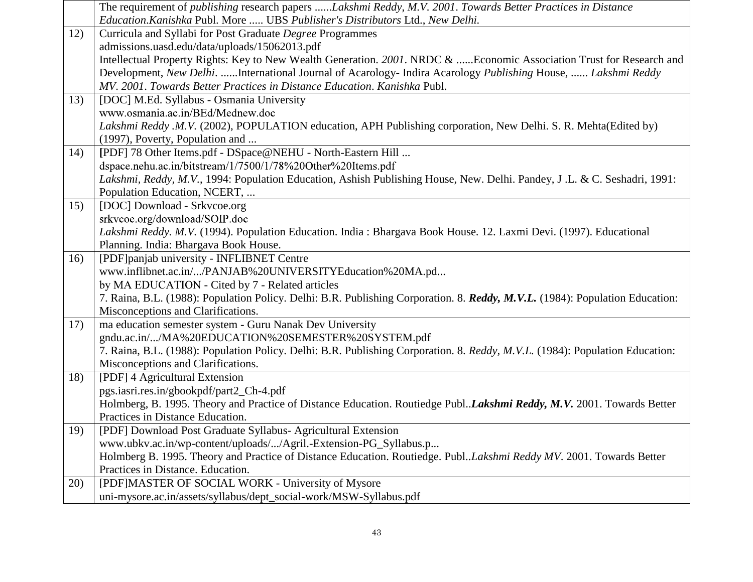|     | The requirement of publishing research papers Lakshmi Reddy, M.V. 2001. Towards Better Practices in Distance                  |
|-----|-------------------------------------------------------------------------------------------------------------------------------|
|     | Education.Kanishka Publ. More  UBS Publisher's Distributors Ltd., New Delhi.                                                  |
| 12) | Curricula and Syllabi for Post Graduate Degree Programmes                                                                     |
|     | admissions.uasd.edu/data/uploads/15062013.pdf                                                                                 |
|     | Intellectual Property Rights: Key to New Wealth Generation. 2001. NRDC & Economic Association Trust for Research and          |
|     | Development, New Delhi. International Journal of Acarology- Indira Acarology Publishing House,  Lakshmi Reddy                 |
|     | MV. 2001. Towards Better Practices in Distance Education. Kanishka Publ.                                                      |
| 13) | [DOC] M.Ed. Syllabus - Osmania University                                                                                     |
|     | www.osmania.ac.in/BEd/Mednew.doc                                                                                              |
|     | Lakshmi Reddy .M.V. (2002), POPULATION education, APH Publishing corporation, New Delhi. S. R. Mehta(Edited by)               |
|     | (1997), Poverty, Population and                                                                                               |
| 14) | [PDF] 78 Other Items.pdf - DSpace@NEHU - North-Eastern Hill                                                                   |
|     | dspace.nehu.ac.in/bitstream/1/7500/1/78%20Other%20Items.pdf                                                                   |
|     | Lakshmi, Reddy, M.V., 1994: Population Education, Ashish Publishing House, New. Delhi. Pandey, J.L. & C. Seshadri, 1991:      |
|     | Population Education, NCERT,                                                                                                  |
| 15) | [DOC] Download - Srkvcoe.org                                                                                                  |
|     | srkvcoe.org/download/SOIP.doc                                                                                                 |
|     | Lakshmi Reddy. M.V. (1994). Population Education. India: Bhargava Book House. 12. Laxmi Devi. (1997). Educational             |
|     | Planning. India: Bhargava Book House.                                                                                         |
| 16) | [PDF]panjab university - INFLIBNET Centre                                                                                     |
|     | www.inflibnet.ac.in//PANJAB%20UNIVERSITYEducation%20MA.pd                                                                     |
|     | by MA EDUCATION - Cited by 7 - Related articles                                                                               |
|     | 7. Raina, B.L. (1988): Population Policy. Delhi: B.R. Publishing Corporation. 8. Reddy, M.V.L. (1984): Population Education:  |
|     | Misconceptions and Clarifications.                                                                                            |
| 17) | ma education semester system - Guru Nanak Dev University                                                                      |
|     | gndu.ac.in//MA%20EDUCATION%20SEMESTER%20SYSTEM.pdf                                                                            |
|     | 7. Raina, B.L. (1988): Population Policy. Delhi: B.R. Publishing Corporation. 8. Reddy, M.V.L. (1984): Population Education:  |
|     | Misconceptions and Clarifications.                                                                                            |
| 18) | [PDF] 4 Agricultural Extension                                                                                                |
|     | pgs.iasri.res.in/gbookpdf/part2_Ch-4.pdf                                                                                      |
|     | Holmberg, B. 1995. Theory and Practice of Distance Education. Routiedge Publ <i>Lakshmi Reddy</i> , M.V. 2001. Towards Better |
|     | Practices in Distance Education.                                                                                              |
| 19) | [PDF] Download Post Graduate Syllabus- Agricultural Extension                                                                 |
|     | www.ubkv.ac.in/wp-content/uploads//Agril.-Extension-PG_Syllabus.p                                                             |
|     | Holmberg B. 1995. Theory and Practice of Distance Education. Routiedge. PublLakshmi Reddy MV. 2001. Towards Better            |
|     | Practices in Distance. Education.                                                                                             |
| 20) | [PDF]MASTER OF SOCIAL WORK - University of Mysore                                                                             |
|     | uni-mysore.ac.in/assets/syllabus/dept_social-work/MSW-Syllabus.pdf                                                            |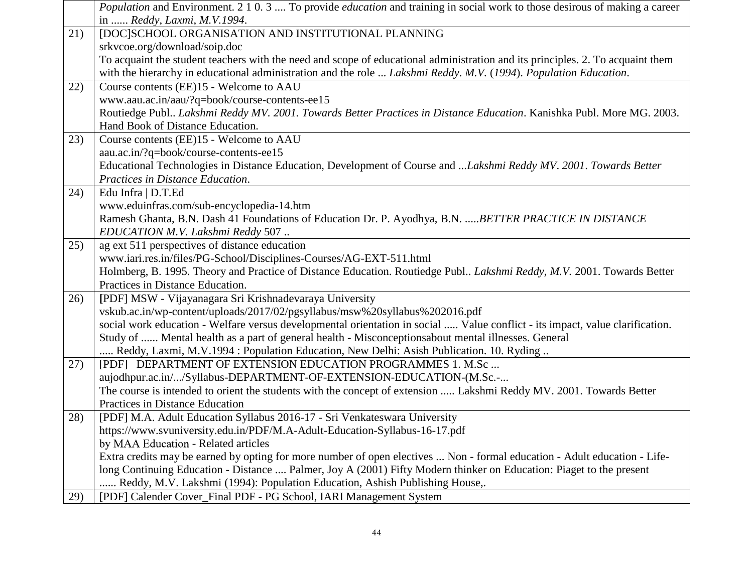|     | <i>Population</i> and Environment. 2 1 0.3  To provide <i>education</i> and training in social work to those desirous of making a career |
|-----|------------------------------------------------------------------------------------------------------------------------------------------|
|     | in  Reddy, Laxmi, M.V.1994.                                                                                                              |
| 21) | [DOC]SCHOOL ORGANISATION AND INSTITUTIONAL PLANNING                                                                                      |
|     | srkvcoe.org/download/soip.doc                                                                                                            |
|     | To acquaint the student teachers with the need and scope of educational administration and its principles. 2. To acquaint them           |
|     | with the hierarchy in educational administration and the role  Lakshmi Reddy. M.V. (1994). Population Education.                         |
| 22) | Course contents (EE)15 - Welcome to AAU                                                                                                  |
|     | www.aau.ac.in/aau/?q=book/course-contents-ee15                                                                                           |
|     | Routiedge Publ Lakshmi Reddy MV. 2001. Towards Better Practices in Distance Education. Kanishka Publ. More MG. 2003.                     |
|     | Hand Book of Distance Education.                                                                                                         |
| 23) | Course contents (EE)15 - Welcome to AAU                                                                                                  |
|     | aau.ac.in/?q=book/course-contents-ee15                                                                                                   |
|     | Educational Technologies in Distance Education, Development of Course and Lakshmi Reddy MV. 2001. Towards Better                         |
|     | Practices in Distance Education.                                                                                                         |
| 24) | Edu Infra   D.T.Ed                                                                                                                       |
|     | www.eduinfras.com/sub-encyclopedia-14.htm                                                                                                |
|     | Ramesh Ghanta, B.N. Dash 41 Foundations of Education Dr. P. Ayodhya, B.N.  BETTER PRACTICE IN DISTANCE                                   |
|     | EDUCATION M.V. Lakshmi Reddy 507                                                                                                         |
| 25) | ag ext 511 perspectives of distance education                                                                                            |
|     | www.iari.res.in/files/PG-School/Disciplines-Courses/AG-EXT-511.html                                                                      |
|     | Holmberg, B. 1995. Theory and Practice of Distance Education. Routiedge Publ Lakshmi Reddy, M.V. 2001. Towards Better                    |
|     | Practices in Distance Education.                                                                                                         |
| 26) | [PDF] MSW - Vijayanagara Sri Krishnadevaraya University                                                                                  |
|     | vskub.ac.in/wp-content/uploads/2017/02/pgsyllabus/msw%20syllabus%202016.pdf                                                              |
|     | social work education - Welfare versus developmental orientation in social  Value conflict - its impact, value clarification.            |
|     | Study of  Mental health as a part of general health - Misconceptionsabout mental illnesses. General                                      |
|     | Reddy, Laxmi, M.V.1994 : Population Education, New Delhi: Asish Publication. 10. Ryding                                                  |
| 27) | [PDF] DEPARTMENT OF EXTENSION EDUCATION PROGRAMMES 1. M.Sc                                                                               |
|     | aujodhpur.ac.in//Syllabus-DEPARTMENT-OF-EXTENSION-EDUCATION-(M.Sc.-                                                                      |
|     | The course is intended to orient the students with the concept of extension  Lakshmi Reddy MV. 2001. Towards Better                      |
|     | Practices in Distance Education                                                                                                          |
| 28) | [PDF] M.A. Adult Education Syllabus 2016-17 - Sri Venkateswara University                                                                |
|     | https://www.svuniversity.edu.in/PDF/M.A-Adult-Education-Syllabus-16-17.pdf                                                               |
|     | by MAA Education - Related articles                                                                                                      |
|     | Extra credits may be earned by opting for more number of open electives  Non - formal education - Adult education - Life-                |
|     | long Continuing Education - Distance  Palmer, Joy A (2001) Fifty Modern thinker on Education: Piaget to the present                      |
|     | Reddy, M.V. Lakshmi (1994): Population Education, Ashish Publishing House,.                                                              |
| 29) | [PDF] Calender Cover_Final PDF - PG School, IARI Management System                                                                       |